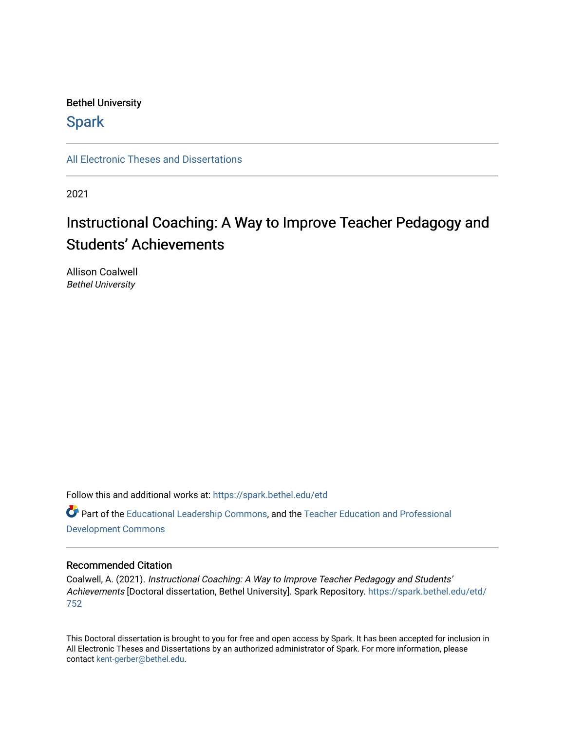# Bethel University

# **Spark**

[All Electronic Theses and Dissertations](https://spark.bethel.edu/etd) 

2021

# Instructional Coaching: A Way to Improve Teacher Pedagogy and Students' Achievements

Allison Coalwell Bethel University

Follow this and additional works at: [https://spark.bethel.edu/etd](https://spark.bethel.edu/etd?utm_source=spark.bethel.edu%2Fetd%2F752&utm_medium=PDF&utm_campaign=PDFCoverPages) Part of the [Educational Leadership Commons,](http://network.bepress.com/hgg/discipline/1230?utm_source=spark.bethel.edu%2Fetd%2F752&utm_medium=PDF&utm_campaign=PDFCoverPages) and the [Teacher Education and Professional](http://network.bepress.com/hgg/discipline/803?utm_source=spark.bethel.edu%2Fetd%2F752&utm_medium=PDF&utm_campaign=PDFCoverPages) [Development Commons](http://network.bepress.com/hgg/discipline/803?utm_source=spark.bethel.edu%2Fetd%2F752&utm_medium=PDF&utm_campaign=PDFCoverPages) 

# Recommended Citation

Coalwell, A. (2021). Instructional Coaching: A Way to Improve Teacher Pedagogy and Students' Achievements [Doctoral dissertation, Bethel University]. Spark Repository. [https://spark.bethel.edu/etd/](https://spark.bethel.edu/etd/752?utm_source=spark.bethel.edu%2Fetd%2F752&utm_medium=PDF&utm_campaign=PDFCoverPages) [752](https://spark.bethel.edu/etd/752?utm_source=spark.bethel.edu%2Fetd%2F752&utm_medium=PDF&utm_campaign=PDFCoverPages) 

This Doctoral dissertation is brought to you for free and open access by Spark. It has been accepted for inclusion in All Electronic Theses and Dissertations by an authorized administrator of Spark. For more information, please contact [kent-gerber@bethel.edu.](mailto:kent-gerber@bethel.edu)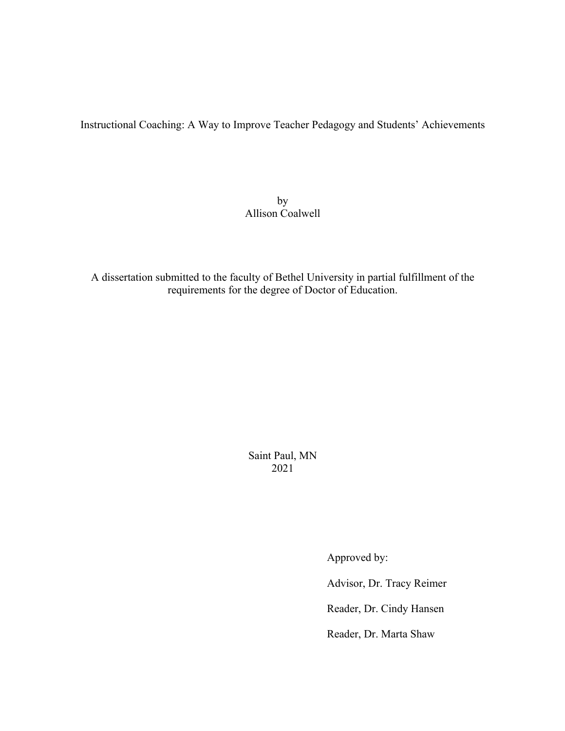Instructional Coaching: A Way to Improve Teacher Pedagogy and Students' Achievements

by Allison Coalwell

A dissertation submitted to the faculty of Bethel University in partial fulfillment of the requirements for the degree of Doctor of Education.

> Saint Paul, MN 2021

> > Approved by:

Advisor, Dr. Tracy Reimer

Reader, Dr. Cindy Hansen

Reader, Dr. Marta Shaw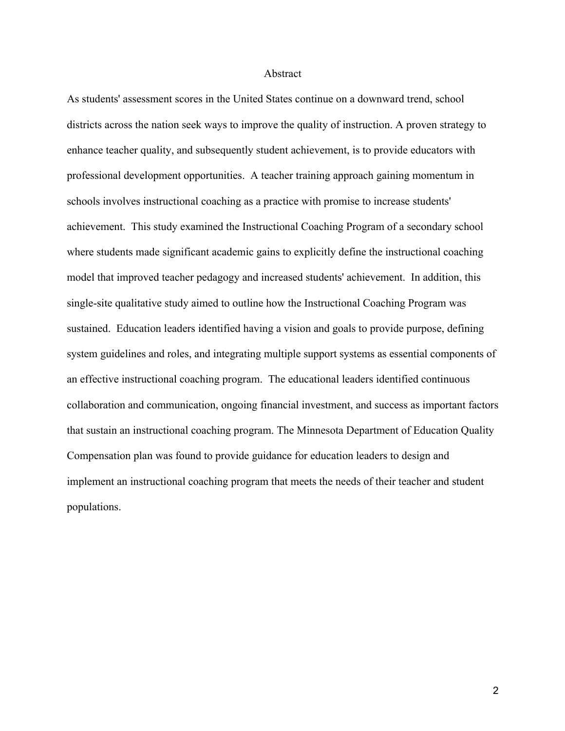#### Abstract

As students' assessment scores in the United States continue on a downward trend, school districts across the nation seek ways to improve the quality of instruction. A proven strategy to enhance teacher quality, and subsequently student achievement, is to provide educators with professional development opportunities. A teacher training approach gaining momentum in schools involves instructional coaching as a practice with promise to increase students' achievement. This study examined the Instructional Coaching Program of a secondary school where students made significant academic gains to explicitly define the instructional coaching model that improved teacher pedagogy and increased students' achievement. In addition, this single-site qualitative study aimed to outline how the Instructional Coaching Program was sustained. Education leaders identified having a vision and goals to provide purpose, defining system guidelines and roles, and integrating multiple support systems as essential components of an effective instructional coaching program. The educational leaders identified continuous collaboration and communication, ongoing financial investment, and success as important factors that sustain an instructional coaching program. The Minnesota Department of Education Quality Compensation plan was found to provide guidance for education leaders to design and implement an instructional coaching program that meets the needs of their teacher and student populations.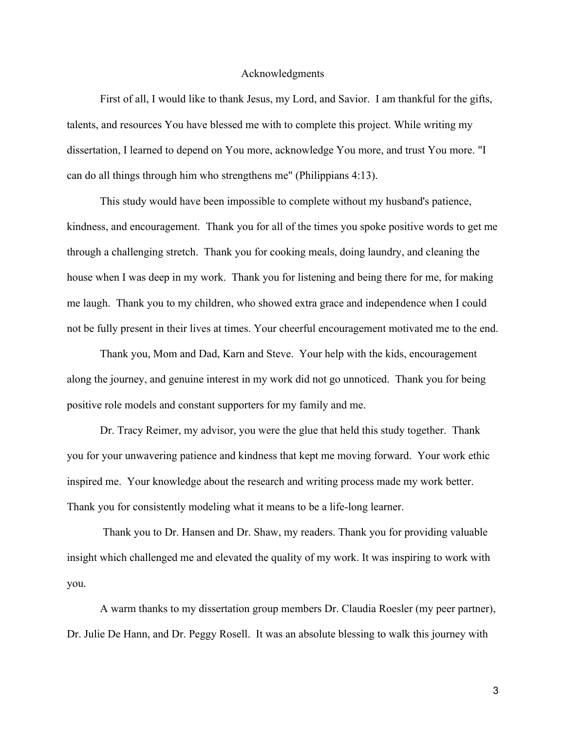## Acknowledgments

First of all, I would like to thank Jesus, my Lord, and Savior. I am thankful for the gifts, talents, and resources You have blessed me with to complete this project. While writing my dissertation, I learned to depend on You more, acknowledge You more, and trust You more. "I can do all things through him who strengthens me" (Philippians 4:13).

This study would have been impossible to complete without my husband's patience, kindness, and encouragement. Thank you for all of the times you spoke positive words to get me through a challenging stretch. Thank you for cooking meals, doing laundry, and cleaning the house when I was deep in my work. Thank you for listening and being there for me, for making me laugh. Thank you to my children, who showed extra grace and independence when I could not be fully present in their lives at times. Your cheerful encouragement motivated me to the end.

Thank you, Mom and Dad, Karn and Steve. Your help with the kids, encouragement along the journey, and genuine interest in my work did not go unnoticed. Thank you for being positive role models and constant supporters for my family and me.

Dr. Tracy Reimer, my advisor, you were the glue that held this study together. Thank you for your unwavering patience and kindness that kept me moving forward. Your work ethic inspired me. Your knowledge about the research and writing process made my work better. Thank you for consistently modeling what it means to be a life-long learner.

Thank you to Dr. Hansen and Dr. Shaw, my readers. Thank you for providing valuable insight which challenged me and elevated the quality of my work. It was inspiring to work with you.

A warm thanks to my dissertation group members Dr. Claudia Roesler (my peer partner), Dr. Julie De Hann, and Dr. Peggy Rosell. It was an absolute blessing to walk this journey with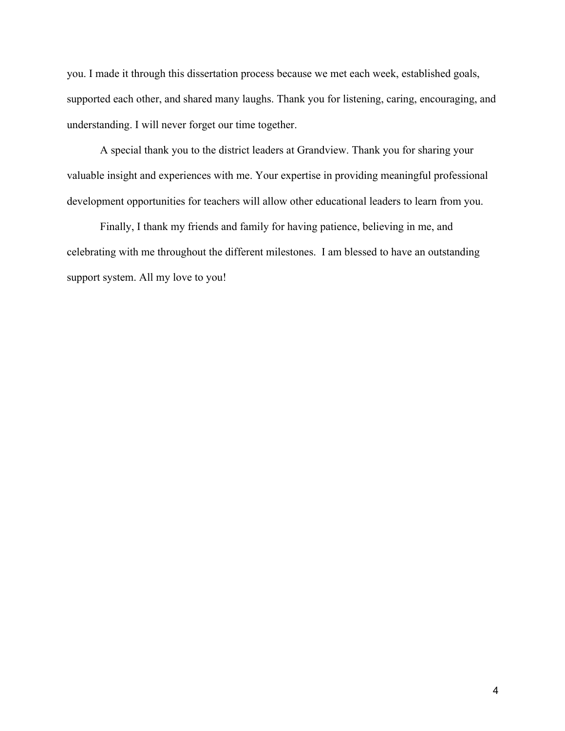you. I made it through this dissertation process because we met each week, established goals, supported each other, and shared many laughs. Thank you for listening, caring, encouraging, and understanding. I will never forget our time together.

A special thank you to the district leaders at Grandview. Thank you for sharing your valuable insight and experiences with me. Your expertise in providing meaningful professional development opportunities for teachers will allow other educational leaders to learn from you.

Finally, I thank my friends and family for having patience, believing in me, and celebrating with me throughout the different milestones. I am blessed to have an outstanding support system. All my love to you!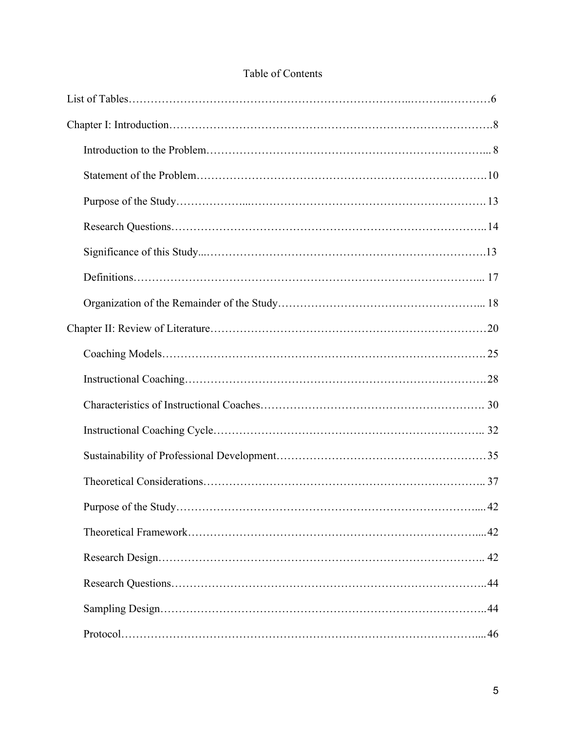| Table of Contents |
|-------------------|
|-------------------|

| $\ldots$ . 42 |
|---------------|
|               |
|               |
|               |
|               |
|               |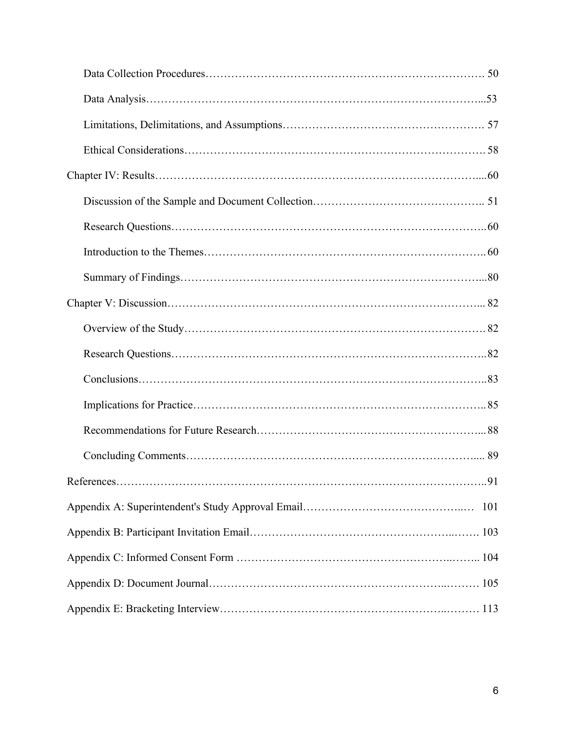| 101 |  |  |  |
|-----|--|--|--|
|     |  |  |  |
|     |  |  |  |
|     |  |  |  |
|     |  |  |  |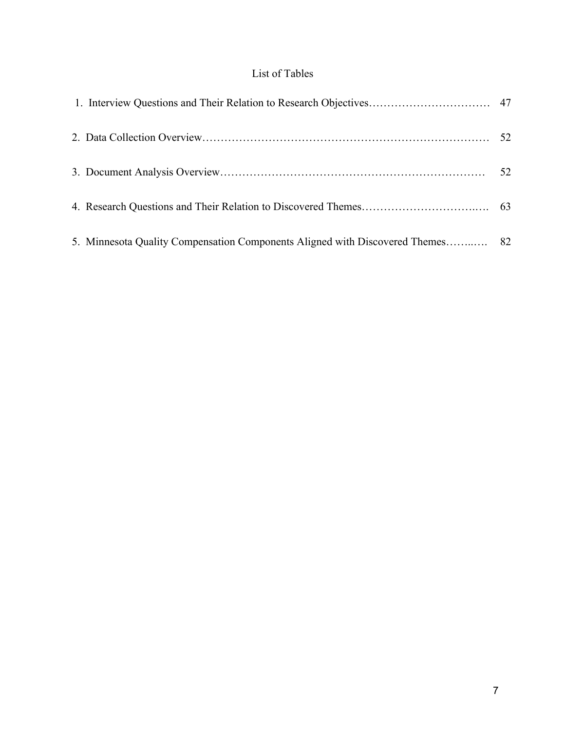# List of Tables

| 5. Minnesota Quality Compensation Components Aligned with Discovered Themes 82 |  |
|--------------------------------------------------------------------------------|--|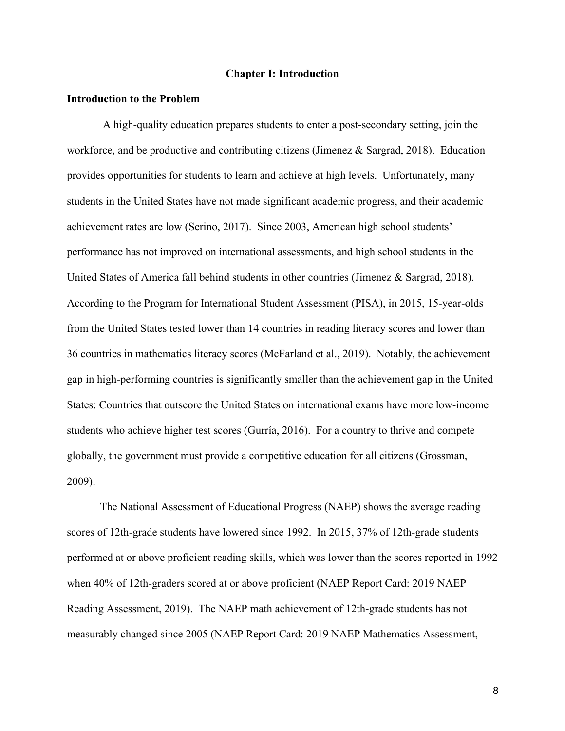## **Chapter I: Introduction**

#### **Introduction to the Problem**

A high-quality education prepares students to enter a post-secondary setting, join the workforce, and be productive and contributing citizens (Jimenez & Sargrad, 2018). Education provides opportunities for students to learn and achieve at high levels. Unfortunately, many students in the United States have not made significant academic progress, and their academic achievement rates are low (Serino, 2017). Since 2003, American high school students' performance has not improved on international assessments, and high school students in the United States of America fall behind students in other countries (Jimenez & Sargrad, 2018). According to the Program for International Student Assessment (PISA), in 2015, 15-year-olds from the United States tested lower than 14 countries in reading literacy scores and lower than 36 countries in mathematics literacy scores (McFarland et al., 2019). Notably, the achievement gap in high-performing countries is significantly smaller than the achievement gap in the United States: Countries that outscore the United States on international exams have more low-income students who achieve higher test scores (Gurría, 2016). For a country to thrive and compete globally, the government must provide a competitive education for all citizens (Grossman, 2009).

The National Assessment of Educational Progress (NAEP) shows the average reading scores of 12th-grade students have lowered since 1992. In 2015, 37% of 12th-grade students performed at or above proficient reading skills, which was lower than the scores reported in 1992 when 40% of 12th-graders scored at or above proficient (NAEP Report Card: 2019 NAEP Reading Assessment, 2019). The NAEP math achievement of 12th-grade students has not measurably changed since 2005 (NAEP Report Card: 2019 NAEP Mathematics Assessment,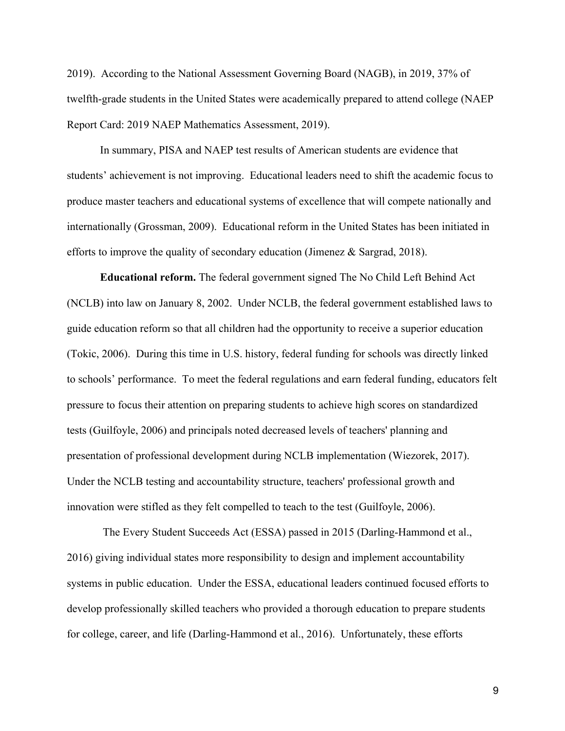2019). According to the National Assessment Governing Board (NAGB), in 2019, 37% of twelfth-grade students in the United States were academically prepared to attend college (NAEP Report Card: 2019 NAEP Mathematics Assessment, 2019).

In summary, PISA and NAEP test results of American students are evidence that students' achievement is not improving. Educational leaders need to shift the academic focus to produce master teachers and educational systems of excellence that will compete nationally and internationally (Grossman, 2009). Educational reform in the United States has been initiated in efforts to improve the quality of secondary education (Jimenez & Sargrad, 2018).

**Educational reform.** The federal government signed The No Child Left Behind Act (NCLB) into law on January 8, 2002. Under NCLB, the federal government established laws to guide education reform so that all children had the opportunity to receive a superior education (Tokic, 2006). During this time in U.S. history, federal funding for schools was directly linked to schools' performance. To meet the federal regulations and earn federal funding, educators felt pressure to focus their attention on preparing students to achieve high scores on standardized tests (Guilfoyle, 2006) and principals noted decreased levels of teachers' planning and presentation of professional development during NCLB implementation (Wiezorek, 2017). Under the NCLB testing and accountability structure, teachers' professional growth and innovation were stifled as they felt compelled to teach to the test (Guilfoyle, 2006).

The Every Student Succeeds Act (ESSA) passed in 2015 (Darling-Hammond et al., 2016) giving individual states more responsibility to design and implement accountability systems in public education. Under the ESSA, educational leaders continued focused efforts to develop professionally skilled teachers who provided a thorough education to prepare students for college, career, and life (Darling-Hammond et al., 2016). Unfortunately, these efforts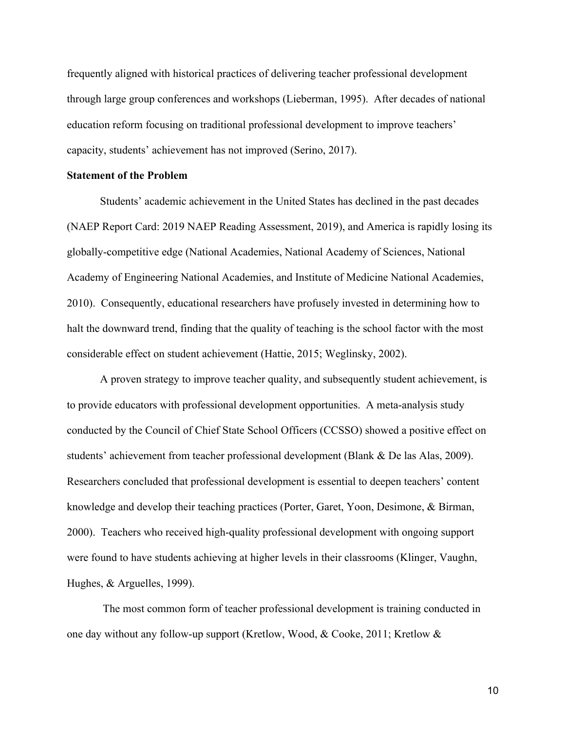frequently aligned with historical practices of delivering teacher professional development through large group conferences and workshops (Lieberman, 1995). After decades of national education reform focusing on traditional professional development to improve teachers' capacity, students' achievement has not improved (Serino, 2017).

## **Statement of the Problem**

Students' academic achievement in the United States has declined in the past decades (NAEP Report Card: 2019 NAEP Reading Assessment, 2019), and America is rapidly losing its globally-competitive edge (National Academies, National Academy of Sciences, National Academy of Engineering National Academies, and Institute of Medicine National Academies, 2010). Consequently, educational researchers have profusely invested in determining how to halt the downward trend, finding that the quality of teaching is the school factor with the most considerable effect on student achievement (Hattie, 2015; Weglinsky, 2002).

A proven strategy to improve teacher quality, and subsequently student achievement, is to provide educators with professional development opportunities. A meta-analysis study conducted by the Council of Chief State School Officers (CCSSO) showed a positive effect on students' achievement from teacher professional development (Blank & De las Alas, 2009). Researchers concluded that professional development is essential to deepen teachers' content knowledge and develop their teaching practices (Porter, Garet, Yoon, Desimone, & Birman, 2000). Teachers who received high-quality professional development with ongoing support were found to have students achieving at higher levels in their classrooms (Klinger, Vaughn, Hughes, & Arguelles, 1999).

The most common form of teacher professional development is training conducted in one day without any follow-up support (Kretlow, Wood, & Cooke, 2011; Kretlow &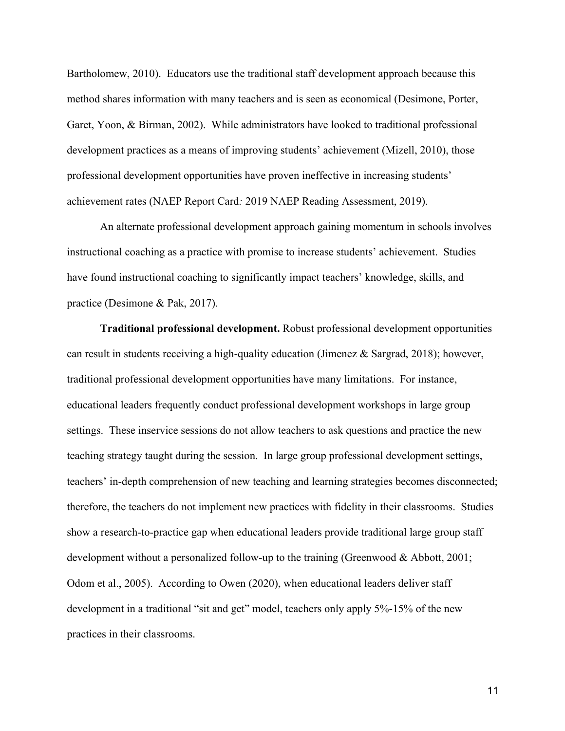Bartholomew, 2010). Educators use the traditional staff development approach because this method shares information with many teachers and is seen as economical (Desimone, Porter, Garet, Yoon, & Birman, 2002). While administrators have looked to traditional professional development practices as a means of improving students' achievement (Mizell, 2010), those professional development opportunities have proven ineffective in increasing students' achievement rates (NAEP Report Card*:* 2019 NAEP Reading Assessment, 2019).

An alternate professional development approach gaining momentum in schools involves instructional coaching as a practice with promise to increase students' achievement. Studies have found instructional coaching to significantly impact teachers' knowledge, skills, and practice (Desimone & Pak, 2017).

**Traditional professional development.** Robust professional development opportunities can result in students receiving a high-quality education (Jimenez & Sargrad, 2018); however, traditional professional development opportunities have many limitations. For instance, educational leaders frequently conduct professional development workshops in large group settings. These inservice sessions do not allow teachers to ask questions and practice the new teaching strategy taught during the session. In large group professional development settings, teachers' in-depth comprehension of new teaching and learning strategies becomes disconnected; therefore, the teachers do not implement new practices with fidelity in their classrooms. Studies show a research-to-practice gap when educational leaders provide traditional large group staff development without a personalized follow-up to the training (Greenwood & Abbott, 2001; Odom et al., 2005). According to Owen (2020), when educational leaders deliver staff development in a traditional "sit and get" model, teachers only apply 5%-15% of the new practices in their classrooms.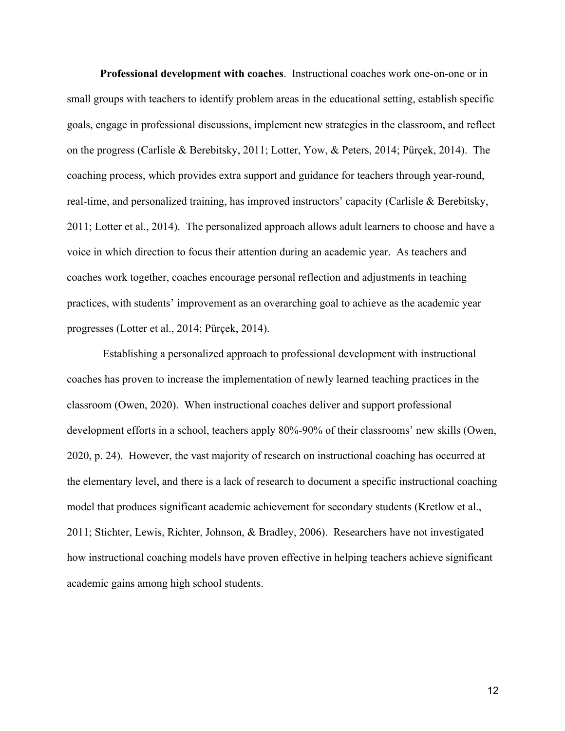**Professional development with coaches**. Instructional coaches work one-on-one or in small groups with teachers to identify problem areas in the educational setting, establish specific goals, engage in professional discussions, implement new strategies in the classroom, and reflect on the progress (Carlisle & Berebitsky, 2011; Lotter, Yow, & Peters, 2014; Pürçek, 2014). The coaching process, which provides extra support and guidance for teachers through year-round, real-time, and personalized training, has improved instructors' capacity (Carlisle & Berebitsky, 2011; Lotter et al., 2014). The personalized approach allows adult learners to choose and have a voice in which direction to focus their attention during an academic year. As teachers and coaches work together, coaches encourage personal reflection and adjustments in teaching practices, with students' improvement as an overarching goal to achieve as the academic year progresses (Lotter et al., 2014; Pürçek, 2014).

Establishing a personalized approach to professional development with instructional coaches has proven to increase the implementation of newly learned teaching practices in the classroom (Owen, 2020). When instructional coaches deliver and support professional development efforts in a school, teachers apply 80%-90% of their classrooms' new skills (Owen, 2020, p. 24). However, the vast majority of research on instructional coaching has occurred at the elementary level, and there is a lack of research to document a specific instructional coaching model that produces significant academic achievement for secondary students (Kretlow et al., 2011; Stichter, Lewis, Richter, Johnson, & Bradley, 2006). Researchers have not investigated how instructional coaching models have proven effective in helping teachers achieve significant academic gains among high school students.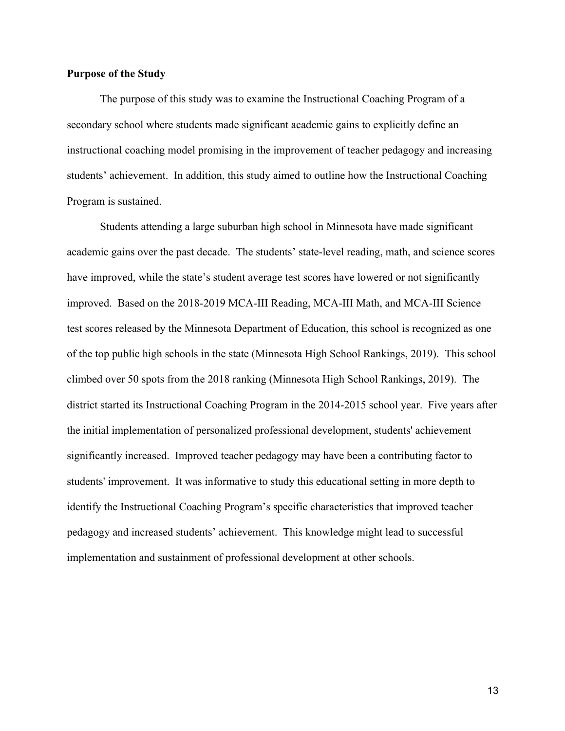# **Purpose of the Study**

The purpose of this study was to examine the Instructional Coaching Program of a secondary school where students made significant academic gains to explicitly define an instructional coaching model promising in the improvement of teacher pedagogy and increasing students' achievement. In addition, this study aimed to outline how the Instructional Coaching Program is sustained.

Students attending a large suburban high school in Minnesota have made significant academic gains over the past decade. The students' state-level reading, math, and science scores have improved, while the state's student average test scores have lowered or not significantly improved. Based on the 2018-2019 MCA-III Reading, MCA-III Math, and MCA-III Science test scores released by the Minnesota Department of Education, this school is recognized as one of the top public high schools in the state (Minnesota High School Rankings, 2019). This school climbed over 50 spots from the 2018 ranking (Minnesota High School Rankings, 2019). The district started its Instructional Coaching Program in the 2014-2015 school year. Five years after the initial implementation of personalized professional development, students' achievement significantly increased. Improved teacher pedagogy may have been a contributing factor to students' improvement. It was informative to study this educational setting in more depth to identify the Instructional Coaching Program's specific characteristics that improved teacher pedagogy and increased students' achievement. This knowledge might lead to successful implementation and sustainment of professional development at other schools.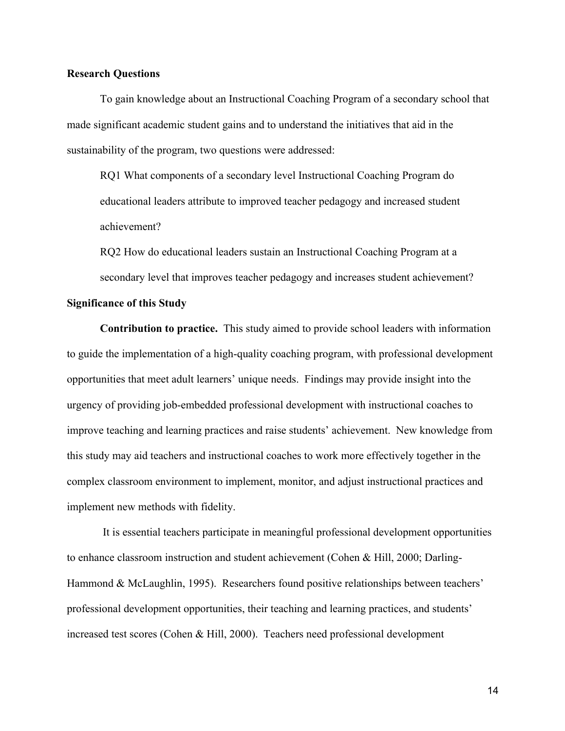# **Research Questions**

To gain knowledge about an Instructional Coaching Program of a secondary school that made significant academic student gains and to understand the initiatives that aid in the sustainability of the program, two questions were addressed:

RQ1 What components of a secondary level Instructional Coaching Program do educational leaders attribute to improved teacher pedagogy and increased student achievement?

RQ2 How do educational leaders sustain an Instructional Coaching Program at a secondary level that improves teacher pedagogy and increases student achievement?

# **Significance of this Study**

**Contribution to practice.** This study aimed to provide school leaders with information to guide the implementation of a high-quality coaching program, with professional development opportunities that meet adult learners' unique needs. Findings may provide insight into the urgency of providing job-embedded professional development with instructional coaches to improve teaching and learning practices and raise students' achievement. New knowledge from this study may aid teachers and instructional coaches to work more effectively together in the complex classroom environment to implement, monitor, and adjust instructional practices and implement new methods with fidelity.

It is essential teachers participate in meaningful professional development opportunities to enhance classroom instruction and student achievement (Cohen & Hill, 2000; Darling-Hammond & McLaughlin, 1995). Researchers found positive relationships between teachers' professional development opportunities, their teaching and learning practices, and students' increased test scores (Cohen & Hill, 2000). Teachers need professional development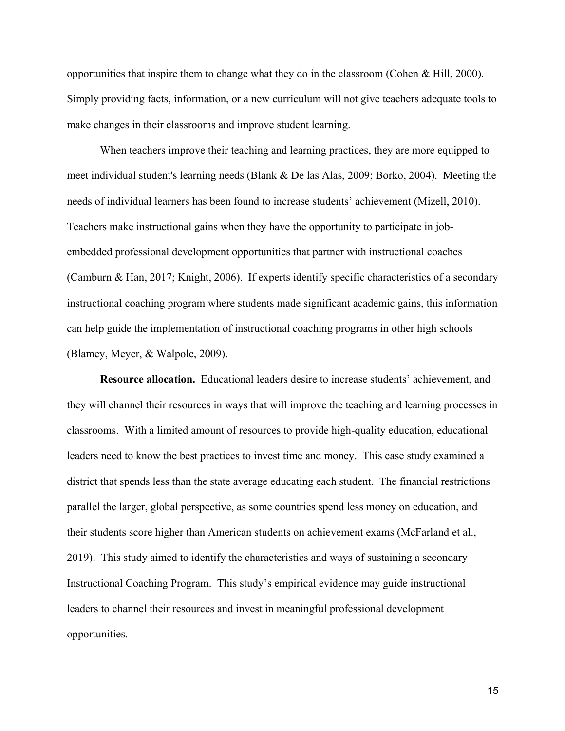opportunities that inspire them to change what they do in the classroom (Cohen & Hill, 2000). Simply providing facts, information, or a new curriculum will not give teachers adequate tools to make changes in their classrooms and improve student learning.

When teachers improve their teaching and learning practices, they are more equipped to meet individual student's learning needs (Blank & De las Alas, 2009; Borko, 2004). Meeting the needs of individual learners has been found to increase students' achievement (Mizell, 2010). Teachers make instructional gains when they have the opportunity to participate in jobembedded professional development opportunities that partner with instructional coaches (Camburn & Han, 2017; Knight, 2006). If experts identify specific characteristics of a secondary instructional coaching program where students made significant academic gains, this information can help guide the implementation of instructional coaching programs in other high schools (Blamey, Meyer, & Walpole, 2009).

**Resource allocation.** Educational leaders desire to increase students' achievement, and they will channel their resources in ways that will improve the teaching and learning processes in classrooms. With a limited amount of resources to provide high-quality education, educational leaders need to know the best practices to invest time and money. This case study examined a district that spends less than the state average educating each student. The financial restrictions parallel the larger, global perspective, as some countries spend less money on education, and their students score higher than American students on achievement exams (McFarland et al., 2019). This study aimed to identify the characteristics and ways of sustaining a secondary Instructional Coaching Program. This study's empirical evidence may guide instructional leaders to channel their resources and invest in meaningful professional development opportunities.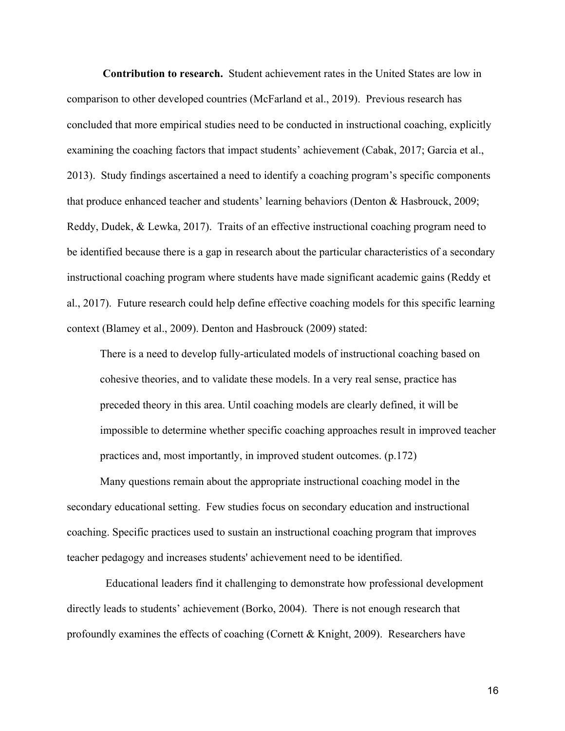**Contribution to research.** Student achievement rates in the United States are low in comparison to other developed countries (McFarland et al., 2019). Previous research has concluded that more empirical studies need to be conducted in instructional coaching, explicitly examining the coaching factors that impact students' achievement (Cabak, 2017; Garcia et al., 2013). Study findings ascertained a need to identify a coaching program's specific components that produce enhanced teacher and students' learning behaviors (Denton & Hasbrouck, 2009; Reddy, Dudek, & Lewka, 2017). Traits of an effective instructional coaching program need to be identified because there is a gap in research about the particular characteristics of a secondary instructional coaching program where students have made significant academic gains (Reddy et al., 2017). Future research could help define effective coaching models for this specific learning context (Blamey et al., 2009). Denton and Hasbrouck (2009) stated:

There is a need to develop fully-articulated models of instructional coaching based on cohesive theories, and to validate these models. In a very real sense, practice has preceded theory in this area. Until coaching models are clearly defined, it will be impossible to determine whether specific coaching approaches result in improved teacher practices and, most importantly, in improved student outcomes. (p.172)

Many questions remain about the appropriate instructional coaching model in the secondary educational setting. Few studies focus on secondary education and instructional coaching. Specific practices used to sustain an instructional coaching program that improves teacher pedagogy and increases students' achievement need to be identified.

Educational leaders find it challenging to demonstrate how professional development directly leads to students' achievement (Borko, 2004). There is not enough research that profoundly examines the effects of coaching (Cornett & Knight, 2009). Researchers have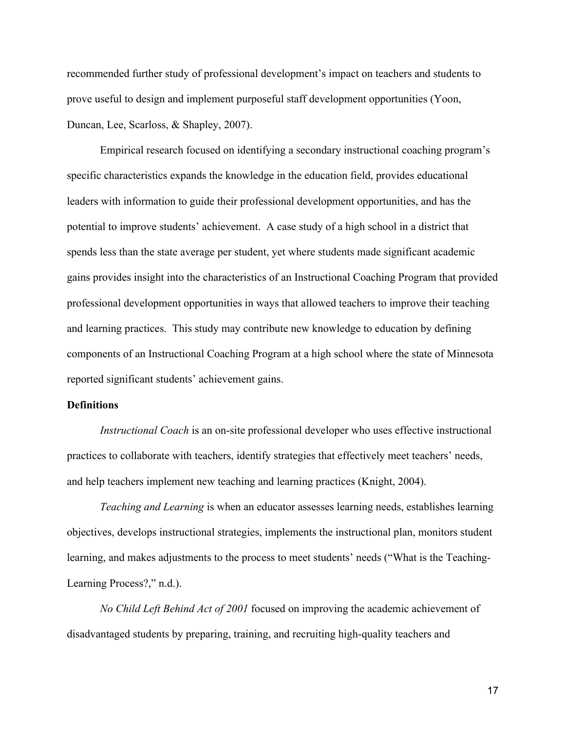recommended further study of professional development's impact on teachers and students to prove useful to design and implement purposeful staff development opportunities (Yoon, Duncan, Lee, Scarloss, & Shapley, 2007).

Empirical research focused on identifying a secondary instructional coaching program's specific characteristics expands the knowledge in the education field, provides educational leaders with information to guide their professional development opportunities, and has the potential to improve students' achievement. A case study of a high school in a district that spends less than the state average per student, yet where students made significant academic gains provides insight into the characteristics of an Instructional Coaching Program that provided professional development opportunities in ways that allowed teachers to improve their teaching and learning practices. This study may contribute new knowledge to education by defining components of an Instructional Coaching Program at a high school where the state of Minnesota reported significant students' achievement gains.

# **Definitions**

*Instructional Coach* is an on-site professional developer who uses effective instructional practices to collaborate with teachers, identify strategies that effectively meet teachers' needs, and help teachers implement new teaching and learning practices (Knight, 2004).

*Teaching and Learning* is when an educator assesses learning needs, establishes learning objectives, develops instructional strategies, implements the instructional plan, monitors student learning, and makes adjustments to the process to meet students' needs ("What is the Teaching-Learning Process?," n.d.).

*No Child Left Behind Act of 2001* focused on improving the academic achievement of disadvantaged students by preparing, training, and recruiting high-quality teachers and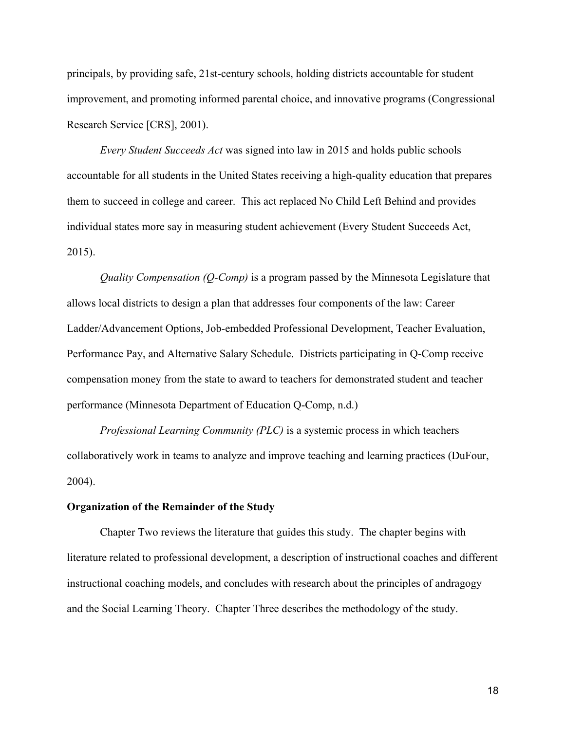principals, by providing safe, 21st-century schools, holding districts accountable for student improvement, and promoting informed parental choice, and innovative programs (Congressional Research Service [CRS], 2001).

*Every Student Succeeds Act* was signed into law in 2015 and holds public schools accountable for all students in the United States receiving a high-quality education that prepares them to succeed in college and career. This act replaced No Child Left Behind and provides individual states more say in measuring student achievement (Every Student Succeeds Act, 2015).

*Quality Compensation (Q-Comp)* is a program passed by the Minnesota Legislature that allows local districts to design a plan that addresses four components of the law: Career Ladder/Advancement Options, Job-embedded Professional Development, Teacher Evaluation, Performance Pay, and Alternative Salary Schedule. Districts participating in Q-Comp receive compensation money from the state to award to teachers for demonstrated student and teacher performance (Minnesota Department of Education Q-Comp, n.d.)

*Professional Learning Community (PLC)* is a systemic process in which teachers collaboratively work in teams to analyze and improve teaching and learning practices (DuFour, 2004).

#### **Organization of the Remainder of the Study**

Chapter Two reviews the literature that guides this study. The chapter begins with literature related to professional development, a description of instructional coaches and different instructional coaching models, and concludes with research about the principles of andragogy and the Social Learning Theory. Chapter Three describes the methodology of the study.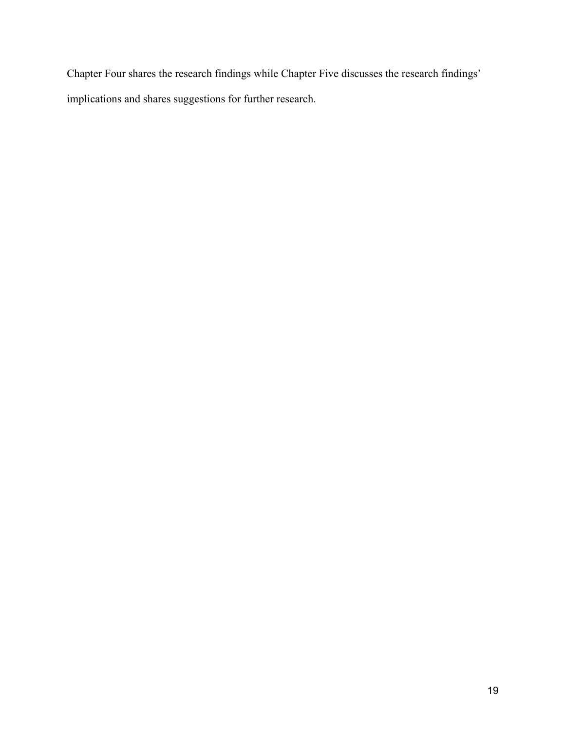Chapter Four shares the research findings while Chapter Five discusses the research findings' implications and shares suggestions for further research.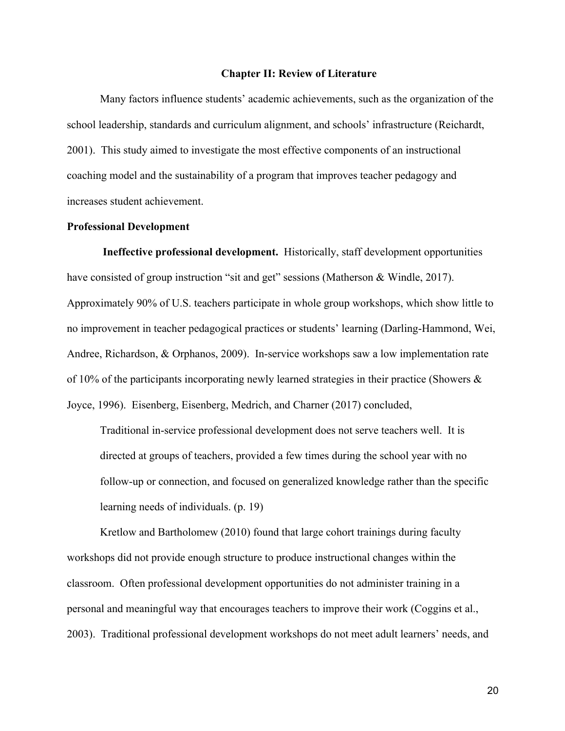#### **Chapter II: Review of Literature**

Many factors influence students' academic achievements, such as the organization of the school leadership, standards and curriculum alignment, and schools' infrastructure (Reichardt, 2001). This study aimed to investigate the most effective components of an instructional coaching model and the sustainability of a program that improves teacher pedagogy and increases student achievement.

#### **Professional Development**

**Ineffective professional development.** Historically, staff development opportunities have consisted of group instruction "sit and get" sessions (Matherson & Windle, 2017). Approximately 90% of U.S. teachers participate in whole group workshops, which show little to no improvement in teacher pedagogical practices or students' learning (Darling-Hammond, Wei, Andree, Richardson, & Orphanos, 2009). In-service workshops saw a low implementation rate of 10% of the participants incorporating newly learned strategies in their practice (Showers & Joyce, 1996). Eisenberg, Eisenberg, Medrich, and Charner (2017) concluded,

Traditional in-service professional development does not serve teachers well. It is directed at groups of teachers, provided a few times during the school year with no follow-up or connection, and focused on generalized knowledge rather than the specific learning needs of individuals. (p. 19)

Kretlow and Bartholomew (2010) found that large cohort trainings during faculty workshops did not provide enough structure to produce instructional changes within the classroom. Often professional development opportunities do not administer training in a personal and meaningful way that encourages teachers to improve their work (Coggins et al., 2003). Traditional professional development workshops do not meet adult learners' needs, and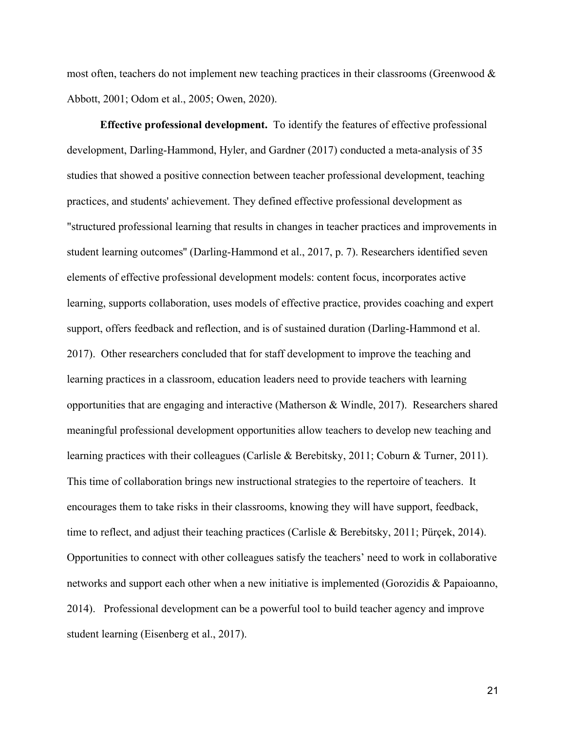most often, teachers do not implement new teaching practices in their classrooms (Greenwood  $\&$ Abbott, 2001; Odom et al., 2005; Owen, 2020).

**Effective professional development.** To identify the features of effective professional development, Darling-Hammond, Hyler, and Gardner (2017) conducted a meta-analysis of 35 studies that showed a positive connection between teacher professional development, teaching practices, and students' achievement. They defined effective professional development as "structured professional learning that results in changes in teacher practices and improvements in student learning outcomes'' (Darling-Hammond et al., 2017, p. 7). Researchers identified seven elements of effective professional development models: content focus, incorporates active learning, supports collaboration, uses models of effective practice, provides coaching and expert support, offers feedback and reflection, and is of sustained duration (Darling-Hammond et al. 2017). Other researchers concluded that for staff development to improve the teaching and learning practices in a classroom, education leaders need to provide teachers with learning opportunities that are engaging and interactive (Matherson & Windle, 2017). Researchers shared meaningful professional development opportunities allow teachers to develop new teaching and learning practices with their colleagues (Carlisle & Berebitsky, 2011; Coburn & Turner, 2011). This time of collaboration brings new instructional strategies to the repertoire of teachers. It encourages them to take risks in their classrooms, knowing they will have support, feedback, time to reflect, and adjust their teaching practices (Carlisle & Berebitsky, 2011; Pürçek, 2014). Opportunities to connect with other colleagues satisfy the teachers' need to work in collaborative networks and support each other when a new initiative is implemented (Gorozidis & Papaioanno, 2014). Professional development can be a powerful tool to build teacher agency and improve student learning (Eisenberg et al., 2017).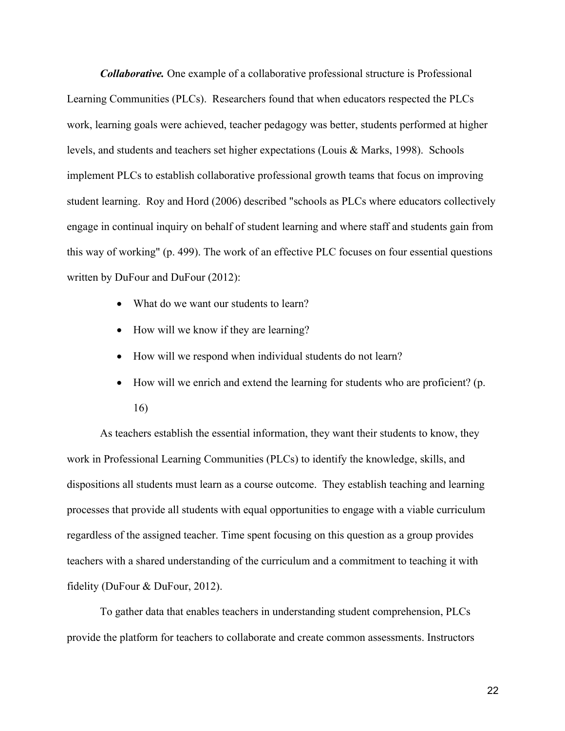*Collaborative.* One example of a collaborative professional structure is Professional Learning Communities (PLCs). Researchers found that when educators respected the PLCs work, learning goals were achieved, teacher pedagogy was better, students performed at higher levels, and students and teachers set higher expectations (Louis & Marks, 1998). Schools implement PLCs to establish collaborative professional growth teams that focus on improving student learning. Roy and Hord (2006) described "schools as PLCs where educators collectively engage in continual inquiry on behalf of student learning and where staff and students gain from this way of working" (p. 499). The work of an effective PLC focuses on four essential questions written by DuFour and DuFour (2012):

- What do we want our students to learn?
- How will we know if they are learning?
- How will we respond when individual students do not learn?
- How will we enrich and extend the learning for students who are proficient? (p. 16)

As teachers establish the essential information, they want their students to know, they work in Professional Learning Communities (PLCs) to identify the knowledge, skills, and dispositions all students must learn as a course outcome. They establish teaching and learning processes that provide all students with equal opportunities to engage with a viable curriculum regardless of the assigned teacher. Time spent focusing on this question as a group provides teachers with a shared understanding of the curriculum and a commitment to teaching it with fidelity (DuFour & DuFour, 2012).

To gather data that enables teachers in understanding student comprehension, PLCs provide the platform for teachers to collaborate and create common assessments. Instructors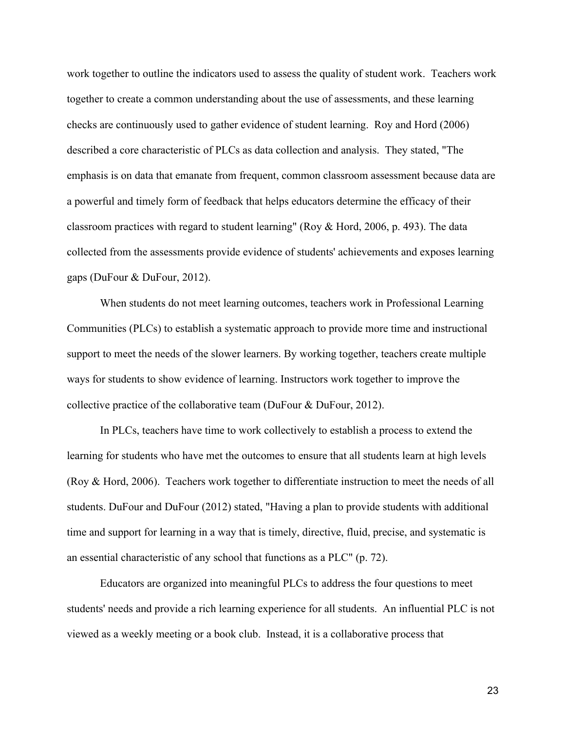work together to outline the indicators used to assess the quality of student work. Teachers work together to create a common understanding about the use of assessments, and these learning checks are continuously used to gather evidence of student learning. Roy and Hord (2006) described a core characteristic of PLCs as data collection and analysis. They stated, "The emphasis is on data that emanate from frequent, common classroom assessment because data are a powerful and timely form of feedback that helps educators determine the efficacy of their classroom practices with regard to student learning" (Roy & Hord, 2006, p. 493). The data collected from the assessments provide evidence of students' achievements and exposes learning gaps (DuFour & DuFour, 2012).

When students do not meet learning outcomes, teachers work in Professional Learning Communities (PLCs) to establish a systematic approach to provide more time and instructional support to meet the needs of the slower learners. By working together, teachers create multiple ways for students to show evidence of learning. Instructors work together to improve the collective practice of the collaborative team (DuFour & DuFour, 2012).

In PLCs, teachers have time to work collectively to establish a process to extend the learning for students who have met the outcomes to ensure that all students learn at high levels (Roy & Hord, 2006). Teachers work together to differentiate instruction to meet the needs of all students. DuFour and DuFour (2012) stated, "Having a plan to provide students with additional time and support for learning in a way that is timely, directive, fluid, precise, and systematic is an essential characteristic of any school that functions as a PLC" (p. 72).

Educators are organized into meaningful PLCs to address the four questions to meet students' needs and provide a rich learning experience for all students. An influential PLC is not viewed as a weekly meeting or a book club. Instead, it is a collaborative process that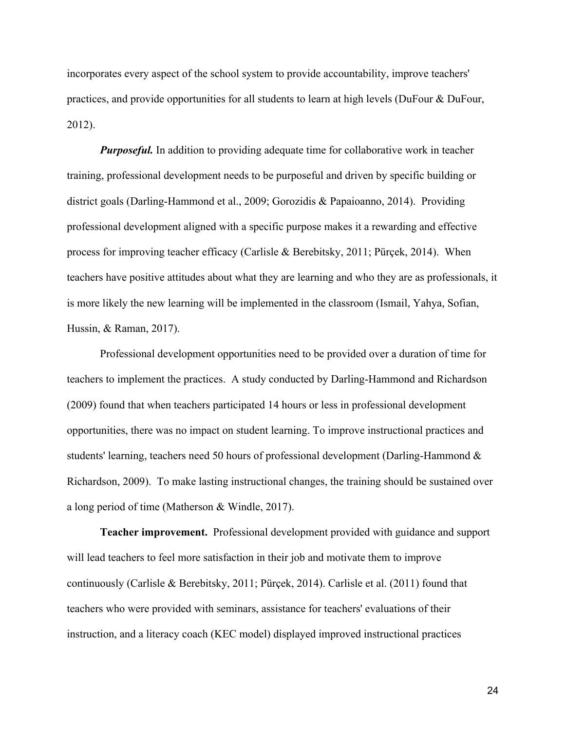incorporates every aspect of the school system to provide accountability, improve teachers' practices, and provide opportunities for all students to learn at high levels (DuFour & DuFour, 2012).

*Purposeful.* In addition to providing adequate time for collaborative work in teacher training, professional development needs to be purposeful and driven by specific building or district goals (Darling-Hammond et al., 2009; Gorozidis & Papaioanno, 2014). Providing professional development aligned with a specific purpose makes it a rewarding and effective process for improving teacher efficacy (Carlisle & Berebitsky, 2011; Pürçek, 2014). When teachers have positive attitudes about what they are learning and who they are as professionals, it is more likely the new learning will be implemented in the classroom (Ismail, Yahya, Sofian, Hussin, & Raman, 2017).

Professional development opportunities need to be provided over a duration of time for teachers to implement the practices. A study conducted by Darling-Hammond and Richardson (2009) found that when teachers participated 14 hours or less in professional development opportunities, there was no impact on student learning. To improve instructional practices and students' learning, teachers need 50 hours of professional development (Darling-Hammond & Richardson, 2009). To make lasting instructional changes, the training should be sustained over a long period of time (Matherson & Windle, 2017).

**Teacher improvement.** Professional development provided with guidance and support will lead teachers to feel more satisfaction in their job and motivate them to improve continuously (Carlisle & Berebitsky, 2011; Pürçek, 2014). Carlisle et al. (2011) found that teachers who were provided with seminars, assistance for teachers' evaluations of their instruction, and a literacy coach (KEC model) displayed improved instructional practices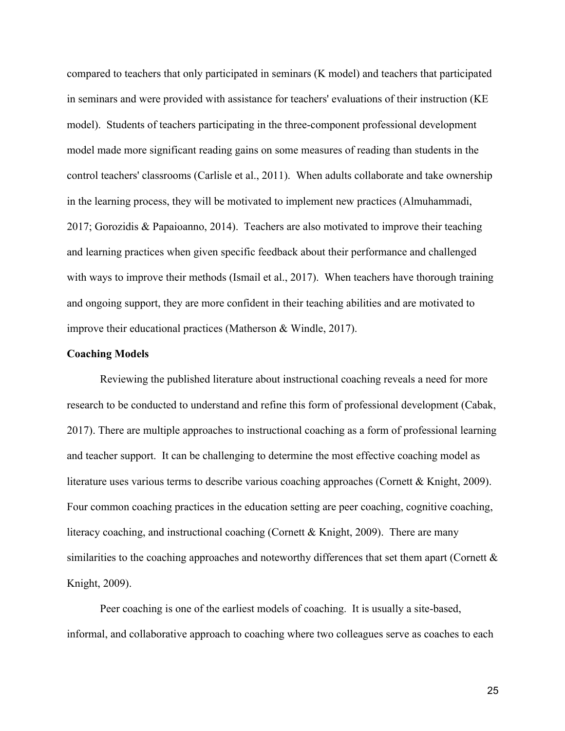compared to teachers that only participated in seminars (K model) and teachers that participated in seminars and were provided with assistance for teachers' evaluations of their instruction (KE model). Students of teachers participating in the three-component professional development model made more significant reading gains on some measures of reading than students in the control teachers' classrooms (Carlisle et al., 2011). When adults collaborate and take ownership in the learning process, they will be motivated to implement new practices (Almuhammadi, 2017; Gorozidis & Papaioanno, 2014). Teachers are also motivated to improve their teaching and learning practices when given specific feedback about their performance and challenged with ways to improve their methods (Ismail et al., 2017). When teachers have thorough training and ongoing support, they are more confident in their teaching abilities and are motivated to improve their educational practices (Matherson & Windle, 2017).

#### **Coaching Models**

Reviewing the published literature about instructional coaching reveals a need for more research to be conducted to understand and refine this form of professional development (Cabak, 2017). There are multiple approaches to instructional coaching as a form of professional learning and teacher support. It can be challenging to determine the most effective coaching model as literature uses various terms to describe various coaching approaches (Cornett & Knight, 2009). Four common coaching practices in the education setting are peer coaching, cognitive coaching, literacy coaching, and instructional coaching (Cornett & Knight, 2009). There are many similarities to the coaching approaches and noteworthy differences that set them apart (Cornett & Knight, 2009).

Peer coaching is one of the earliest models of coaching. It is usually a site-based, informal, and collaborative approach to coaching where two colleagues serve as coaches to each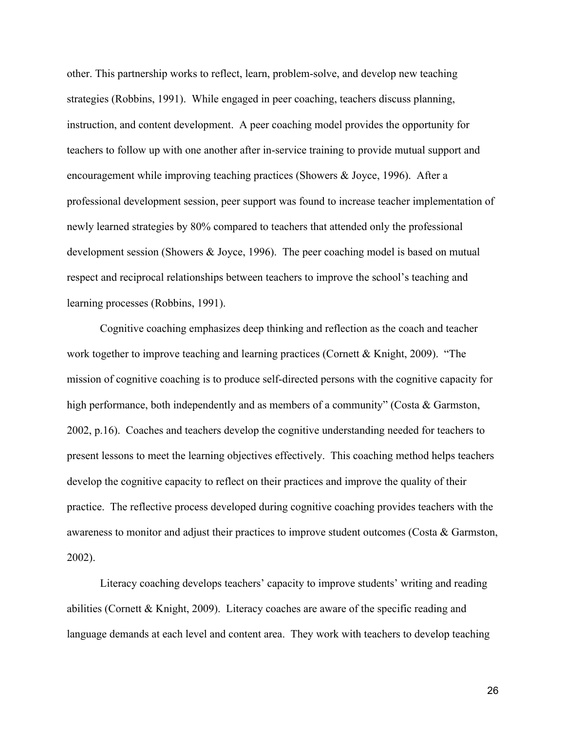other. This partnership works to reflect, learn, problem-solve, and develop new teaching strategies (Robbins, 1991). While engaged in peer coaching, teachers discuss planning, instruction, and content development. A peer coaching model provides the opportunity for teachers to follow up with one another after in-service training to provide mutual support and encouragement while improving teaching practices (Showers & Joyce, 1996). After a professional development session, peer support was found to increase teacher implementation of newly learned strategies by 80% compared to teachers that attended only the professional development session (Showers & Joyce, 1996). The peer coaching model is based on mutual respect and reciprocal relationships between teachers to improve the school's teaching and learning processes (Robbins, 1991).

Cognitive coaching emphasizes deep thinking and reflection as the coach and teacher work together to improve teaching and learning practices (Cornett & Knight, 2009). "The mission of cognitive coaching is to produce self-directed persons with the cognitive capacity for high performance, both independently and as members of a community" (Costa & Garmston, 2002, p.16). Coaches and teachers develop the cognitive understanding needed for teachers to present lessons to meet the learning objectives effectively. This coaching method helps teachers develop the cognitive capacity to reflect on their practices and improve the quality of their practice. The reflective process developed during cognitive coaching provides teachers with the awareness to monitor and adjust their practices to improve student outcomes (Costa & Garmston, 2002).

Literacy coaching develops teachers' capacity to improve students' writing and reading abilities (Cornett & Knight, 2009). Literacy coaches are aware of the specific reading and language demands at each level and content area. They work with teachers to develop teaching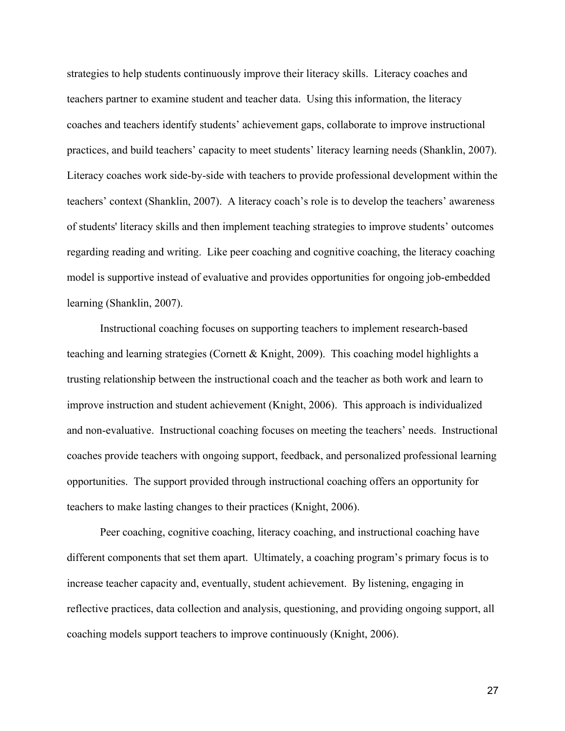strategies to help students continuously improve their literacy skills. Literacy coaches and teachers partner to examine student and teacher data. Using this information, the literacy coaches and teachers identify students' achievement gaps, collaborate to improve instructional practices, and build teachers' capacity to meet students' literacy learning needs (Shanklin, 2007). Literacy coaches work side-by-side with teachers to provide professional development within the teachers' context (Shanklin, 2007). A literacy coach's role is to develop the teachers' awareness of students' literacy skills and then implement teaching strategies to improve students' outcomes regarding reading and writing. Like peer coaching and cognitive coaching, the literacy coaching model is supportive instead of evaluative and provides opportunities for ongoing job-embedded learning (Shanklin, 2007).

Instructional coaching focuses on supporting teachers to implement research-based teaching and learning strategies (Cornett & Knight, 2009). This coaching model highlights a trusting relationship between the instructional coach and the teacher as both work and learn to improve instruction and student achievement (Knight, 2006). This approach is individualized and non-evaluative. Instructional coaching focuses on meeting the teachers' needs. Instructional coaches provide teachers with ongoing support, feedback, and personalized professional learning opportunities. The support provided through instructional coaching offers an opportunity for teachers to make lasting changes to their practices (Knight, 2006).

Peer coaching, cognitive coaching, literacy coaching, and instructional coaching have different components that set them apart. Ultimately, a coaching program's primary focus is to increase teacher capacity and, eventually, student achievement. By listening, engaging in reflective practices, data collection and analysis, questioning, and providing ongoing support, all coaching models support teachers to improve continuously (Knight, 2006).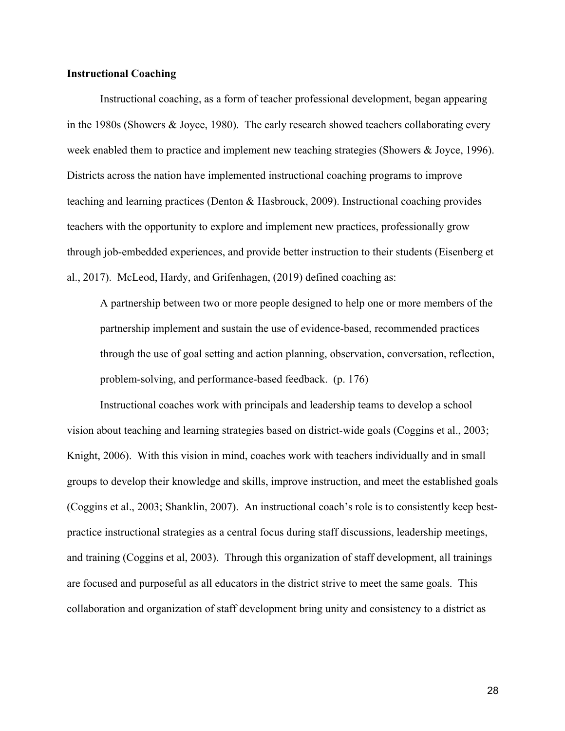# **Instructional Coaching**

Instructional coaching, as a form of teacher professional development, began appearing in the 1980s (Showers & Joyce, 1980). The early research showed teachers collaborating every week enabled them to practice and implement new teaching strategies (Showers & Joyce, 1996). Districts across the nation have implemented instructional coaching programs to improve teaching and learning practices (Denton & Hasbrouck, 2009). Instructional coaching provides teachers with the opportunity to explore and implement new practices, professionally grow through job-embedded experiences, and provide better instruction to their students (Eisenberg et al., 2017). McLeod, Hardy, and Grifenhagen, (2019) defined coaching as:

A partnership between two or more people designed to help one or more members of the partnership implement and sustain the use of evidence-based, recommended practices through the use of goal setting and action planning, observation, conversation, reflection, problem-solving, and performance-based feedback. (p. 176)

Instructional coaches work with principals and leadership teams to develop a school vision about teaching and learning strategies based on district-wide goals (Coggins et al., 2003; Knight, 2006). With this vision in mind, coaches work with teachers individually and in small groups to develop their knowledge and skills, improve instruction, and meet the established goals (Coggins et al., 2003; Shanklin, 2007). An instructional coach's role is to consistently keep bestpractice instructional strategies as a central focus during staff discussions, leadership meetings, and training (Coggins et al, 2003). Through this organization of staff development, all trainings are focused and purposeful as all educators in the district strive to meet the same goals. This collaboration and organization of staff development bring unity and consistency to a district as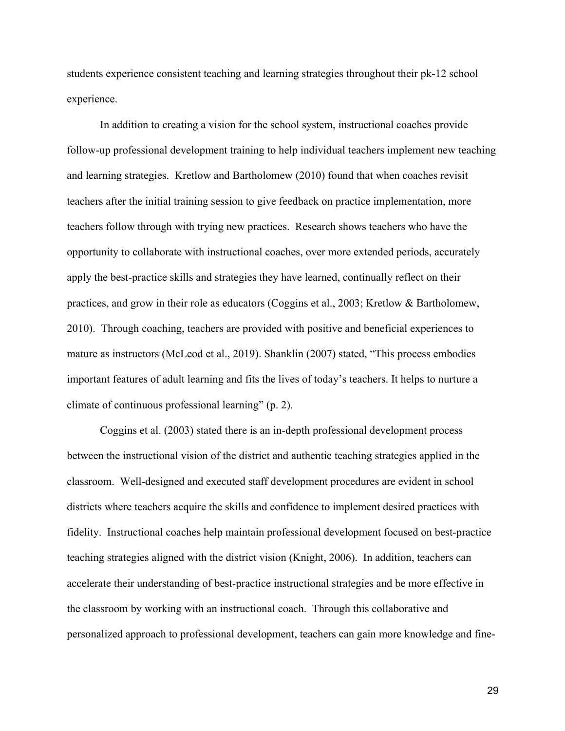students experience consistent teaching and learning strategies throughout their pk-12 school experience.

In addition to creating a vision for the school system, instructional coaches provide follow-up professional development training to help individual teachers implement new teaching and learning strategies. Kretlow and Bartholomew (2010) found that when coaches revisit teachers after the initial training session to give feedback on practice implementation, more teachers follow through with trying new practices. Research shows teachers who have the opportunity to collaborate with instructional coaches, over more extended periods, accurately apply the best-practice skills and strategies they have learned, continually reflect on their practices, and grow in their role as educators (Coggins et al., 2003; Kretlow & Bartholomew, 2010). Through coaching, teachers are provided with positive and beneficial experiences to mature as instructors (McLeod et al., 2019). Shanklin (2007) stated, "This process embodies important features of adult learning and fits the lives of today's teachers. It helps to nurture a climate of continuous professional learning" (p. 2).

Coggins et al. (2003) stated there is an in-depth professional development process between the instructional vision of the district and authentic teaching strategies applied in the classroom. Well-designed and executed staff development procedures are evident in school districts where teachers acquire the skills and confidence to implement desired practices with fidelity. Instructional coaches help maintain professional development focused on best-practice teaching strategies aligned with the district vision (Knight, 2006). In addition, teachers can accelerate their understanding of best-practice instructional strategies and be more effective in the classroom by working with an instructional coach. Through this collaborative and personalized approach to professional development, teachers can gain more knowledge and fine-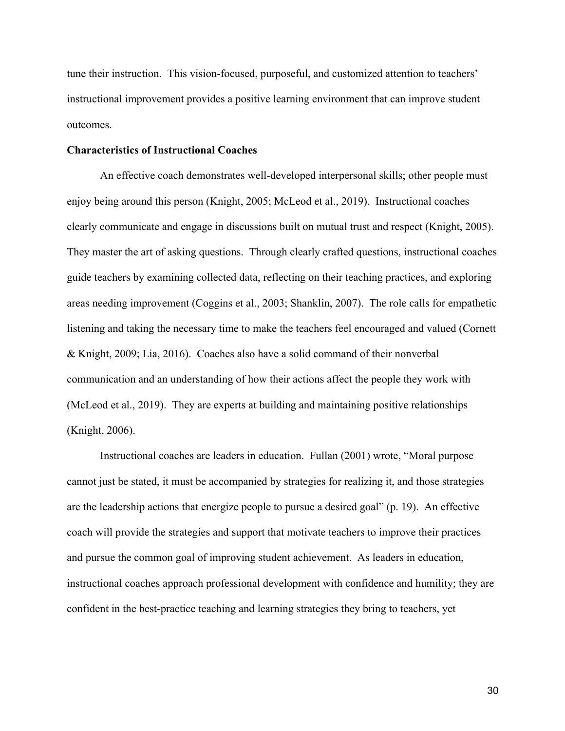tune their instruction. This vision-focused, purposeful, and customized attention to teachers' instructional improvement provides a positive learning environment that can improve student outcomes.

## **Characteristics of Instructional Coaches**

An effective coach demonstrates well-developed interpersonal skills; other people must enjoy being around this person (Knight, 2005; McLeod et al., 2019). Instructional coaches clearly communicate and engage in discussions built on mutual trust and respect (Knight, 2005). They master the art of asking questions. Through clearly crafted questions, instructional coaches guide teachers by examining collected data, reflecting on their teaching practices, and exploring areas needing improvement (Coggins et al., 2003; Shanklin, 2007). The role calls for empathetic listening and taking the necessary time to make the teachers feel encouraged and valued (Cornett & Knight, 2009; Lia, 2016). Coaches also have a solid command of their nonverbal communication and an understanding of how their actions affect the people they work with (McLeod et al., 2019). They are experts at building and maintaining positive relationships (Knight, 2006).

Instructional coaches are leaders in education. Fullan (2001) wrote, "Moral purpose cannot just be stated, it must be accompanied by strategies for realizing it, and those strategies are the leadership actions that energize people to pursue a desired goal" (p. 19). An effective coach will provide the strategies and support that motivate teachers to improve their practices and pursue the common goal of improving student achievement. As leaders in education, instructional coaches approach professional development with confidence and humility; they are confident in the best-practice teaching and learning strategies they bring to teachers, yet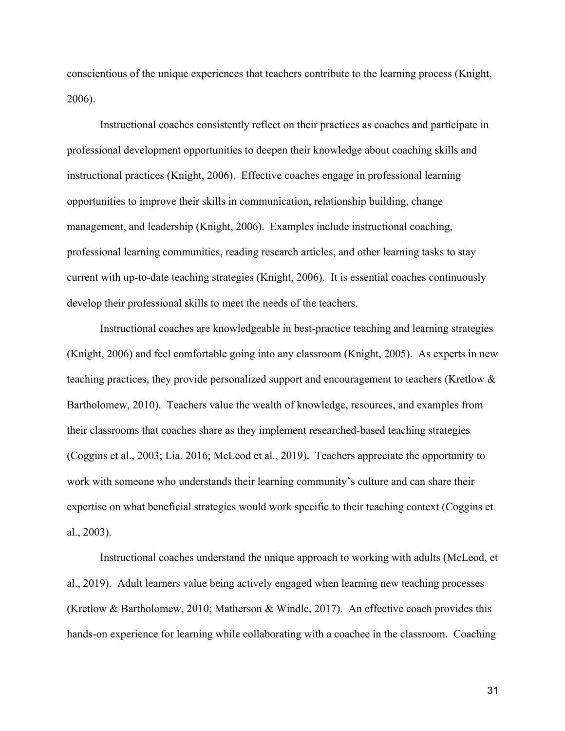conscientious of the unique experiences that teachers contribute to the learning process (Knight, 2006).

Instructional coaches consistently reflect on their practices as coaches and participate in professional development opportunities to deepen their knowledge about coaching skills and instructional practices (Knight, 2006). Effective coaches engage in professional learning opportunities to improve their skills in communication, relationship building, change management, and leadership (Knight, 2006). Examples include instructional coaching, professional learning communities, reading research articles, and other learning tasks to stay current with up-to-date teaching strategies (Knight, 2006). It is essential coaches continuously develop their professional skills to meet the needs of the teachers.

Instructional coaches are knowledgeable in best-practice teaching and learning strategies (Knight, 2006) and feel comfortable going into any classroom (Knight, 2005). As experts in new teaching practices, they provide personalized support and encouragement to teachers (Kretlow & Bartholomew, 2010). Teachers value the wealth of knowledge, resources, and examples from their classrooms that coaches share as they implement researched-based teaching strategies (Coggins et al., 2003; Lia, 2016; McLeod et al., 2019). Teachers appreciate the opportunity to work with someone who understands their learning community's culture and can share their expertise on what beneficial strategies would work specific to their teaching context (Coggins et al., 2003).

Instructional coaches understand the unique approach to working with adults (McLeod, et al., 2019). Adult learners value being actively engaged when learning new teaching processes (Kretlow & Bartholomew, 2010; Matherson & Windle, 2017). An effective coach provides this hands-on experience for learning while collaborating with a coachee in the classroom. Coaching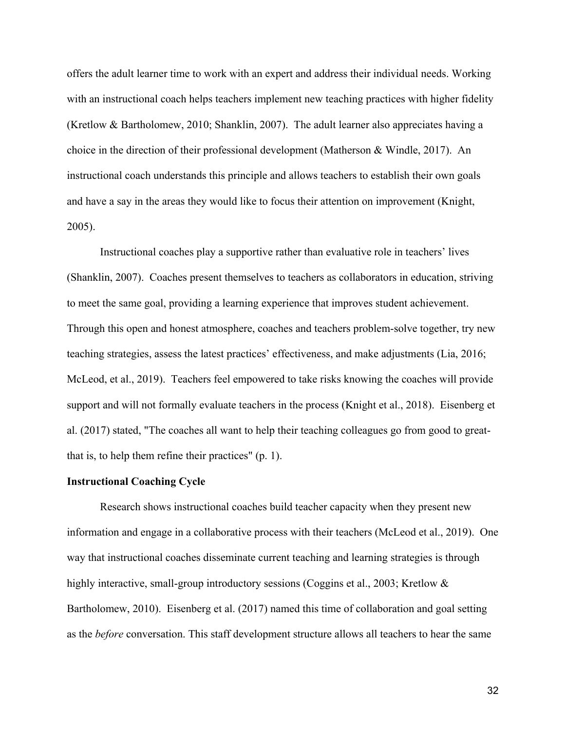offers the adult learner time to work with an expert and address their individual needs. Working with an instructional coach helps teachers implement new teaching practices with higher fidelity (Kretlow & Bartholomew, 2010; Shanklin, 2007). The adult learner also appreciates having a choice in the direction of their professional development (Matherson & Windle, 2017). An instructional coach understands this principle and allows teachers to establish their own goals and have a say in the areas they would like to focus their attention on improvement (Knight, 2005).

Instructional coaches play a supportive rather than evaluative role in teachers' lives (Shanklin, 2007). Coaches present themselves to teachers as collaborators in education, striving to meet the same goal, providing a learning experience that improves student achievement. Through this open and honest atmosphere, coaches and teachers problem-solve together, try new teaching strategies, assess the latest practices' effectiveness, and make adjustments (Lia, 2016; McLeod, et al., 2019). Teachers feel empowered to take risks knowing the coaches will provide support and will not formally evaluate teachers in the process (Knight et al., 2018). Eisenberg et al. (2017) stated, "The coaches all want to help their teaching colleagues go from good to greatthat is, to help them refine their practices" (p. 1).

#### **Instructional Coaching Cycle**

Research shows instructional coaches build teacher capacity when they present new information and engage in a collaborative process with their teachers (McLeod et al., 2019). One way that instructional coaches disseminate current teaching and learning strategies is through highly interactive, small-group introductory sessions (Coggins et al., 2003; Kretlow & Bartholomew, 2010). Eisenberg et al. (2017) named this time of collaboration and goal setting as the *before* conversation. This staff development structure allows all teachers to hear the same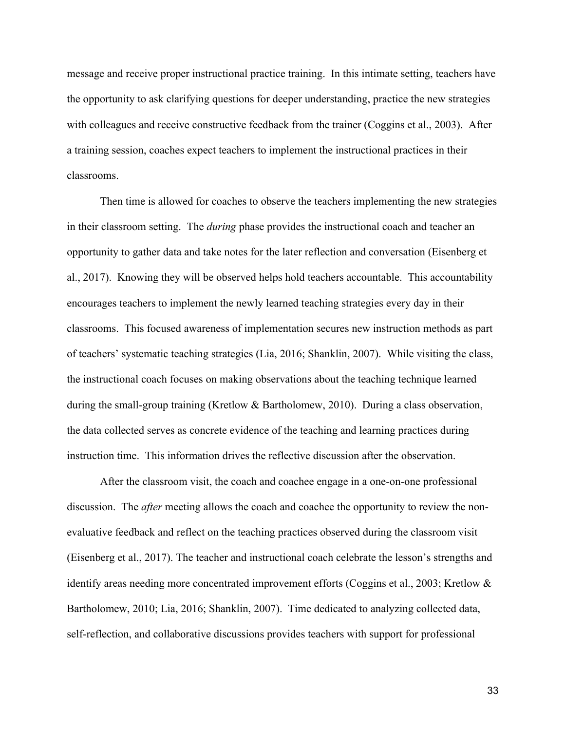message and receive proper instructional practice training. In this intimate setting, teachers have the opportunity to ask clarifying questions for deeper understanding, practice the new strategies with colleagues and receive constructive feedback from the trainer (Coggins et al., 2003). After a training session, coaches expect teachers to implement the instructional practices in their classrooms.

Then time is allowed for coaches to observe the teachers implementing the new strategies in their classroom setting. The *during* phase provides the instructional coach and teacher an opportunity to gather data and take notes for the later reflection and conversation (Eisenberg et al., 2017). Knowing they will be observed helps hold teachers accountable. This accountability encourages teachers to implement the newly learned teaching strategies every day in their classrooms. This focused awareness of implementation secures new instruction methods as part of teachers' systematic teaching strategies (Lia, 2016; Shanklin, 2007). While visiting the class, the instructional coach focuses on making observations about the teaching technique learned during the small-group training (Kretlow & Bartholomew, 2010). During a class observation, the data collected serves as concrete evidence of the teaching and learning practices during instruction time. This information drives the reflective discussion after the observation.

After the classroom visit, the coach and coachee engage in a one-on-one professional discussion. The *after* meeting allows the coach and coachee the opportunity to review the nonevaluative feedback and reflect on the teaching practices observed during the classroom visit (Eisenberg et al., 2017). The teacher and instructional coach celebrate the lesson's strengths and identify areas needing more concentrated improvement efforts (Coggins et al., 2003; Kretlow & Bartholomew, 2010; Lia, 2016; Shanklin, 2007). Time dedicated to analyzing collected data, self-reflection, and collaborative discussions provides teachers with support for professional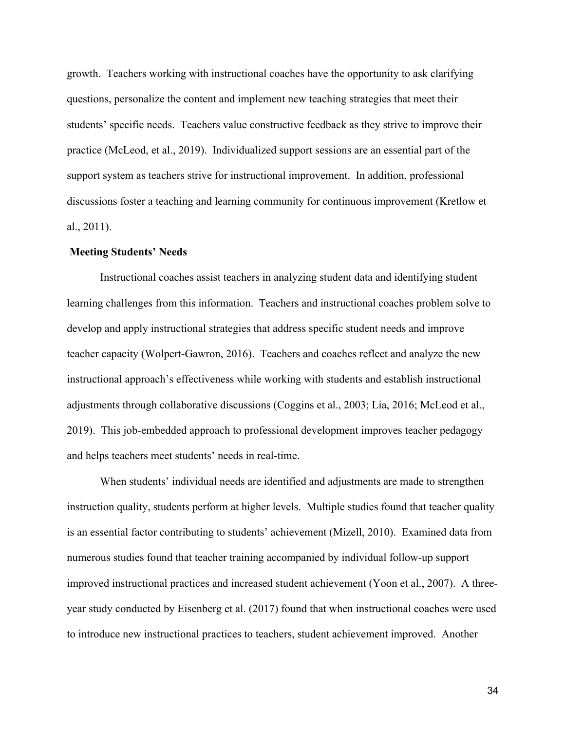growth. Teachers working with instructional coaches have the opportunity to ask clarifying questions, personalize the content and implement new teaching strategies that meet their students' specific needs. Teachers value constructive feedback as they strive to improve their practice (McLeod, et al., 2019). Individualized support sessions are an essential part of the support system as teachers strive for instructional improvement. In addition, professional discussions foster a teaching and learning community for continuous improvement (Kretlow et al., 2011).

#### **Meeting Students' Needs**

Instructional coaches assist teachers in analyzing student data and identifying student learning challenges from this information. Teachers and instructional coaches problem solve to develop and apply instructional strategies that address specific student needs and improve teacher capacity (Wolpert-Gawron, 2016). Teachers and coaches reflect and analyze the new instructional approach's effectiveness while working with students and establish instructional adjustments through collaborative discussions (Coggins et al., 2003; Lia, 2016; McLeod et al., 2019). This job-embedded approach to professional development improves teacher pedagogy and helps teachers meet students' needs in real-time.

When students' individual needs are identified and adjustments are made to strengthen instruction quality, students perform at higher levels. Multiple studies found that teacher quality is an essential factor contributing to students' achievement (Mizell, 2010). Examined data from numerous studies found that teacher training accompanied by individual follow-up support improved instructional practices and increased student achievement (Yoon et al., 2007). A threeyear study conducted by Eisenberg et al. (2017) found that when instructional coaches were used to introduce new instructional practices to teachers, student achievement improved. Another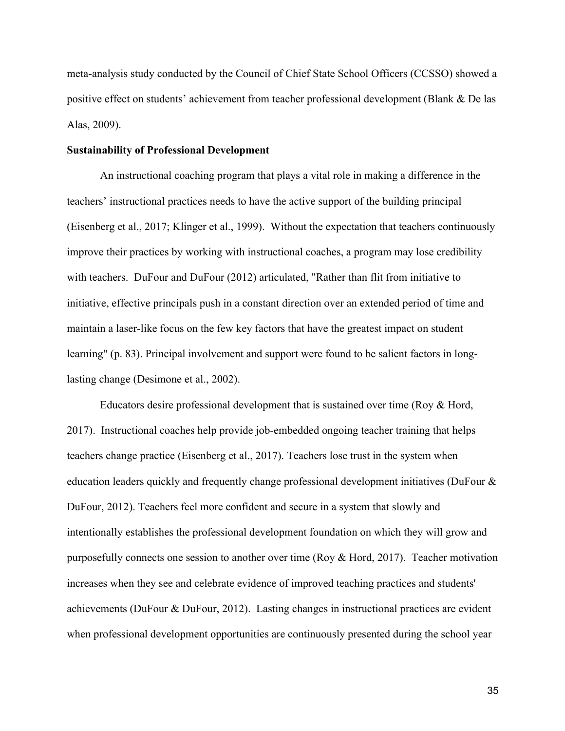meta-analysis study conducted by the Council of Chief State School Officers (CCSSO) showed a positive effect on students' achievement from teacher professional development (Blank & De las Alas, 2009).

#### **Sustainability of Professional Development**

An instructional coaching program that plays a vital role in making a difference in the teachers' instructional practices needs to have the active support of the building principal (Eisenberg et al., 2017; Klinger et al., 1999). Without the expectation that teachers continuously improve their practices by working with instructional coaches, a program may lose credibility with teachers. DuFour and DuFour (2012) articulated, "Rather than flit from initiative to initiative, effective principals push in a constant direction over an extended period of time and maintain a laser-like focus on the few key factors that have the greatest impact on student learning" (p. 83). Principal involvement and support were found to be salient factors in longlasting change (Desimone et al., 2002).

Educators desire professional development that is sustained over time (Roy & Hord, 2017). Instructional coaches help provide job-embedded ongoing teacher training that helps teachers change practice (Eisenberg et al., 2017). Teachers lose trust in the system when education leaders quickly and frequently change professional development initiatives (DuFour & DuFour, 2012). Teachers feel more confident and secure in a system that slowly and intentionally establishes the professional development foundation on which they will grow and purposefully connects one session to another over time (Roy & Hord, 2017). Teacher motivation increases when they see and celebrate evidence of improved teaching practices and students' achievements (DuFour & DuFour, 2012). Lasting changes in instructional practices are evident when professional development opportunities are continuously presented during the school year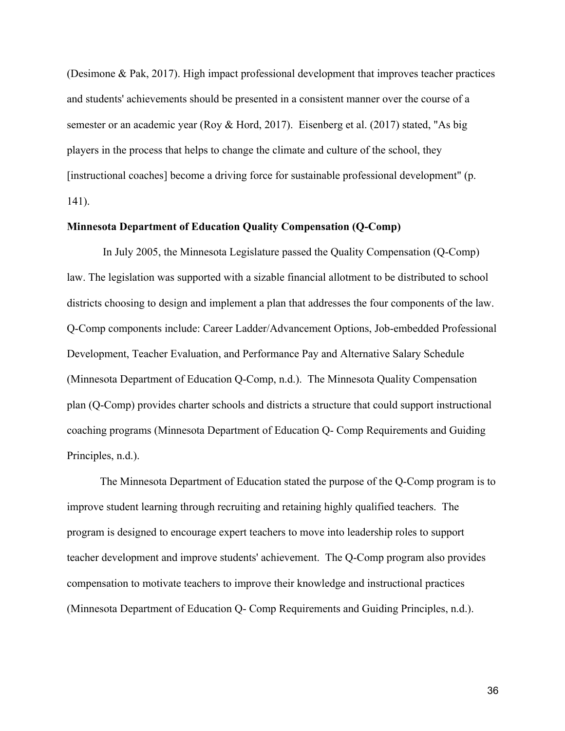(Desimone & Pak, 2017). High impact professional development that improves teacher practices and students' achievements should be presented in a consistent manner over the course of a semester or an academic year (Roy & Hord, 2017). Eisenberg et al. (2017) stated, "As big players in the process that helps to change the climate and culture of the school, they [instructional coaches] become a driving force for sustainable professional development" (p. 141).

#### **Minnesota Department of Education Quality Compensation (Q-Comp)**

In July 2005, the Minnesota Legislature passed the Quality Compensation (Q-Comp) law. The legislation was supported with a sizable financial allotment to be distributed to school districts choosing to design and implement a plan that addresses the four components of the law. Q-Comp components include: Career Ladder/Advancement Options, Job-embedded Professional Development, Teacher Evaluation, and Performance Pay and Alternative Salary Schedule (Minnesota Department of Education Q-Comp, n.d.). The Minnesota Quality Compensation plan (Q-Comp) provides charter schools and districts a structure that could support instructional coaching programs (Minnesota Department of Education Q- Comp Requirements and Guiding Principles, n.d.).

The Minnesota Department of Education stated the purpose of the Q-Comp program is to improve student learning through recruiting and retaining highly qualified teachers. The program is designed to encourage expert teachers to move into leadership roles to support teacher development and improve students' achievement. The Q-Comp program also provides compensation to motivate teachers to improve their knowledge and instructional practices (Minnesota Department of Education Q- Comp Requirements and Guiding Principles, n.d.).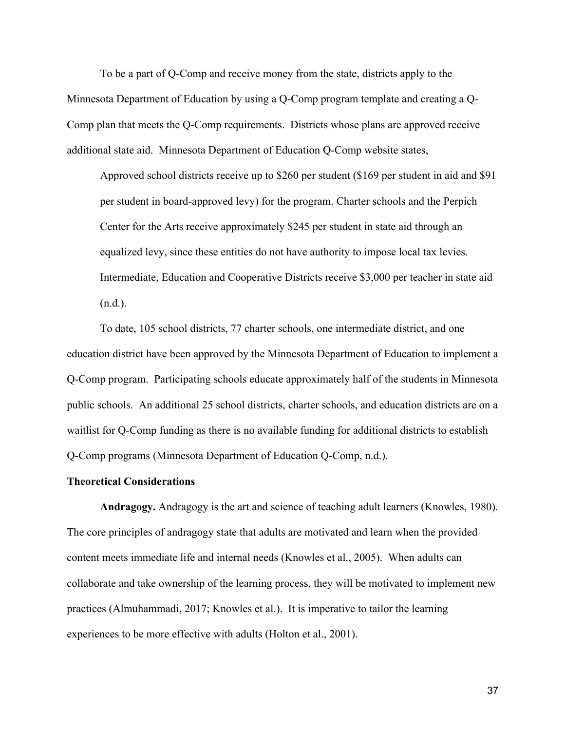To be a part of Q-Comp and receive money from the state, districts apply to the Minnesota Department of Education by using a Q-Comp program template and creating a Q-Comp plan that meets the Q-Comp requirements. Districts whose plans are approved receive additional state aid. Minnesota Department of Education Q-Comp website states,

Approved school districts receive up to \$260 per student (\$169 per student in aid and \$91 per student in board-approved levy) for the program. Charter schools and the Perpich Center for the Arts receive approximately \$245 per student in state aid through an equalized levy, since these entities do not have authority to impose local tax levies. Intermediate, Education and Cooperative Districts receive \$3,000 per teacher in state aid (n.d.).

To date, 105 school districts, 77 charter schools, one intermediate district, and one education district have been approved by the Minnesota Department of Education to implement a Q-Comp program. Participating schools educate approximately half of the students in Minnesota public schools. An additional 25 school districts, charter schools, and education districts are on a waitlist for Q-Comp funding as there is no available funding for additional districts to establish Q-Comp programs (Minnesota Department of Education Q-Comp, n.d.).

### **Theoretical Considerations**

**Andragogy.** Andragogy is the art and science of teaching adult learners (Knowles, 1980). The core principles of andragogy state that adults are motivated and learn when the provided content meets immediate life and internal needs (Knowles et al., 2005). When adults can collaborate and take ownership of the learning process, they will be motivated to implement new practices (Almuhammadi, 2017; Knowles et al.). It is imperative to tailor the learning experiences to be more effective with adults (Holton et al., 2001).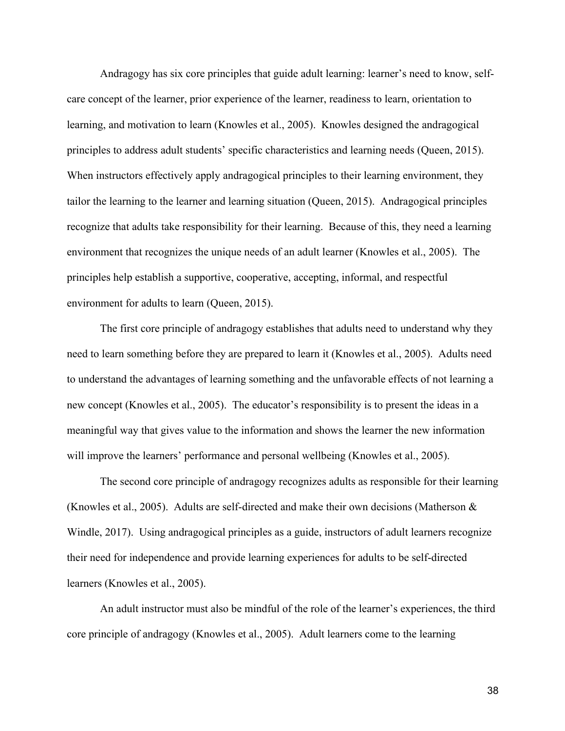Andragogy has six core principles that guide adult learning: learner's need to know, selfcare concept of the learner, prior experience of the learner, readiness to learn, orientation to learning, and motivation to learn (Knowles et al., 2005). Knowles designed the andragogical principles to address adult students' specific characteristics and learning needs (Queen, 2015). When instructors effectively apply andragogical principles to their learning environment, they tailor the learning to the learner and learning situation (Queen, 2015). Andragogical principles recognize that adults take responsibility for their learning. Because of this, they need a learning environment that recognizes the unique needs of an adult learner (Knowles et al., 2005). The principles help establish a supportive, cooperative, accepting, informal, and respectful environment for adults to learn (Queen, 2015).

The first core principle of andragogy establishes that adults need to understand why they need to learn something before they are prepared to learn it (Knowles et al., 2005). Adults need to understand the advantages of learning something and the unfavorable effects of not learning a new concept (Knowles et al., 2005). The educator's responsibility is to present the ideas in a meaningful way that gives value to the information and shows the learner the new information will improve the learners' performance and personal wellbeing (Knowles et al., 2005).

The second core principle of andragogy recognizes adults as responsible for their learning (Knowles et al., 2005). Adults are self-directed and make their own decisions (Matherson & Windle, 2017). Using andragogical principles as a guide, instructors of adult learners recognize their need for independence and provide learning experiences for adults to be self-directed learners (Knowles et al., 2005).

An adult instructor must also be mindful of the role of the learner's experiences, the third core principle of andragogy (Knowles et al., 2005). Adult learners come to the learning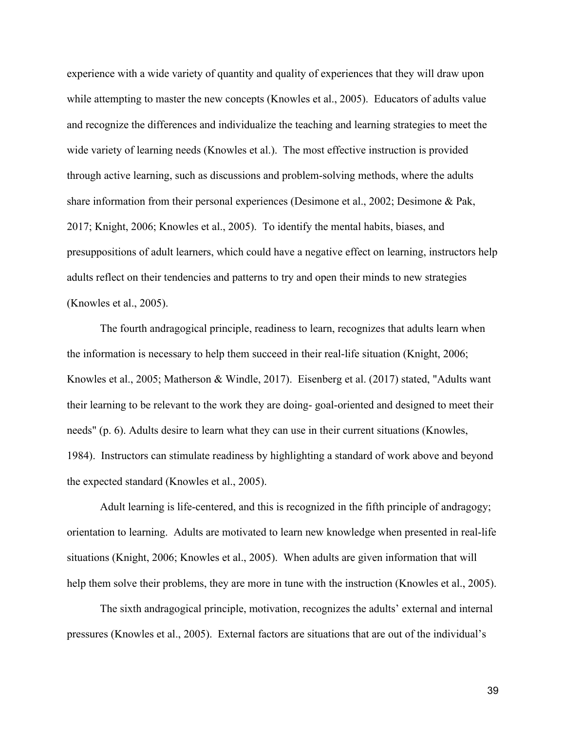experience with a wide variety of quantity and quality of experiences that they will draw upon while attempting to master the new concepts (Knowles et al., 2005). Educators of adults value and recognize the differences and individualize the teaching and learning strategies to meet the wide variety of learning needs (Knowles et al.). The most effective instruction is provided through active learning, such as discussions and problem-solving methods, where the adults share information from their personal experiences (Desimone et al., 2002; Desimone & Pak, 2017; Knight, 2006; Knowles et al., 2005). To identify the mental habits, biases, and presuppositions of adult learners, which could have a negative effect on learning, instructors help adults reflect on their tendencies and patterns to try and open their minds to new strategies (Knowles et al., 2005).

The fourth andragogical principle, readiness to learn, recognizes that adults learn when the information is necessary to help them succeed in their real-life situation (Knight, 2006; Knowles et al., 2005; Matherson & Windle, 2017). Eisenberg et al. (2017) stated, "Adults want their learning to be relevant to the work they are doing- goal-oriented and designed to meet their needs" (p. 6). Adults desire to learn what they can use in their current situations (Knowles, 1984). Instructors can stimulate readiness by highlighting a standard of work above and beyond the expected standard (Knowles et al., 2005).

Adult learning is life-centered, and this is recognized in the fifth principle of andragogy; orientation to learning. Adults are motivated to learn new knowledge when presented in real-life situations (Knight, 2006; Knowles et al., 2005). When adults are given information that will help them solve their problems, they are more in tune with the instruction (Knowles et al., 2005).

The sixth andragogical principle, motivation, recognizes the adults' external and internal pressures (Knowles et al., 2005). External factors are situations that are out of the individual's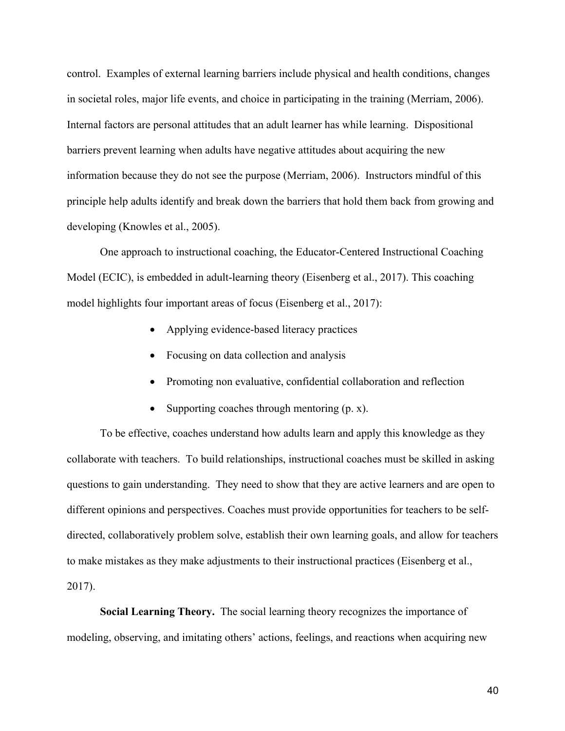control. Examples of external learning barriers include physical and health conditions, changes in societal roles, major life events, and choice in participating in the training (Merriam, 2006). Internal factors are personal attitudes that an adult learner has while learning. Dispositional barriers prevent learning when adults have negative attitudes about acquiring the new information because they do not see the purpose (Merriam, 2006). Instructors mindful of this principle help adults identify and break down the barriers that hold them back from growing and developing (Knowles et al., 2005).

One approach to instructional coaching, the Educator-Centered Instructional Coaching Model (ECIC), is embedded in adult-learning theory (Eisenberg et al., 2017). This coaching model highlights four important areas of focus (Eisenberg et al., 2017):

- Applying evidence-based literacy practices
- Focusing on data collection and analysis
- Promoting non evaluative, confidential collaboration and reflection
- Supporting coaches through mentoring (p. x).

To be effective, coaches understand how adults learn and apply this knowledge as they collaborate with teachers. To build relationships, instructional coaches must be skilled in asking questions to gain understanding. They need to show that they are active learners and are open to different opinions and perspectives. Coaches must provide opportunities for teachers to be selfdirected, collaboratively problem solve, establish their own learning goals, and allow for teachers to make mistakes as they make adjustments to their instructional practices (Eisenberg et al., 2017).

**Social Learning Theory.** The social learning theory recognizes the importance of modeling, observing, and imitating others' actions, feelings, and reactions when acquiring new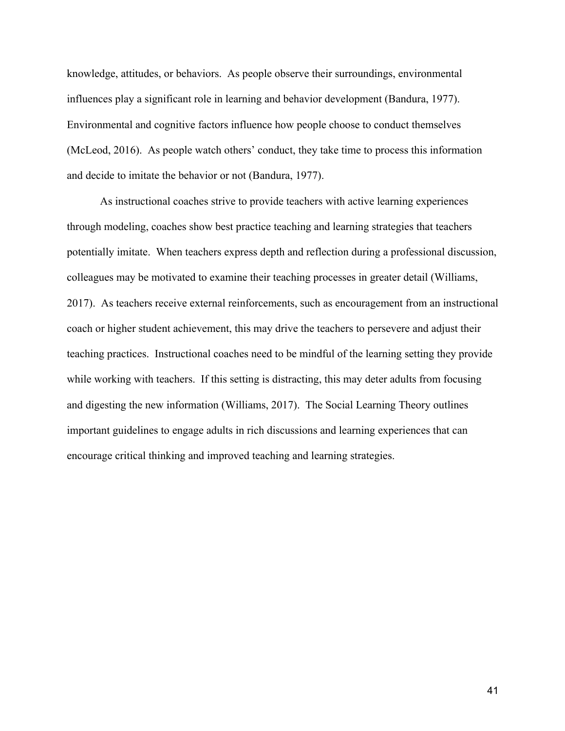knowledge, attitudes, or behaviors. As people observe their surroundings, environmental influences play a significant role in learning and behavior development (Bandura, 1977). Environmental and cognitive factors influence how people choose to conduct themselves (McLeod, 2016). As people watch others' conduct, they take time to process this information and decide to imitate the behavior or not (Bandura, 1977).

As instructional coaches strive to provide teachers with active learning experiences through modeling, coaches show best practice teaching and learning strategies that teachers potentially imitate. When teachers express depth and reflection during a professional discussion, colleagues may be motivated to examine their teaching processes in greater detail (Williams, 2017). As teachers receive external reinforcements, such as encouragement from an instructional coach or higher student achievement, this may drive the teachers to persevere and adjust their teaching practices. Instructional coaches need to be mindful of the learning setting they provide while working with teachers. If this setting is distracting, this may deter adults from focusing and digesting the new information (Williams, 2017). The Social Learning Theory outlines important guidelines to engage adults in rich discussions and learning experiences that can encourage critical thinking and improved teaching and learning strategies.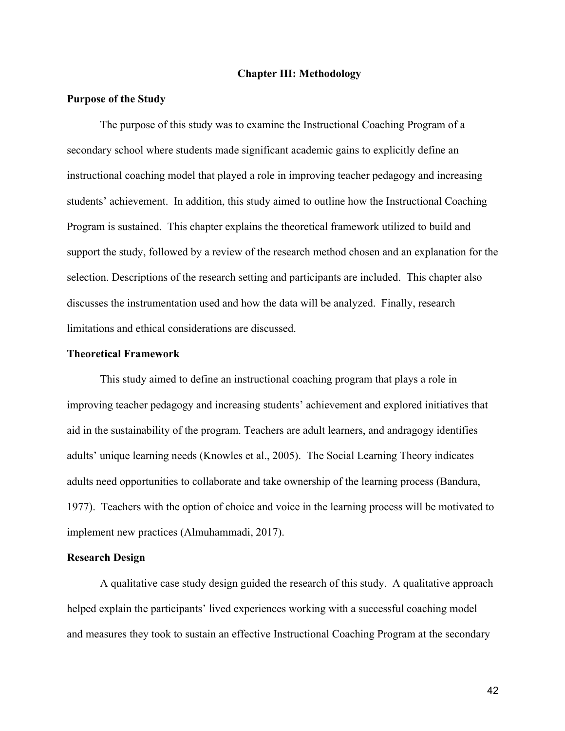## **Chapter III: Methodology**

## **Purpose of the Study**

The purpose of this study was to examine the Instructional Coaching Program of a secondary school where students made significant academic gains to explicitly define an instructional coaching model that played a role in improving teacher pedagogy and increasing students' achievement. In addition, this study aimed to outline how the Instructional Coaching Program is sustained. This chapter explains the theoretical framework utilized to build and support the study, followed by a review of the research method chosen and an explanation for the selection. Descriptions of the research setting and participants are included. This chapter also discusses the instrumentation used and how the data will be analyzed. Finally, research limitations and ethical considerations are discussed.

## **Theoretical Framework**

This study aimed to define an instructional coaching program that plays a role in improving teacher pedagogy and increasing students' achievement and explored initiatives that aid in the sustainability of the program. Teachers are adult learners, and andragogy identifies adults' unique learning needs (Knowles et al., 2005). The Social Learning Theory indicates adults need opportunities to collaborate and take ownership of the learning process (Bandura, 1977). Teachers with the option of choice and voice in the learning process will be motivated to implement new practices (Almuhammadi, 2017).

## **Research Design**

A qualitative case study design guided the research of this study. A qualitative approach helped explain the participants' lived experiences working with a successful coaching model and measures they took to sustain an effective Instructional Coaching Program at the secondary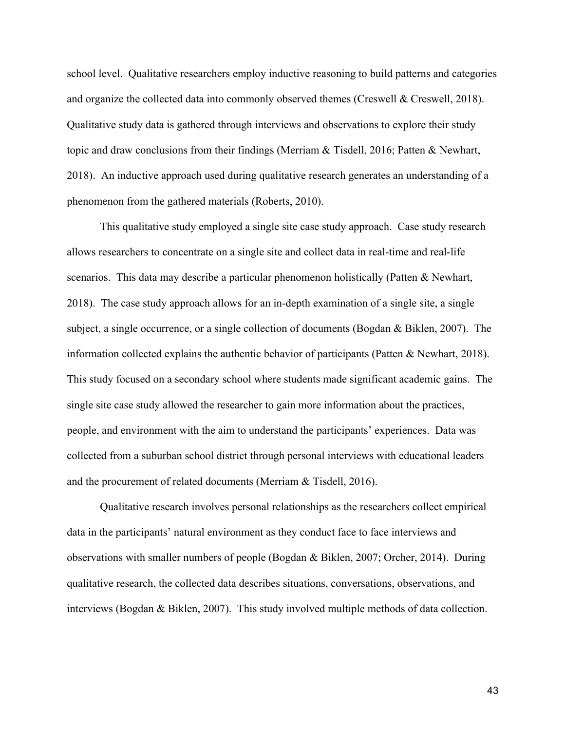school level. Qualitative researchers employ inductive reasoning to build patterns and categories and organize the collected data into commonly observed themes (Creswell & Creswell, 2018). Qualitative study data is gathered through interviews and observations to explore their study topic and draw conclusions from their findings (Merriam & Tisdell, 2016; Patten & Newhart, 2018). An inductive approach used during qualitative research generates an understanding of a phenomenon from the gathered materials (Roberts, 2010).

This qualitative study employed a single site case study approach. Case study research allows researchers to concentrate on a single site and collect data in real-time and real-life scenarios. This data may describe a particular phenomenon holistically (Patten  $\&$  Newhart, 2018). The case study approach allows for an in-depth examination of a single site, a single subject, a single occurrence, or a single collection of documents (Bogdan & Biklen, 2007). The information collected explains the authentic behavior of participants (Patten & Newhart, 2018). This study focused on a secondary school where students made significant academic gains. The single site case study allowed the researcher to gain more information about the practices, people, and environment with the aim to understand the participants' experiences. Data was collected from a suburban school district through personal interviews with educational leaders and the procurement of related documents (Merriam & Tisdell, 2016).

Qualitative research involves personal relationships as the researchers collect empirical data in the participants' natural environment as they conduct face to face interviews and observations with smaller numbers of people (Bogdan & Biklen, 2007; Orcher, 2014). During qualitative research, the collected data describes situations, conversations, observations, and interviews (Bogdan & Biklen, 2007). This study involved multiple methods of data collection.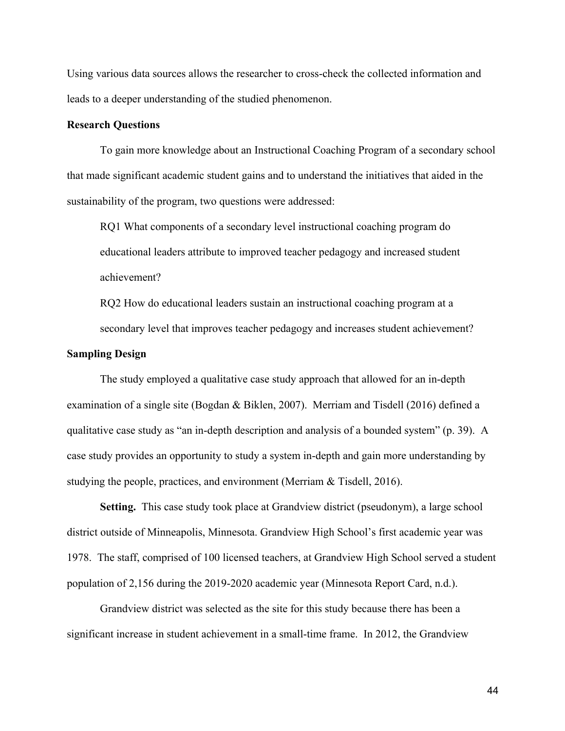Using various data sources allows the researcher to cross-check the collected information and leads to a deeper understanding of the studied phenomenon.

## **Research Questions**

To gain more knowledge about an Instructional Coaching Program of a secondary school that made significant academic student gains and to understand the initiatives that aided in the sustainability of the program, two questions were addressed:

RQ1 What components of a secondary level instructional coaching program do educational leaders attribute to improved teacher pedagogy and increased student achievement?

RQ2 How do educational leaders sustain an instructional coaching program at a secondary level that improves teacher pedagogy and increases student achievement?

### **Sampling Design**

The study employed a qualitative case study approach that allowed for an in-depth examination of a single site (Bogdan & Biklen, 2007). Merriam and Tisdell (2016) defined a qualitative case study as "an in-depth description and analysis of a bounded system" (p. 39). A case study provides an opportunity to study a system in-depth and gain more understanding by studying the people, practices, and environment (Merriam & Tisdell, 2016).

**Setting.** This case study took place at Grandview district (pseudonym), a large school district outside of Minneapolis, Minnesota. Grandview High School's first academic year was 1978. The staff, comprised of 100 licensed teachers, at Grandview High School served a student population of 2,156 during the 2019-2020 academic year (Minnesota Report Card, n.d.).

Grandview district was selected as the site for this study because there has been a significant increase in student achievement in a small-time frame. In 2012, the Grandview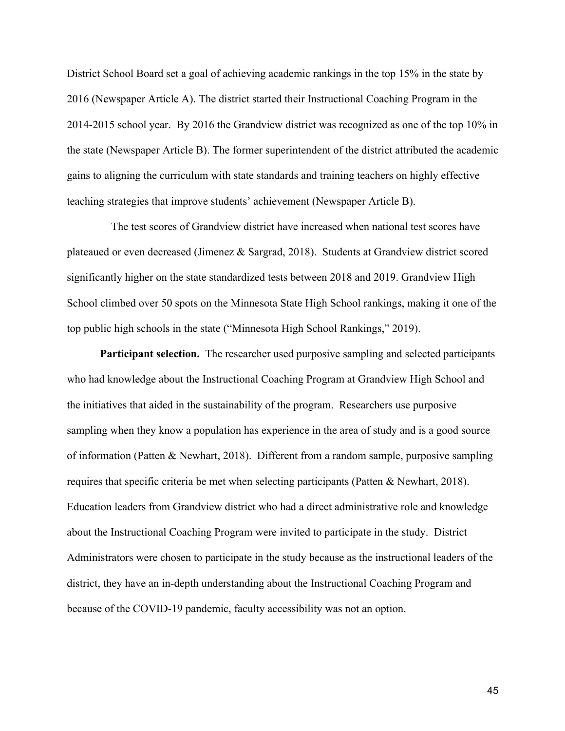District School Board set a goal of achieving academic rankings in the top 15% in the state by 2016 (Newspaper Article A). The district started their Instructional Coaching Program in the 2014-2015 school year. By 2016 the Grandview district was recognized as one of the top 10% in the state (Newspaper Article B). The former superintendent of the district attributed the academic gains to aligning the curriculum with state standards and training teachers on highly effective teaching strategies that improve students' achievement (Newspaper Article B).

 The test scores of Grandview district have increased when national test scores have plateaued or even decreased (Jimenez & Sargrad, 2018). Students at Grandview district scored significantly higher on the state standardized tests between 2018 and 2019. Grandview High School climbed over 50 spots on the Minnesota State High School rankings, making it one of the top public high schools in the state ("Minnesota High School Rankings," 2019).

**Participant selection.** The researcher used purposive sampling and selected participants who had knowledge about the Instructional Coaching Program at Grandview High School and the initiatives that aided in the sustainability of the program. Researchers use purposive sampling when they know a population has experience in the area of study and is a good source of information (Patten & Newhart, 2018). Different from a random sample, purposive sampling requires that specific criteria be met when selecting participants (Patten & Newhart, 2018). Education leaders from Grandview district who had a direct administrative role and knowledge about the Instructional Coaching Program were invited to participate in the study. District Administrators were chosen to participate in the study because as the instructional leaders of the district, they have an in-depth understanding about the Instructional Coaching Program and because of the COVID-19 pandemic, faculty accessibility was not an option.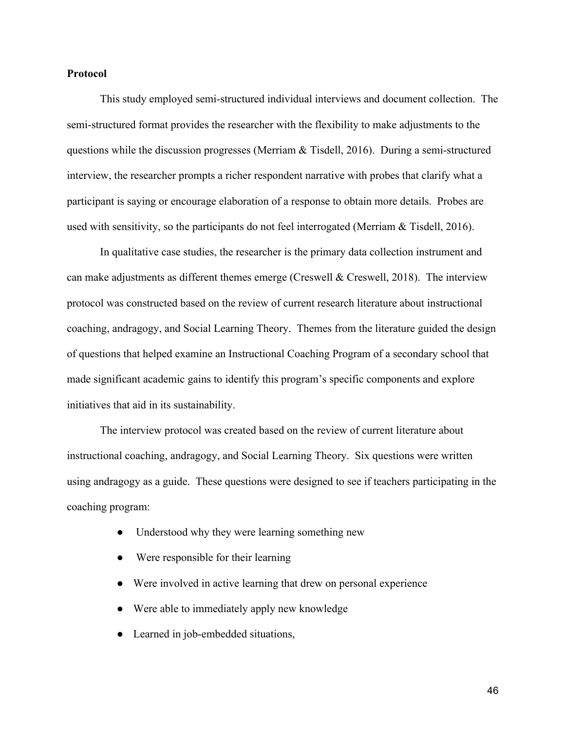## **Protocol**

This study employed semi-structured individual interviews and document collection. The semi-structured format provides the researcher with the flexibility to make adjustments to the questions while the discussion progresses (Merriam & Tisdell, 2016). During a semi-structured interview, the researcher prompts a richer respondent narrative with probes that clarify what a participant is saying or encourage elaboration of a response to obtain more details. Probes are used with sensitivity, so the participants do not feel interrogated (Merriam & Tisdell, 2016).

In qualitative case studies, the researcher is the primary data collection instrument and can make adjustments as different themes emerge (Creswell & Creswell, 2018). The interview protocol was constructed based on the review of current research literature about instructional coaching, andragogy, and Social Learning Theory. Themes from the literature guided the design of questions that helped examine an Instructional Coaching Program of a secondary school that made significant academic gains to identify this program's specific components and explore initiatives that aid in its sustainability.

The interview protocol was created based on the review of current literature about instructional coaching, andragogy, and Social Learning Theory. Six questions were written using andragogy as a guide. These questions were designed to see if teachers participating in the coaching program:

- Understood why they were learning something new
- Were responsible for their learning
- Were involved in active learning that drew on personal experience
- Were able to immediately apply new knowledge
- Learned in job-embedded situations,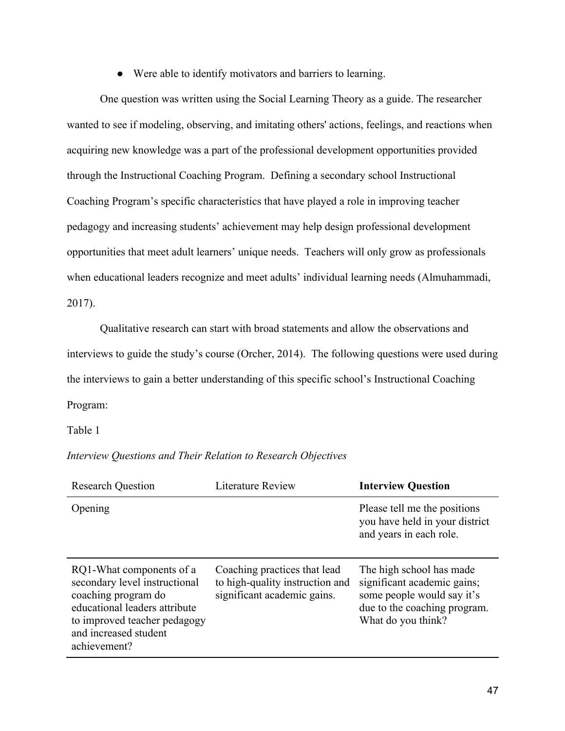● Were able to identify motivators and barriers to learning.

One question was written using the Social Learning Theory as a guide. The researcher wanted to see if modeling, observing, and imitating others' actions, feelings, and reactions when acquiring new knowledge was a part of the professional development opportunities provided through the Instructional Coaching Program. Defining a secondary school Instructional Coaching Program's specific characteristics that have played a role in improving teacher pedagogy and increasing students' achievement may help design professional development opportunities that meet adult learners' unique needs. Teachers will only grow as professionals when educational leaders recognize and meet adults' individual learning needs (Almuhammadi, 2017).

Qualitative research can start with broad statements and allow the observations and interviews to guide the study's course (Orcher, 2014). The following questions were used during the interviews to gain a better understanding of this specific school's Instructional Coaching Program:

Table 1

*Interview Questions and Their Relation to Research Objectives*

| <b>Research Question</b>                                                                                                                                                                   | <b>Literature Review</b>                                                                       | <b>Interview Question</b>                                                                                                                   |
|--------------------------------------------------------------------------------------------------------------------------------------------------------------------------------------------|------------------------------------------------------------------------------------------------|---------------------------------------------------------------------------------------------------------------------------------------------|
| Opening                                                                                                                                                                                    |                                                                                                | Please tell me the positions<br>you have held in your district<br>and years in each role.                                                   |
| RQ1-What components of a<br>secondary level instructional<br>coaching program do<br>educational leaders attribute<br>to improved teacher pedagogy<br>and increased student<br>achievement? | Coaching practices that lead<br>to high-quality instruction and<br>significant academic gains. | The high school has made<br>significant academic gains;<br>some people would say it's<br>due to the coaching program.<br>What do you think? |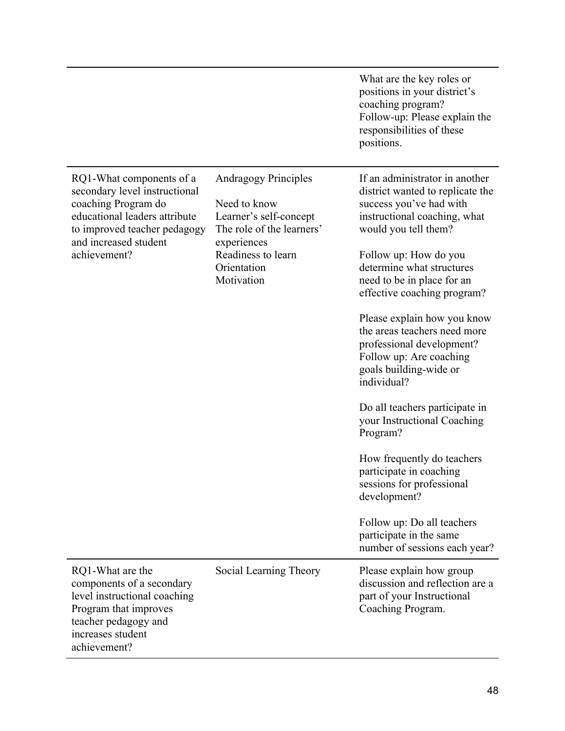|                                                                                                                                                                                            |                                                                                                                                                                      | What are the key roles or<br>positions in your district's<br>coaching program?<br>Follow-up: Please explain the<br>responsibilities of these<br>positions.                                                                                                                                                                                                                                                                                                                                                                                                                                                                                                                           |
|--------------------------------------------------------------------------------------------------------------------------------------------------------------------------------------------|----------------------------------------------------------------------------------------------------------------------------------------------------------------------|--------------------------------------------------------------------------------------------------------------------------------------------------------------------------------------------------------------------------------------------------------------------------------------------------------------------------------------------------------------------------------------------------------------------------------------------------------------------------------------------------------------------------------------------------------------------------------------------------------------------------------------------------------------------------------------|
| RQ1-What components of a<br>secondary level instructional<br>coaching Program do<br>educational leaders attribute<br>to improved teacher pedagogy<br>and increased student<br>achievement? | <b>Andragogy Principles</b><br>Need to know<br>Learner's self-concept<br>The role of the learners'<br>experiences<br>Readiness to learn<br>Orientation<br>Motivation | If an administrator in another<br>district wanted to replicate the<br>success you've had with<br>instructional coaching, what<br>would you tell them?<br>Follow up: How do you<br>determine what structures<br>need to be in place for an<br>effective coaching program?<br>Please explain how you know<br>the areas teachers need more<br>professional development?<br>Follow up: Are coaching<br>goals building-wide or<br>individual?<br>Do all teachers participate in<br>your Instructional Coaching<br>Program?<br>How frequently do teachers<br>participate in coaching<br>sessions for professional<br>development?<br>Follow up: Do all teachers<br>participate in the same |
| RQ1-What are the<br>components of a secondary<br>level instructional coaching<br>Program that improves<br>teacher pedagogy and<br>increases student<br>achievement?                        | Social Learning Theory                                                                                                                                               | number of sessions each year?<br>Please explain how group<br>discussion and reflection are a<br>part of your Instructional<br>Coaching Program.                                                                                                                                                                                                                                                                                                                                                                                                                                                                                                                                      |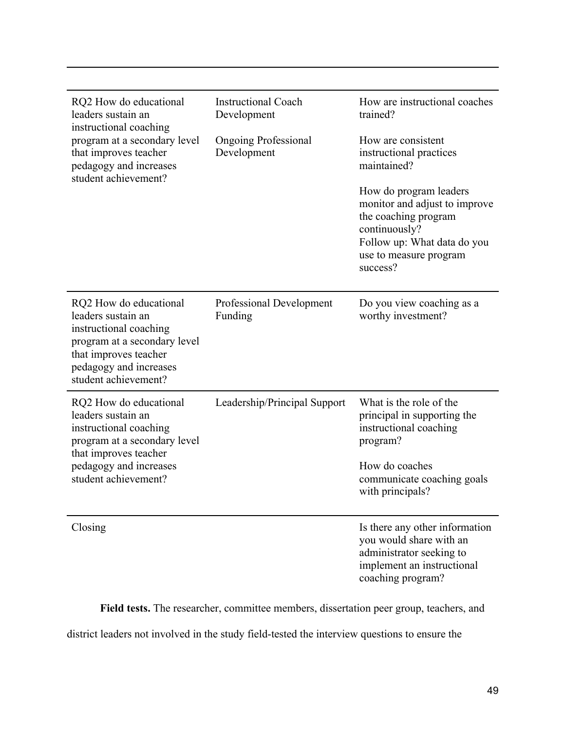| RQ2 How do educational<br>leaders sustain an<br>instructional coaching<br>program at a secondary level<br>that improves teacher                                                   | <b>Instructional Coach</b><br>Development<br><b>Ongoing Professional</b><br>Development | How are instructional coaches<br>trained?<br>How are consistent<br>instructional practices                                                                            |
|-----------------------------------------------------------------------------------------------------------------------------------------------------------------------------------|-----------------------------------------------------------------------------------------|-----------------------------------------------------------------------------------------------------------------------------------------------------------------------|
| pedagogy and increases<br>student achievement?                                                                                                                                    |                                                                                         | maintained?                                                                                                                                                           |
|                                                                                                                                                                                   |                                                                                         | How do program leaders<br>monitor and adjust to improve<br>the coaching program<br>continuously?<br>Follow up: What data do you<br>use to measure program<br>success? |
| RQ2 How do educational<br>leaders sustain an<br>instructional coaching<br>program at a secondary level<br>that improves teacher<br>pedagogy and increases<br>student achievement? | <b>Professional Development</b><br>Funding                                              | Do you view coaching as a<br>worthy investment?                                                                                                                       |
| RQ2 How do educational<br>leaders sustain an<br>instructional coaching<br>program at a secondary level<br>that improves teacher                                                   | Leadership/Principal Support                                                            | What is the role of the<br>principal in supporting the<br>instructional coaching<br>program?                                                                          |
| pedagogy and increases<br>student achievement?                                                                                                                                    |                                                                                         | How do coaches<br>communicate coaching goals<br>with principals?                                                                                                      |
| Closing                                                                                                                                                                           |                                                                                         | Is there any other information<br>you would share with an<br>administrator seeking to<br>implement an instructional<br>coaching program?                              |

**Field tests.** The researcher, committee members, dissertation peer group, teachers, and

district leaders not involved in the study field-tested the interview questions to ensure the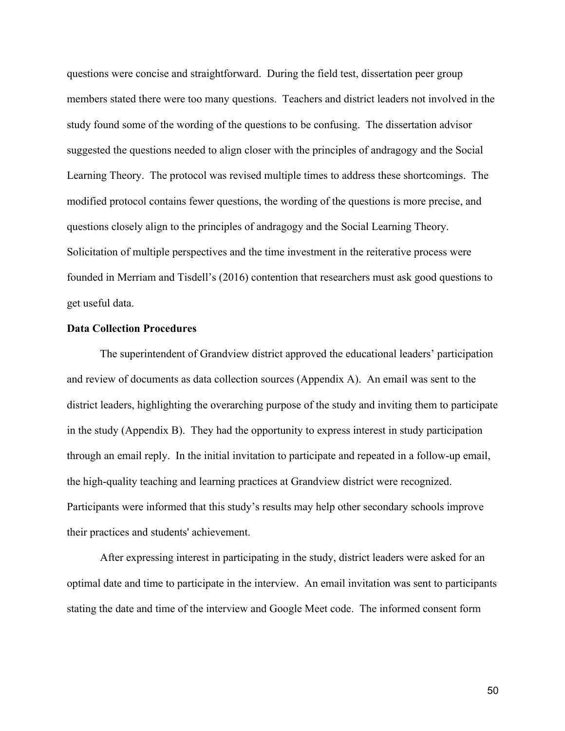questions were concise and straightforward. During the field test, dissertation peer group members stated there were too many questions. Teachers and district leaders not involved in the study found some of the wording of the questions to be confusing. The dissertation advisor suggested the questions needed to align closer with the principles of andragogy and the Social Learning Theory. The protocol was revised multiple times to address these shortcomings. The modified protocol contains fewer questions, the wording of the questions is more precise, and questions closely align to the principles of andragogy and the Social Learning Theory. Solicitation of multiple perspectives and the time investment in the reiterative process were founded in Merriam and Tisdell's (2016) contention that researchers must ask good questions to get useful data.

## **Data Collection Procedures**

The superintendent of Grandview district approved the educational leaders' participation and review of documents as data collection sources (Appendix A). An email was sent to the district leaders, highlighting the overarching purpose of the study and inviting them to participate in the study (Appendix B). They had the opportunity to express interest in study participation through an email reply. In the initial invitation to participate and repeated in a follow-up email, the high-quality teaching and learning practices at Grandview district were recognized. Participants were informed that this study's results may help other secondary schools improve their practices and students' achievement.

After expressing interest in participating in the study, district leaders were asked for an optimal date and time to participate in the interview. An email invitation was sent to participants stating the date and time of the interview and Google Meet code. The informed consent form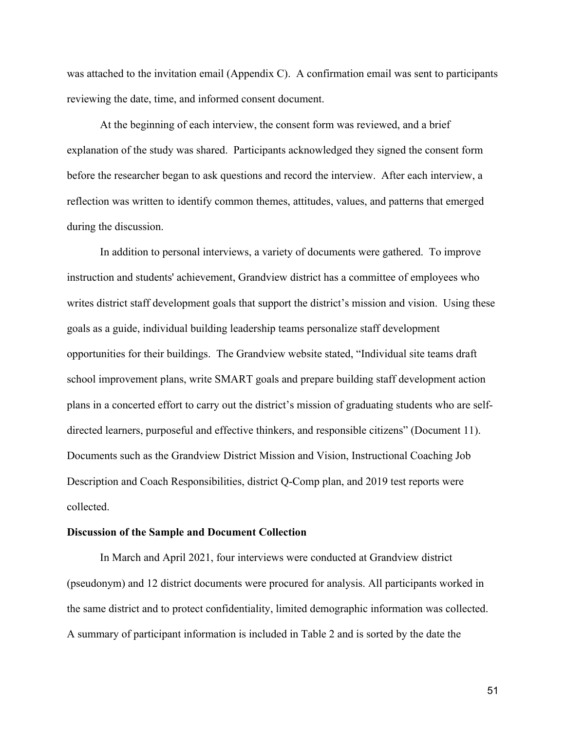was attached to the invitation email (Appendix C). A confirmation email was sent to participants reviewing the date, time, and informed consent document.

At the beginning of each interview, the consent form was reviewed, and a brief explanation of the study was shared. Participants acknowledged they signed the consent form before the researcher began to ask questions and record the interview. After each interview, a reflection was written to identify common themes, attitudes, values, and patterns that emerged during the discussion.

In addition to personal interviews, a variety of documents were gathered. To improve instruction and students' achievement, Grandview district has a committee of employees who writes district staff development goals that support the district's mission and vision. Using these goals as a guide, individual building leadership teams personalize staff development opportunities for their buildings. The Grandview website stated, "Individual site teams draft school improvement plans, write SMART goals and prepare building staff development action plans in a concerted effort to carry out the district's mission of graduating students who are selfdirected learners, purposeful and effective thinkers, and responsible citizens" (Document 11). Documents such as the Grandview District Mission and Vision, Instructional Coaching Job Description and Coach Responsibilities, district Q-Comp plan, and 2019 test reports were collected.

## **Discussion of the Sample and Document Collection**

In March and April 2021, four interviews were conducted at Grandview district (pseudonym) and 12 district documents were procured for analysis. All participants worked in the same district and to protect confidentiality, limited demographic information was collected. A summary of participant information is included in Table 2 and is sorted by the date the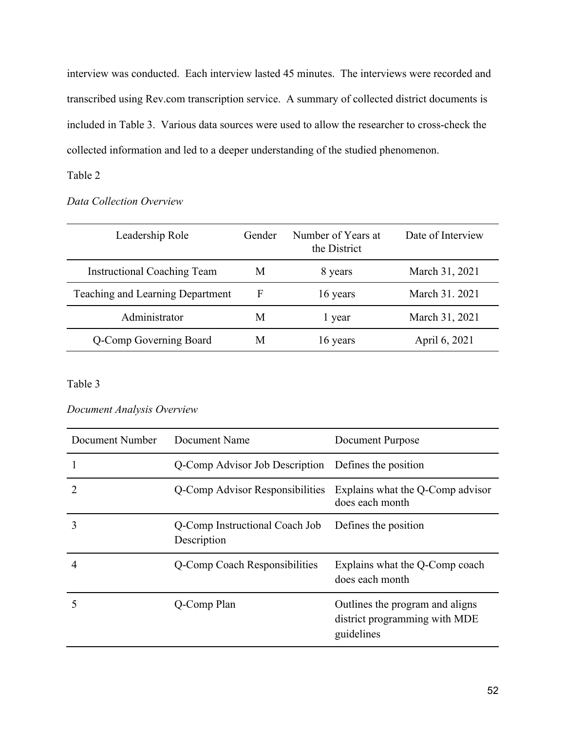interview was conducted. Each interview lasted 45 minutes. The interviews were recorded and transcribed using Rev.com transcription service. A summary of collected district documents is included in Table 3.Various data sources were used to allow the researcher to cross-check the collected information and led to a deeper understanding of the studied phenomenon.

# Table 2

*Data Collection Overview*

| Leadership Role                    | Gender | Number of Years at<br>the District | Date of Interview |
|------------------------------------|--------|------------------------------------|-------------------|
| <b>Instructional Coaching Team</b> | M      | 8 years                            | March 31, 2021    |
| Teaching and Learning Department   | F      | 16 years                           | March 31. 2021    |
| Administrator                      | M      | 1 year                             | March 31, 2021    |
| Q-Comp Governing Board             | M      | 16 years                           | April 6, 2021     |

## Table 3

| Document Analysis Overview |  |  |
|----------------------------|--|--|
|----------------------------|--|--|

| Document Number             | Document Name                                       | Document Purpose                                                               |
|-----------------------------|-----------------------------------------------------|--------------------------------------------------------------------------------|
|                             | Q-Comp Advisor Job Description Defines the position |                                                                                |
| $\mathcal{D}_{\mathcal{A}}$ | Q-Comp Advisor Responsibilities                     | Explains what the Q-Comp advisor<br>does each month                            |
| 3                           | Q-Comp Instructional Coach Job<br>Description       | Defines the position                                                           |
|                             | Q-Comp Coach Responsibilities                       | Explains what the Q-Comp coach<br>does each month                              |
| 5                           | Q-Comp Plan                                         | Outlines the program and aligns<br>district programming with MDE<br>guidelines |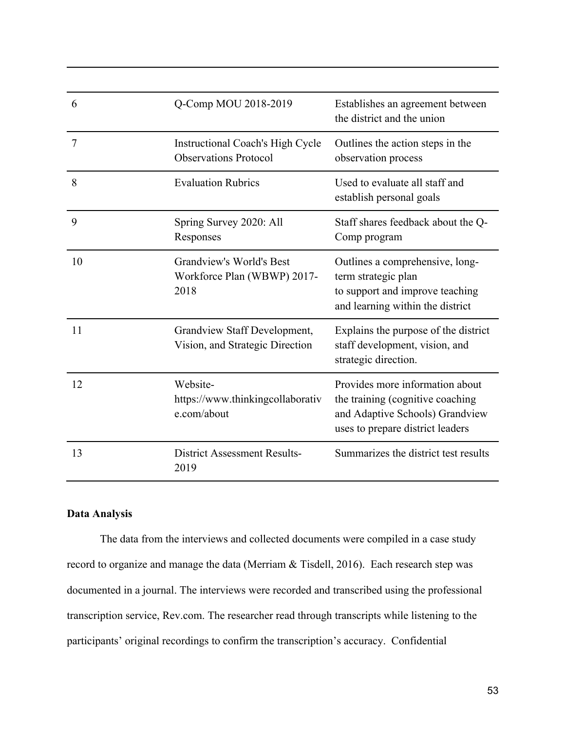| 6              | Q-Comp MOU 2018-2019                                             | Establishes an agreement between<br>the district and the union                                                                             |
|----------------|------------------------------------------------------------------|--------------------------------------------------------------------------------------------------------------------------------------------|
| $\overline{7}$ | Instructional Coach's High Cycle<br><b>Observations Protocol</b> | Outlines the action steps in the<br>observation process                                                                                    |
| 8              | <b>Evaluation Rubrics</b>                                        | Used to evaluate all staff and<br>establish personal goals                                                                                 |
| 9              | Spring Survey 2020: All<br>Responses                             | Staff shares feedback about the Q-<br>Comp program                                                                                         |
| 10             | Grandview's World's Best<br>Workforce Plan (WBWP) 2017-<br>2018  | Outlines a comprehensive, long-<br>term strategic plan<br>to support and improve teaching<br>and learning within the district              |
| 11             | Grandview Staff Development,<br>Vision, and Strategic Direction  | Explains the purpose of the district<br>staff development, vision, and<br>strategic direction.                                             |
| 12             | Website-<br>https://www.thinkingcollaborativ<br>e.com/about      | Provides more information about<br>the training (cognitive coaching<br>and Adaptive Schools) Grandview<br>uses to prepare district leaders |
| 13             | <b>District Assessment Results-</b><br>2019                      | Summarizes the district test results                                                                                                       |

# **Data Analysis**

The data from the interviews and collected documents were compiled in a case study record to organize and manage the data (Merriam & Tisdell, 2016). Each research step was documented in a journal. The interviews were recorded and transcribed using the professional transcription service, Rev.com. The researcher read through transcripts while listening to the participants' original recordings to confirm the transcription's accuracy. Confidential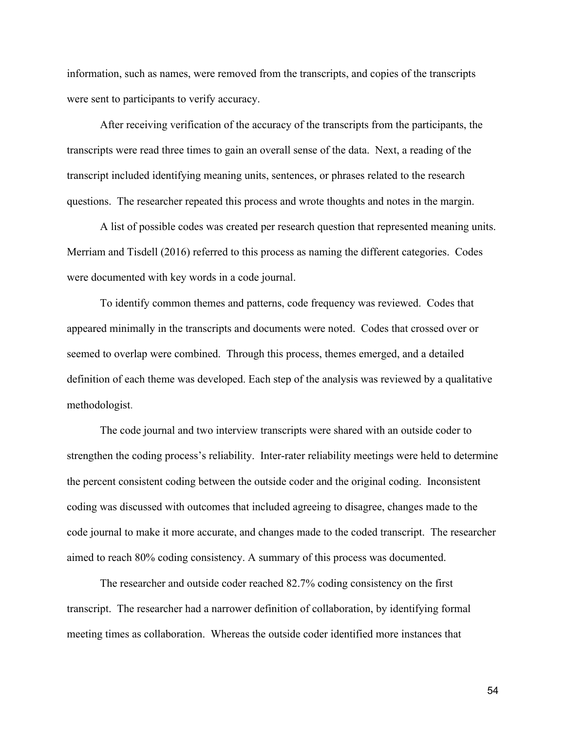information, such as names, were removed from the transcripts, and copies of the transcripts were sent to participants to verify accuracy.

After receiving verification of the accuracy of the transcripts from the participants, the transcripts were read three times to gain an overall sense of the data. Next, a reading of the transcript included identifying meaning units, sentences, or phrases related to the research questions. The researcher repeated this process and wrote thoughts and notes in the margin.

A list of possible codes was created per research question that represented meaning units. Merriam and Tisdell (2016) referred to this process as naming the different categories. Codes were documented with key words in a code journal.

To identify common themes and patterns, code frequency was reviewed. Codes that appeared minimally in the transcripts and documents were noted. Codes that crossed over or seemed to overlap were combined. Through this process, themes emerged, and a detailed definition of each theme was developed. Each step of the analysis was reviewed by a qualitative methodologist.

The code journal and two interview transcripts were shared with an outside coder to strengthen the coding process's reliability. Inter-rater reliability meetings were held to determine the percent consistent coding between the outside coder and the original coding. Inconsistent coding was discussed with outcomes that included agreeing to disagree, changes made to the code journal to make it more accurate, and changes made to the coded transcript. The researcher aimed to reach 80% coding consistency. A summary of this process was documented.

The researcher and outside coder reached 82.7% coding consistency on the first transcript. The researcher had a narrower definition of collaboration, by identifying formal meeting times as collaboration. Whereas the outside coder identified more instances that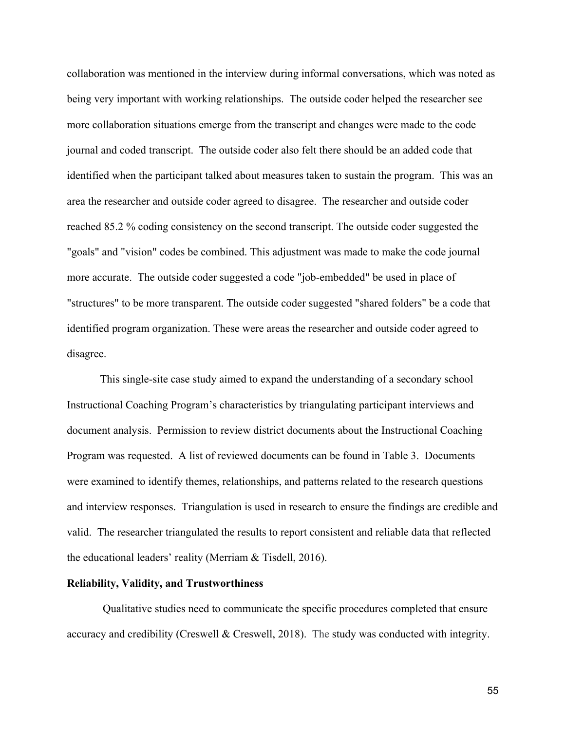collaboration was mentioned in the interview during informal conversations, which was noted as being very important with working relationships. The outside coder helped the researcher see more collaboration situations emerge from the transcript and changes were made to the code journal and coded transcript. The outside coder also felt there should be an added code that identified when the participant talked about measures taken to sustain the program. This was an area the researcher and outside coder agreed to disagree. The researcher and outside coder reached 85.2 % coding consistency on the second transcript. The outside coder suggested the "goals" and "vision" codes be combined. This adjustment was made to make the code journal more accurate. The outside coder suggested a code "job-embedded" be used in place of "structures" to be more transparent. The outside coder suggested "shared folders" be a code that identified program organization. These were areas the researcher and outside coder agreed to disagree.

This single-site case study aimed to expand the understanding of a secondary school Instructional Coaching Program's characteristics by triangulating participant interviews and document analysis. Permission to review district documents about the Instructional Coaching Program was requested. A list of reviewed documents can be found in Table 3. Documents were examined to identify themes, relationships, and patterns related to the research questions and interview responses. Triangulation is used in research to ensure the findings are credible and valid. The researcher triangulated the results to report consistent and reliable data that reflected the educational leaders' reality (Merriam & Tisdell, 2016).

## **Reliability, Validity, and Trustworthiness**

Qualitative studies need to communicate the specific procedures completed that ensure accuracy and credibility (Creswell & Creswell, 2018). The study was conducted with integrity.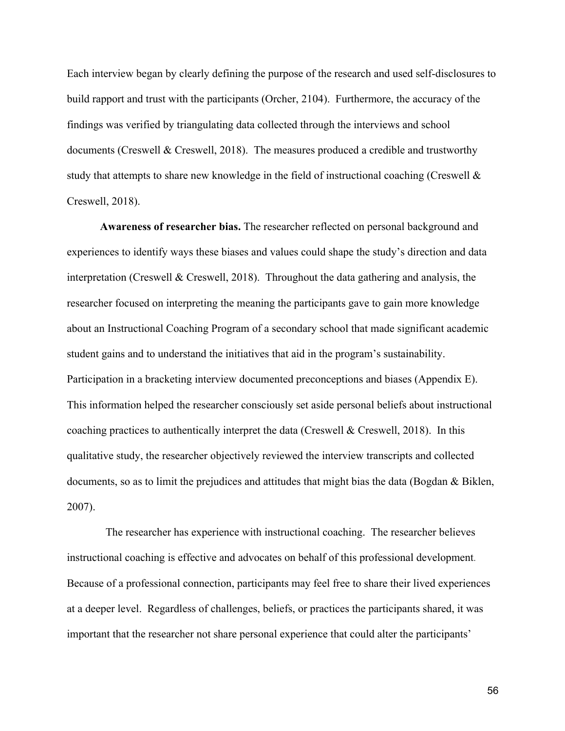Each interview began by clearly defining the purpose of the research and used self-disclosures to build rapport and trust with the participants (Orcher, 2104). Furthermore, the accuracy of the findings was verified by triangulating data collected through the interviews and school documents (Creswell & Creswell, 2018). The measures produced a credible and trustworthy study that attempts to share new knowledge in the field of instructional coaching (Creswell  $\&$ Creswell, 2018).

**Awareness of researcher bias.** The researcher reflected on personal background and experiences to identify ways these biases and values could shape the study's direction and data interpretation (Creswell & Creswell, 2018). Throughout the data gathering and analysis, the researcher focused on interpreting the meaning the participants gave to gain more knowledge about an Instructional Coaching Program of a secondary school that made significant academic student gains and to understand the initiatives that aid in the program's sustainability. Participation in a bracketing interview documented preconceptions and biases (Appendix E). This information helped the researcher consciously set aside personal beliefs about instructional coaching practices to authentically interpret the data (Creswell & Creswell, 2018). In this qualitative study, the researcher objectively reviewed the interview transcripts and collected documents, so as to limit the prejudices and attitudes that might bias the data (Bogdan & Biklen, 2007).

The researcher has experience with instructional coaching. The researcher believes instructional coaching is effective and advocates on behalf of this professional development. Because of a professional connection, participants may feel free to share their lived experiences at a deeper level. Regardless of challenges, beliefs, or practices the participants shared, it was important that the researcher not share personal experience that could alter the participants'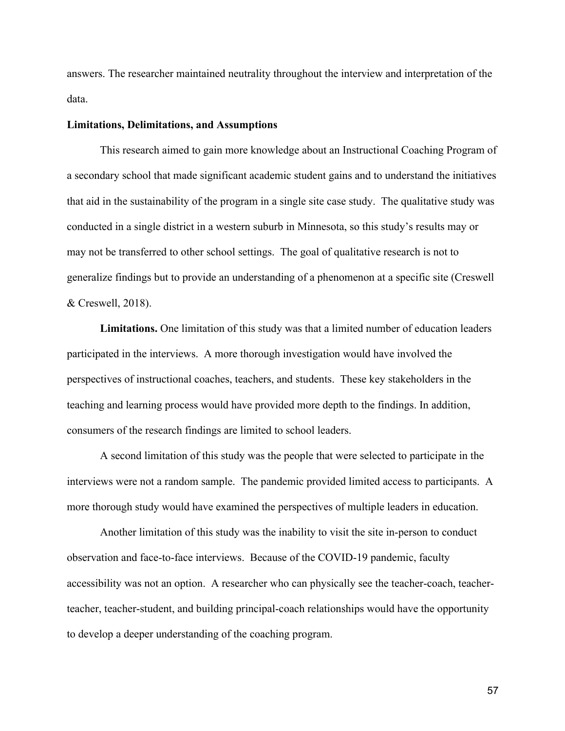answers. The researcher maintained neutrality throughout the interview and interpretation of the data.

#### **Limitations, Delimitations, and Assumptions**

This research aimed to gain more knowledge about an Instructional Coaching Program of a secondary school that made significant academic student gains and to understand the initiatives that aid in the sustainability of the program in a single site case study. The qualitative study was conducted in a single district in a western suburb in Minnesota, so this study's results may or may not be transferred to other school settings. The goal of qualitative research is not to generalize findings but to provide an understanding of a phenomenon at a specific site (Creswell & Creswell, 2018).

**Limitations.** One limitation of this study was that a limited number of education leaders participated in the interviews. A more thorough investigation would have involved the perspectives of instructional coaches, teachers, and students. These key stakeholders in the teaching and learning process would have provided more depth to the findings. In addition, consumers of the research findings are limited to school leaders.

A second limitation of this study was the people that were selected to participate in the interviews were not a random sample. The pandemic provided limited access to participants. A more thorough study would have examined the perspectives of multiple leaders in education.

Another limitation of this study was the inability to visit the site in-person to conduct observation and face-to-face interviews. Because of the COVID-19 pandemic, faculty accessibility was not an option. A researcher who can physically see the teacher-coach, teacherteacher, teacher-student, and building principal-coach relationships would have the opportunity to develop a deeper understanding of the coaching program.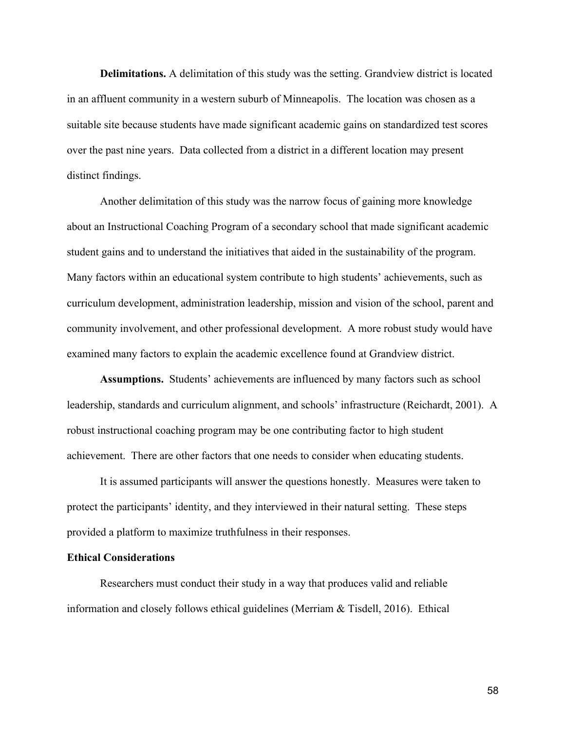**Delimitations.** A delimitation of this study was the setting. Grandview district is located in an affluent community in a western suburb of Minneapolis. The location was chosen as a suitable site because students have made significant academic gains on standardized test scores over the past nine years. Data collected from a district in a different location may present distinct findings.

Another delimitation of this study was the narrow focus of gaining more knowledge about an Instructional Coaching Program of a secondary school that made significant academic student gains and to understand the initiatives that aided in the sustainability of the program. Many factors within an educational system contribute to high students' achievements, such as curriculum development, administration leadership, mission and vision of the school, parent and community involvement, and other professional development. A more robust study would have examined many factors to explain the academic excellence found at Grandview district.

**Assumptions.** Students' achievements are influenced by many factors such as school leadership, standards and curriculum alignment, and schools' infrastructure (Reichardt, 2001). A robust instructional coaching program may be one contributing factor to high student achievement. There are other factors that one needs to consider when educating students.

It is assumed participants will answer the questions honestly. Measures were taken to protect the participants' identity, and they interviewed in their natural setting. These steps provided a platform to maximize truthfulness in their responses.

## **Ethical Considerations**

Researchers must conduct their study in a way that produces valid and reliable information and closely follows ethical guidelines (Merriam & Tisdell, 2016). Ethical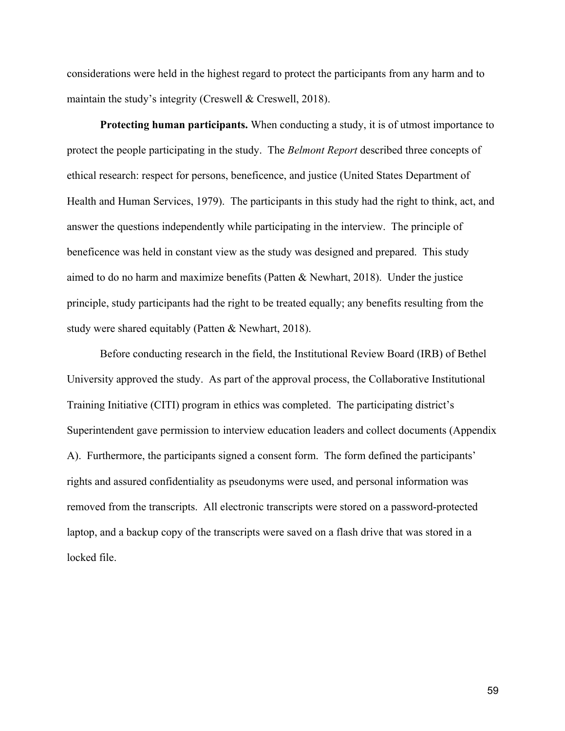considerations were held in the highest regard to protect the participants from any harm and to maintain the study's integrity (Creswell & Creswell, 2018).

**Protecting human participants.** When conducting a study, it is of utmost importance to protect the people participating in the study. The *Belmont Report* described three concepts of ethical research: respect for persons, beneficence, and justice (United States Department of Health and Human Services, 1979). The participants in this study had the right to think, act, and answer the questions independently while participating in the interview. The principle of beneficence was held in constant view as the study was designed and prepared. This study aimed to do no harm and maximize benefits (Patten & Newhart, 2018). Under the justice principle, study participants had the right to be treated equally; any benefits resulting from the study were shared equitably (Patten & Newhart, 2018).

Before conducting research in the field, the Institutional Review Board (IRB) of Bethel University approved the study. As part of the approval process, the Collaborative Institutional Training Initiative (CITI) program in ethics was completed. The participating district's Superintendent gave permission to interview education leaders and collect documents (Appendix A). Furthermore, the participants signed a consent form. The form defined the participants' rights and assured confidentiality as pseudonyms were used, and personal information was removed from the transcripts. All electronic transcripts were stored on a password-protected laptop, and a backup copy of the transcripts were saved on a flash drive that was stored in a locked file.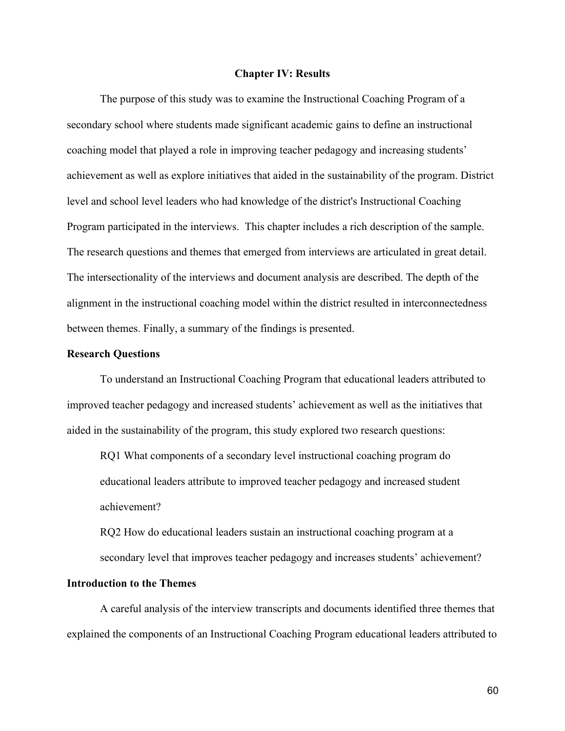### **Chapter IV: Results**

The purpose of this study was to examine the Instructional Coaching Program of a secondary school where students made significant academic gains to define an instructional coaching model that played a role in improving teacher pedagogy and increasing students' achievement as well as explore initiatives that aided in the sustainability of the program. District level and school level leaders who had knowledge of the district's Instructional Coaching Program participated in the interviews. This chapter includes a rich description of the sample. The research questions and themes that emerged from interviews are articulated in great detail. The intersectionality of the interviews and document analysis are described. The depth of the alignment in the instructional coaching model within the district resulted in interconnectedness between themes. Finally, a summary of the findings is presented.

#### **Research Questions**

To understand an Instructional Coaching Program that educational leaders attributed to improved teacher pedagogy and increased students' achievement as well as the initiatives that aided in the sustainability of the program, this study explored two research questions:

RQ1 What components of a secondary level instructional coaching program do educational leaders attribute to improved teacher pedagogy and increased student achievement?

RQ2 How do educational leaders sustain an instructional coaching program at a secondary level that improves teacher pedagogy and increases students' achievement?

## **Introduction to the Themes**

A careful analysis of the interview transcripts and documents identified three themes that explained the components of an Instructional Coaching Program educational leaders attributed to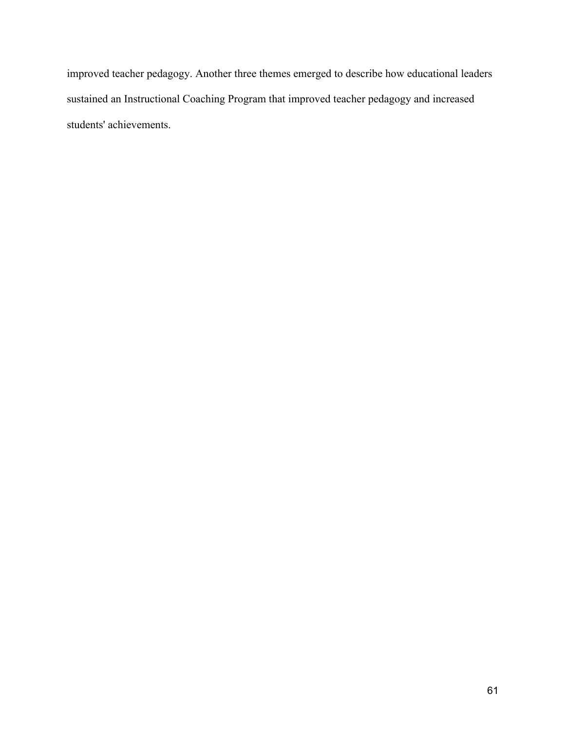improved teacher pedagogy. Another three themes emerged to describe how educational leaders sustained an Instructional Coaching Program that improved teacher pedagogy and increased students' achievements.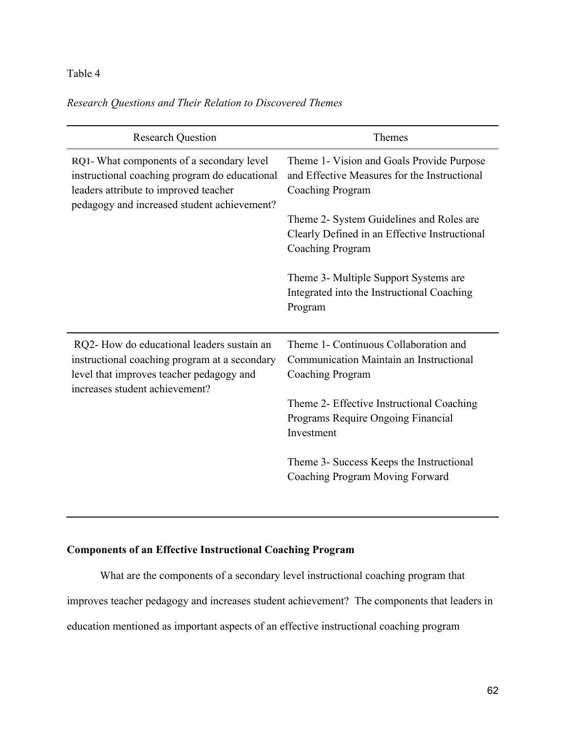# Table 4

# *Research Questions and Their Relation to Discovered Themes*

| <b>Research Question</b>                                                                                                                                                           | Themes                                                                                                        |
|------------------------------------------------------------------------------------------------------------------------------------------------------------------------------------|---------------------------------------------------------------------------------------------------------------|
| RQ1- What components of a secondary level<br>instructional coaching program do educational<br>leaders attribute to improved teacher<br>pedagogy and increased student achievement? | Theme 1- Vision and Goals Provide Purpose<br>and Effective Measures for the Instructional<br>Coaching Program |
|                                                                                                                                                                                    | Theme 2- System Guidelines and Roles are                                                                      |
|                                                                                                                                                                                    | Clearly Defined in an Effective Instructional                                                                 |
|                                                                                                                                                                                    | <b>Coaching Program</b>                                                                                       |
|                                                                                                                                                                                    | Theme 3- Multiple Support Systems are<br>Integrated into the Instructional Coaching<br>Program                |
| RQ2- How do educational leaders sustain an                                                                                                                                         | Theme 1- Continuous Collaboration and                                                                         |
| instructional coaching program at a secondary                                                                                                                                      | Communication Maintain an Instructional                                                                       |
| level that improves teacher pedagogy and<br>increases student achievement?                                                                                                         | Coaching Program                                                                                              |
|                                                                                                                                                                                    | Theme 2- Effective Instructional Coaching<br>Programs Require Ongoing Financial<br>Investment                 |
|                                                                                                                                                                                    | Theme 3- Success Keeps the Instructional<br>Coaching Program Moving Forward                                   |

# **Components of an Effective Instructional Coaching Program**

What are the components of a secondary level instructional coaching program that improves teacher pedagogy and increases student achievement? The components that leaders in education mentioned as important aspects of an effective instructional coaching program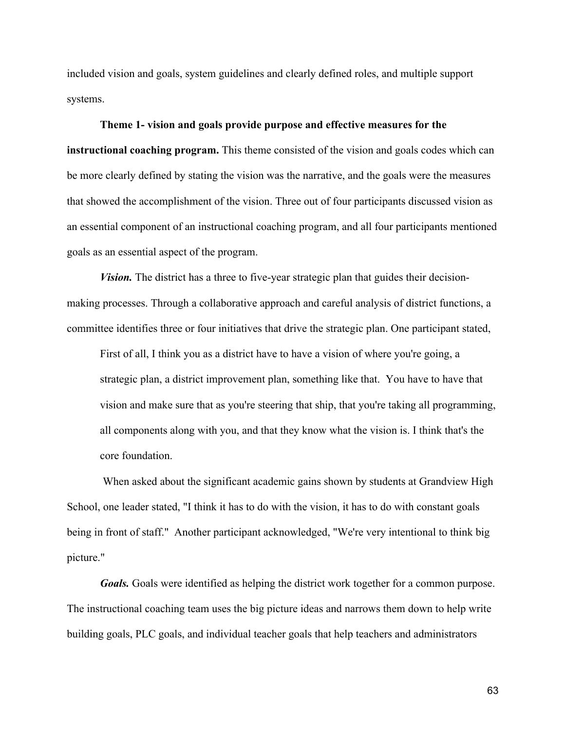included vision and goals, system guidelines and clearly defined roles, and multiple support systems.

#### **Theme 1- vision and goals provide purpose and effective measures for the**

**instructional coaching program.** This theme consisted of the vision and goals codes which can be more clearly defined by stating the vision was the narrative, and the goals were the measures that showed the accomplishment of the vision. Three out of four participants discussed vision as an essential component of an instructional coaching program, and all four participants mentioned goals as an essential aspect of the program.

*Vision.* The district has a three to five-year strategic plan that guides their decisionmaking processes. Through a collaborative approach and careful analysis of district functions, a committee identifies three or four initiatives that drive the strategic plan. One participant stated,

First of all, I think you as a district have to have a vision of where you're going, a strategic plan, a district improvement plan, something like that. You have to have that vision and make sure that as you're steering that ship, that you're taking all programming, all components along with you, and that they know what the vision is. I think that's the core foundation.

When asked about the significant academic gains shown by students at Grandview High School, one leader stated, "I think it has to do with the vision, it has to do with constant goals being in front of staff." Another participant acknowledged, "We're very intentional to think big picture."

*Goals.* Goals were identified as helping the district work together for a common purpose. The instructional coaching team uses the big picture ideas and narrows them down to help write building goals, PLC goals, and individual teacher goals that help teachers and administrators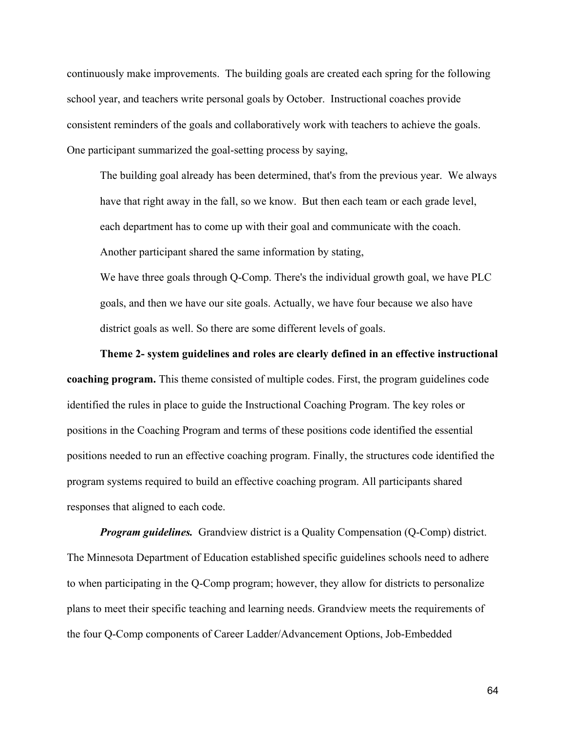continuously make improvements. The building goals are created each spring for the following school year, and teachers write personal goals by October. Instructional coaches provide consistent reminders of the goals and collaboratively work with teachers to achieve the goals. One participant summarized the goal-setting process by saying,

The building goal already has been determined, that's from the previous year. We always have that right away in the fall, so we know. But then each team or each grade level, each department has to come up with their goal and communicate with the coach. Another participant shared the same information by stating,

We have three goals through Q-Comp. There's the individual growth goal, we have PLC goals, and then we have our site goals. Actually, we have four because we also have district goals as well. So there are some different levels of goals.

**Theme 2- system guidelines and roles are clearly defined in an effective instructional coaching program.** This theme consisted of multiple codes. First, the program guidelines code identified the rules in place to guide the Instructional Coaching Program. The key roles or positions in the Coaching Program and terms of these positions code identified the essential positions needed to run an effective coaching program. Finally, the structures code identified the program systems required to build an effective coaching program. All participants shared responses that aligned to each code.

*Program guidelines.* Grandview district is a Quality Compensation (Q-Comp) district. The Minnesota Department of Education established specific guidelines schools need to adhere to when participating in the Q-Comp program; however, they allow for districts to personalize plans to meet their specific teaching and learning needs. Grandview meets the requirements of the four Q-Comp components of Career Ladder/Advancement Options, Job-Embedded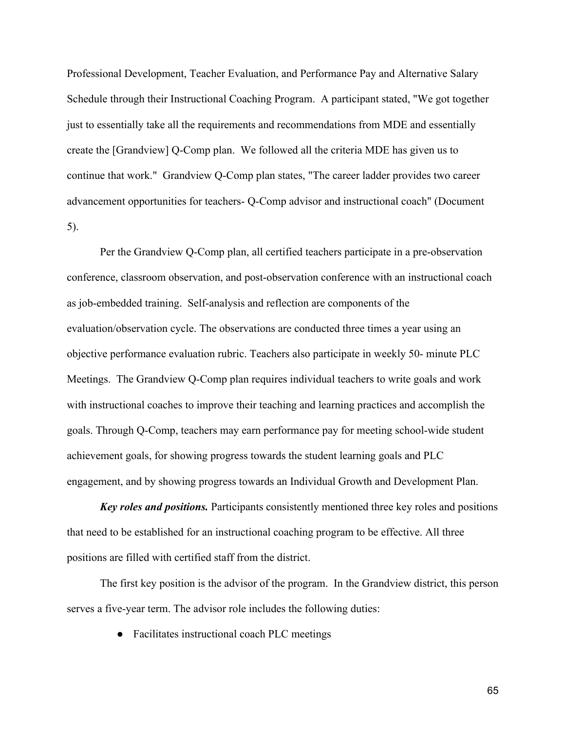Professional Development, Teacher Evaluation, and Performance Pay and Alternative Salary Schedule through their Instructional Coaching Program. A participant stated, "We got together just to essentially take all the requirements and recommendations from MDE and essentially create the [Grandview] Q-Comp plan. We followed all the criteria MDE has given us to continue that work." Grandview Q-Comp plan states, "The career ladder provides two career advancement opportunities for teachers- Q-Comp advisor and instructional coach" (Document 5).

Per the Grandview Q-Comp plan, all certified teachers participate in a pre-observation conference, classroom observation, and post-observation conference with an instructional coach as job-embedded training. Self-analysis and reflection are components of the evaluation/observation cycle. The observations are conducted three times a year using an objective performance evaluation rubric. Teachers also participate in weekly 50- minute PLC Meetings. The Grandview Q-Comp plan requires individual teachers to write goals and work with instructional coaches to improve their teaching and learning practices and accomplish the goals. Through Q-Comp, teachers may earn performance pay for meeting school-wide student achievement goals, for showing progress towards the student learning goals and PLC engagement, and by showing progress towards an Individual Growth and Development Plan.

*Key roles and positions.* Participants consistently mentioned three key roles and positions that need to be established for an instructional coaching program to be effective. All three positions are filled with certified staff from the district.

The first key position is the advisor of the program. In the Grandview district, this person serves a five-year term. The advisor role includes the following duties:

● Facilitates instructional coach PLC meetings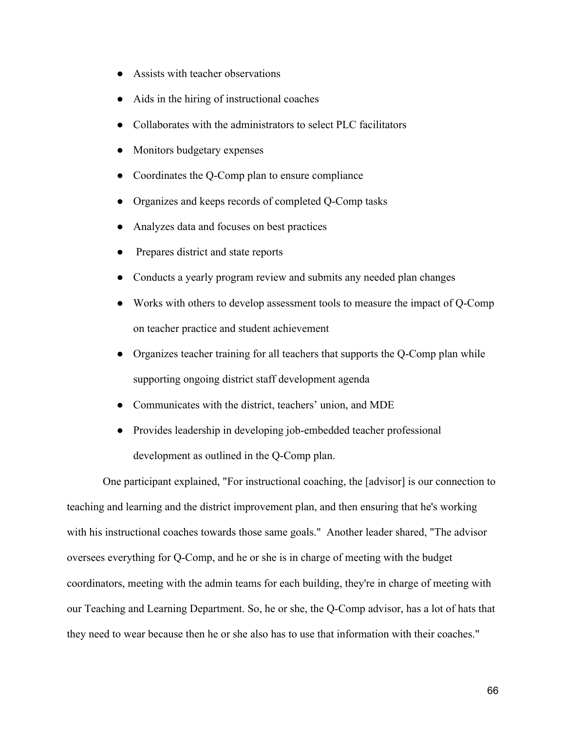- Assists with teacher observations
- Aids in the hiring of instructional coaches
- Collaborates with the administrators to select PLC facilitators
- Monitors budgetary expenses
- Coordinates the Q-Comp plan to ensure compliance
- Organizes and keeps records of completed Q-Comp tasks
- Analyzes data and focuses on best practices
- Prepares district and state reports
- Conducts a yearly program review and submits any needed plan changes
- Works with others to develop assessment tools to measure the impact of Q-Comp on teacher practice and student achievement
- Organizes teacher training for all teachers that supports the Q-Comp plan while supporting ongoing district staff development agenda
- Communicates with the district, teachers' union, and MDE
- Provides leadership in developing job-embedded teacher professional development as outlined in the Q-Comp plan.

One participant explained, "For instructional coaching, the [advisor] is our connection to teaching and learning and the district improvement plan, and then ensuring that he's working with his instructional coaches towards those same goals." Another leader shared, "The advisor oversees everything for Q-Comp, and he or she is in charge of meeting with the budget coordinators, meeting with the admin teams for each building, they're in charge of meeting with our Teaching and Learning Department. So, he or she, the Q-Comp advisor, has a lot of hats that they need to wear because then he or she also has to use that information with their coaches."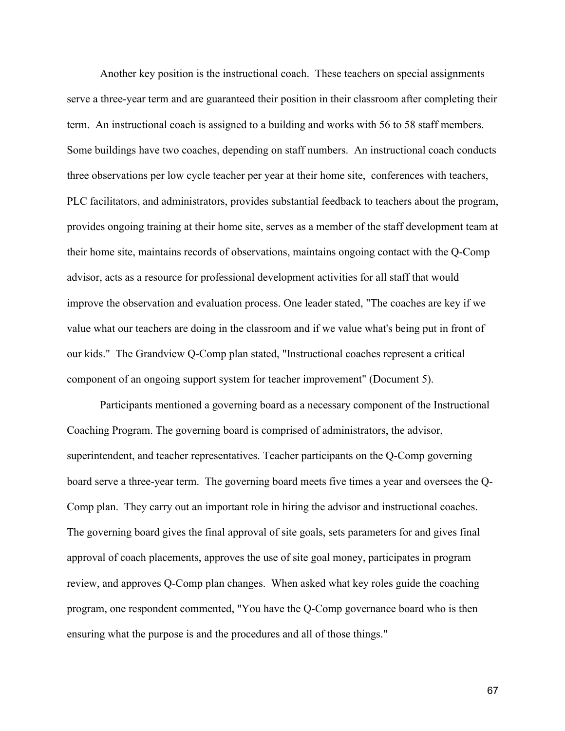Another key position is the instructional coach. These teachers on special assignments serve a three-year term and are guaranteed their position in their classroom after completing their term. An instructional coach is assigned to a building and works with 56 to 58 staff members. Some buildings have two coaches, depending on staff numbers. An instructional coach conducts three observations per low cycle teacher per year at their home site, conferences with teachers, PLC facilitators, and administrators, provides substantial feedback to teachers about the program, provides ongoing training at their home site, serves as a member of the staff development team at their home site, maintains records of observations, maintains ongoing contact with the Q-Comp advisor, acts as a resource for professional development activities for all staff that would improve the observation and evaluation process. One leader stated, "The coaches are key if we value what our teachers are doing in the classroom and if we value what's being put in front of our kids." The Grandview Q-Comp plan stated, "Instructional coaches represent a critical component of an ongoing support system for teacher improvement" (Document 5).

Participants mentioned a governing board as a necessary component of the Instructional Coaching Program. The governing board is comprised of administrators, the advisor, superintendent, and teacher representatives. Teacher participants on the Q-Comp governing board serve a three-year term. The governing board meets five times a year and oversees the Q-Comp plan. They carry out an important role in hiring the advisor and instructional coaches. The governing board gives the final approval of site goals, sets parameters for and gives final approval of coach placements, approves the use of site goal money, participates in program review, and approves Q-Comp plan changes. When asked what key roles guide the coaching program, one respondent commented, "You have the Q-Comp governance board who is then ensuring what the purpose is and the procedures and all of those things."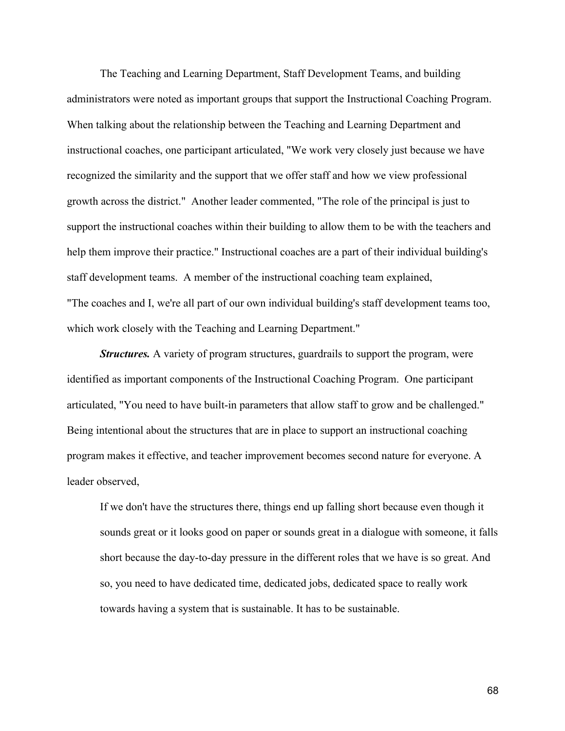The Teaching and Learning Department, Staff Development Teams, and building administrators were noted as important groups that support the Instructional Coaching Program. When talking about the relationship between the Teaching and Learning Department and instructional coaches, one participant articulated, "We work very closely just because we have recognized the similarity and the support that we offer staff and how we view professional growth across the district." Another leader commented, "The role of the principal is just to support the instructional coaches within their building to allow them to be with the teachers and help them improve their practice." Instructional coaches are a part of their individual building's staff development teams. A member of the instructional coaching team explained, "The coaches and I, we're all part of our own individual building's staff development teams too, which work closely with the Teaching and Learning Department."

*Structures.* A variety of program structures, guardrails to support the program, were identified as important components of the Instructional Coaching Program. One participant articulated, "You need to have built-in parameters that allow staff to grow and be challenged." Being intentional about the structures that are in place to support an instructional coaching program makes it effective, and teacher improvement becomes second nature for everyone. A leader observed,

If we don't have the structures there, things end up falling short because even though it sounds great or it looks good on paper or sounds great in a dialogue with someone, it falls short because the day-to-day pressure in the different roles that we have is so great. And so, you need to have dedicated time, dedicated jobs, dedicated space to really work towards having a system that is sustainable. It has to be sustainable.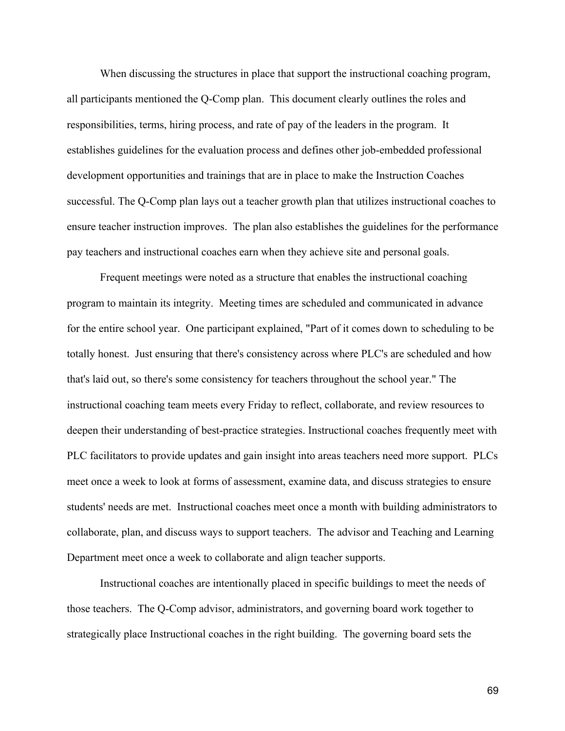When discussing the structures in place that support the instructional coaching program, all participants mentioned the Q-Comp plan. This document clearly outlines the roles and responsibilities, terms, hiring process, and rate of pay of the leaders in the program. It establishes guidelines for the evaluation process and defines other job-embedded professional development opportunities and trainings that are in place to make the Instruction Coaches successful. The Q-Comp plan lays out a teacher growth plan that utilizes instructional coaches to ensure teacher instruction improves. The plan also establishes the guidelines for the performance pay teachers and instructional coaches earn when they achieve site and personal goals.

Frequent meetings were noted as a structure that enables the instructional coaching program to maintain its integrity. Meeting times are scheduled and communicated in advance for the entire school year. One participant explained, "Part of it comes down to scheduling to be totally honest. Just ensuring that there's consistency across where PLC's are scheduled and how that's laid out, so there's some consistency for teachers throughout the school year." The instructional coaching team meets every Friday to reflect, collaborate, and review resources to deepen their understanding of best-practice strategies. Instructional coaches frequently meet with PLC facilitators to provide updates and gain insight into areas teachers need more support. PLCs meet once a week to look at forms of assessment, examine data, and discuss strategies to ensure students' needs are met. Instructional coaches meet once a month with building administrators to collaborate, plan, and discuss ways to support teachers. The advisor and Teaching and Learning Department meet once a week to collaborate and align teacher supports.

Instructional coaches are intentionally placed in specific buildings to meet the needs of those teachers. The Q-Comp advisor, administrators, and governing board work together to strategically place Instructional coaches in the right building. The governing board sets the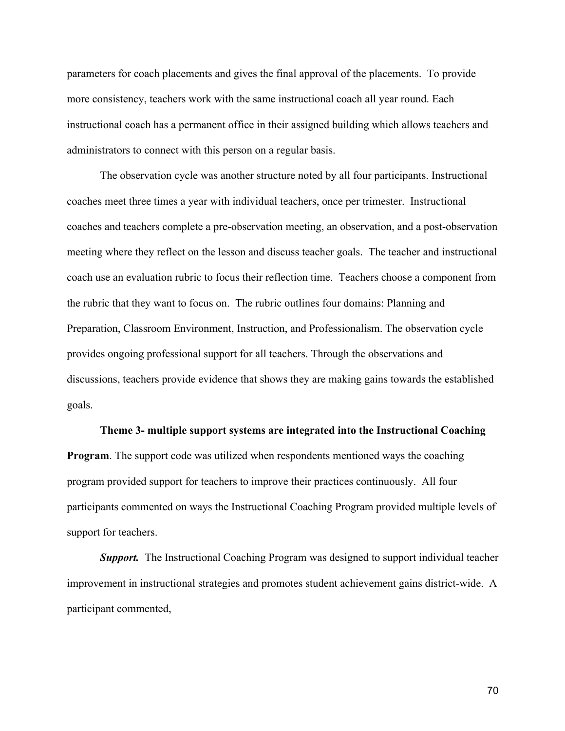parameters for coach placements and gives the final approval of the placements. To provide more consistency, teachers work with the same instructional coach all year round. Each instructional coach has a permanent office in their assigned building which allows teachers and administrators to connect with this person on a regular basis.

The observation cycle was another structure noted by all four participants. Instructional coaches meet three times a year with individual teachers, once per trimester. Instructional coaches and teachers complete a pre-observation meeting, an observation, and a post-observation meeting where they reflect on the lesson and discuss teacher goals. The teacher and instructional coach use an evaluation rubric to focus their reflection time. Teachers choose a component from the rubric that they want to focus on. The rubric outlines four domains: Planning and Preparation, Classroom Environment, Instruction, and Professionalism. The observation cycle provides ongoing professional support for all teachers. Through the observations and discussions, teachers provide evidence that shows they are making gains towards the established goals.

#### **Theme 3- multiple support systems are integrated into the Instructional Coaching**

**Program**. The support code was utilized when respondents mentioned ways the coaching program provided support for teachers to improve their practices continuously. All four participants commented on ways the Instructional Coaching Program provided multiple levels of support for teachers.

*Support.* The Instructional Coaching Program was designed to support individual teacher improvement in instructional strategies and promotes student achievement gains district-wide. A participant commented,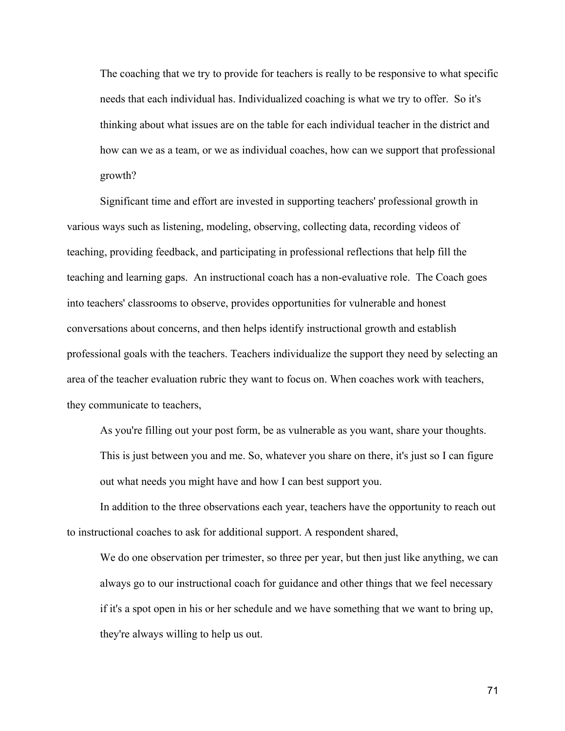The coaching that we try to provide for teachers is really to be responsive to what specific needs that each individual has. Individualized coaching is what we try to offer. So it's thinking about what issues are on the table for each individual teacher in the district and how can we as a team, or we as individual coaches, how can we support that professional growth?

Significant time and effort are invested in supporting teachers' professional growth in various ways such as listening, modeling, observing, collecting data, recording videos of teaching, providing feedback, and participating in professional reflections that help fill the teaching and learning gaps. An instructional coach has a non-evaluative role. The Coach goes into teachers' classrooms to observe, provides opportunities for vulnerable and honest conversations about concerns, and then helps identify instructional growth and establish professional goals with the teachers. Teachers individualize the support they need by selecting an area of the teacher evaluation rubric they want to focus on. When coaches work with teachers, they communicate to teachers,

As you're filling out your post form, be as vulnerable as you want, share your thoughts. This is just between you and me. So, whatever you share on there, it's just so I can figure out what needs you might have and how I can best support you.

In addition to the three observations each year, teachers have the opportunity to reach out to instructional coaches to ask for additional support. A respondent shared,

We do one observation per trimester, so three per year, but then just like anything, we can always go to our instructional coach for guidance and other things that we feel necessary if it's a spot open in his or her schedule and we have something that we want to bring up, they're always willing to help us out.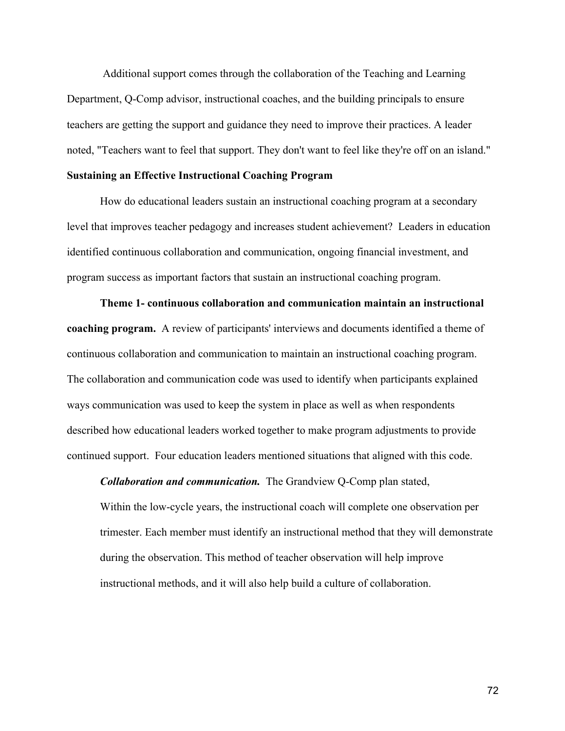Additional support comes through the collaboration of the Teaching and Learning Department, Q-Comp advisor, instructional coaches, and the building principals to ensure teachers are getting the support and guidance they need to improve their practices. A leader noted, "Teachers want to feel that support. They don't want to feel like they're off on an island."

#### **Sustaining an Effective Instructional Coaching Program**

How do educational leaders sustain an instructional coaching program at a secondary level that improves teacher pedagogy and increases student achievement? Leaders in education identified continuous collaboration and communication, ongoing financial investment, and program success as important factors that sustain an instructional coaching program.

**Theme 1- continuous collaboration and communication maintain an instructional coaching program.** A review of participants' interviews and documents identified a theme of continuous collaboration and communication to maintain an instructional coaching program. The collaboration and communication code was used to identify when participants explained ways communication was used to keep the system in place as well as when respondents described how educational leaders worked together to make program adjustments to provide continued support. Four education leaders mentioned situations that aligned with this code.

*Collaboration and communication.* The Grandview Q-Comp plan stated,

Within the low-cycle years, the instructional coach will complete one observation per trimester. Each member must identify an instructional method that they will demonstrate during the observation. This method of teacher observation will help improve instructional methods, and it will also help build a culture of collaboration.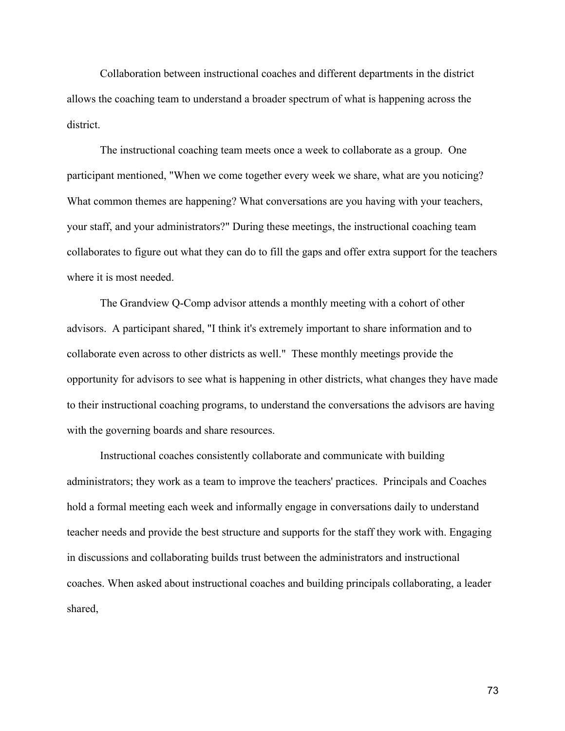Collaboration between instructional coaches and different departments in the district allows the coaching team to understand a broader spectrum of what is happening across the district.

The instructional coaching team meets once a week to collaborate as a group. One participant mentioned, "When we come together every week we share, what are you noticing? What common themes are happening? What conversations are you having with your teachers, your staff, and your administrators?" During these meetings, the instructional coaching team collaborates to figure out what they can do to fill the gaps and offer extra support for the teachers where it is most needed.

The Grandview Q-Comp advisor attends a monthly meeting with a cohort of other advisors. A participant shared, "I think it's extremely important to share information and to collaborate even across to other districts as well." These monthly meetings provide the opportunity for advisors to see what is happening in other districts, what changes they have made to their instructional coaching programs, to understand the conversations the advisors are having with the governing boards and share resources.

Instructional coaches consistently collaborate and communicate with building administrators; they work as a team to improve the teachers' practices. Principals and Coaches hold a formal meeting each week and informally engage in conversations daily to understand teacher needs and provide the best structure and supports for the staff they work with. Engaging in discussions and collaborating builds trust between the administrators and instructional coaches. When asked about instructional coaches and building principals collaborating, a leader shared,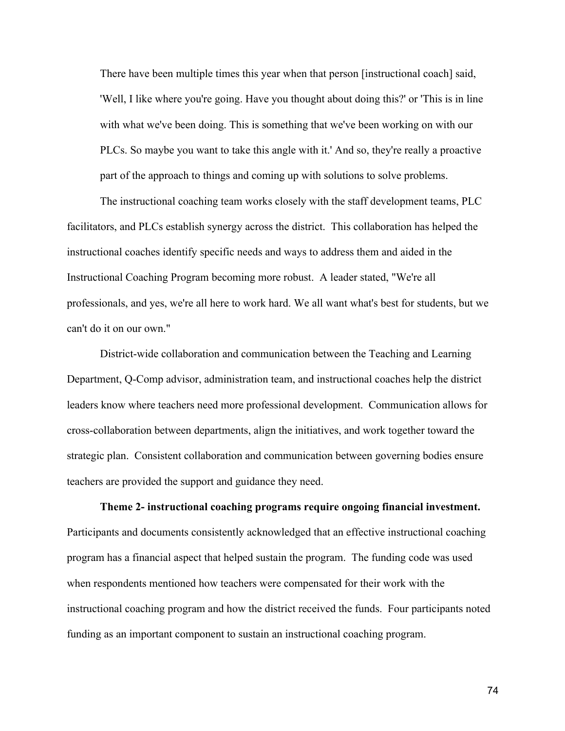There have been multiple times this year when that person [instructional coach] said, 'Well, I like where you're going. Have you thought about doing this?' or 'This is in line with what we've been doing. This is something that we've been working on with our PLCs. So maybe you want to take this angle with it.' And so, they're really a proactive part of the approach to things and coming up with solutions to solve problems.

The instructional coaching team works closely with the staff development teams, PLC facilitators, and PLCs establish synergy across the district. This collaboration has helped the instructional coaches identify specific needs and ways to address them and aided in the Instructional Coaching Program becoming more robust. A leader stated, "We're all professionals, and yes, we're all here to work hard. We all want what's best for students, but we can't do it on our own."

District-wide collaboration and communication between the Teaching and Learning Department, Q-Comp advisor, administration team, and instructional coaches help the district leaders know where teachers need more professional development. Communication allows for cross-collaboration between departments, align the initiatives, and work together toward the strategic plan. Consistent collaboration and communication between governing bodies ensure teachers are provided the support and guidance they need.

 **Theme 2- instructional coaching programs require ongoing financial investment.**  Participants and documents consistently acknowledged that an effective instructional coaching program has a financial aspect that helped sustain the program. The funding code was used when respondents mentioned how teachers were compensated for their work with the instructional coaching program and how the district received the funds. Four participants noted funding as an important component to sustain an instructional coaching program.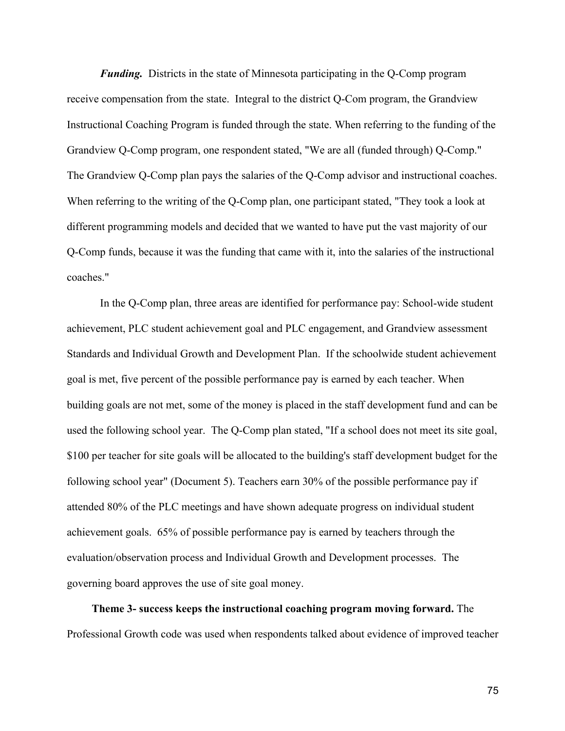*Funding.* Districts in the state of Minnesota participating in the Q-Comp program receive compensation from the state. Integral to the district Q-Com program, the Grandview Instructional Coaching Program is funded through the state. When referring to the funding of the Grandview Q-Comp program, one respondent stated, "We are all (funded through) Q-Comp." The Grandview Q-Comp plan pays the salaries of the Q-Comp advisor and instructional coaches. When referring to the writing of the Q-Comp plan, one participant stated, "They took a look at different programming models and decided that we wanted to have put the vast majority of our Q-Comp funds, because it was the funding that came with it, into the salaries of the instructional coaches."

In the Q-Comp plan, three areas are identified for performance pay: School-wide student achievement, PLC student achievement goal and PLC engagement, and Grandview assessment Standards and Individual Growth and Development Plan. If the schoolwide student achievement goal is met, five percent of the possible performance pay is earned by each teacher. When building goals are not met, some of the money is placed in the staff development fund and can be used the following school year. The Q-Comp plan stated, "If a school does not meet its site goal, \$100 per teacher for site goals will be allocated to the building's staff development budget for the following school year" (Document 5). Teachers earn 30% of the possible performance pay if attended 80% of the PLC meetings and have shown adequate progress on individual student achievement goals. 65% of possible performance pay is earned by teachers through the evaluation/observation process and Individual Growth and Development processes. The governing board approves the use of site goal money.

 **Theme 3- success keeps the instructional coaching program moving forward.** The Professional Growth code was used when respondents talked about evidence of improved teacher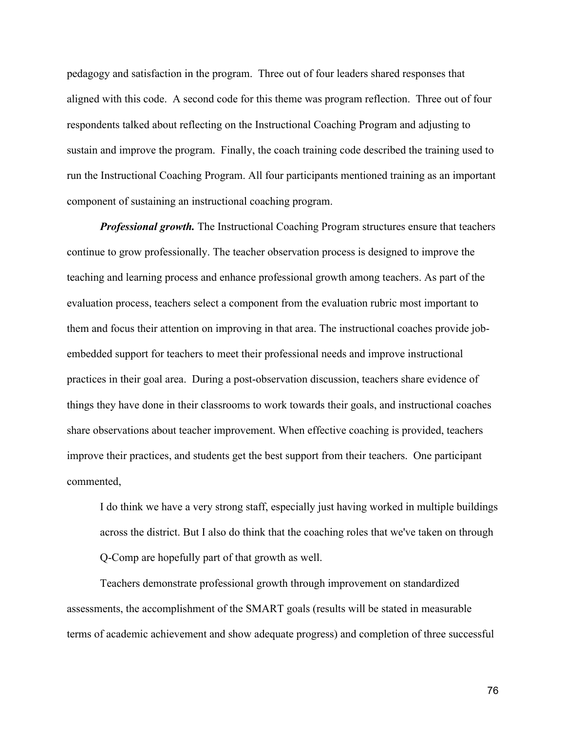pedagogy and satisfaction in the program. Three out of four leaders shared responses that aligned with this code. A second code for this theme was program reflection. Three out of four respondents talked about reflecting on the Instructional Coaching Program and adjusting to sustain and improve the program. Finally, the coach training code described the training used to run the Instructional Coaching Program. All four participants mentioned training as an important component of sustaining an instructional coaching program.

*Professional growth.* The Instructional Coaching Program structures ensure that teachers continue to grow professionally. The teacher observation process is designed to improve the teaching and learning process and enhance professional growth among teachers. As part of the evaluation process, teachers select a component from the evaluation rubric most important to them and focus their attention on improving in that area. The instructional coaches provide jobembedded support for teachers to meet their professional needs and improve instructional practices in their goal area. During a post-observation discussion, teachers share evidence of things they have done in their classrooms to work towards their goals, and instructional coaches share observations about teacher improvement. When effective coaching is provided, teachers improve their practices, and students get the best support from their teachers. One participant commented,

I do think we have a very strong staff, especially just having worked in multiple buildings across the district. But I also do think that the coaching roles that we've taken on through Q-Comp are hopefully part of that growth as well.

Teachers demonstrate professional growth through improvement on standardized assessments, the accomplishment of the SMART goals (results will be stated in measurable terms of academic achievement and show adequate progress) and completion of three successful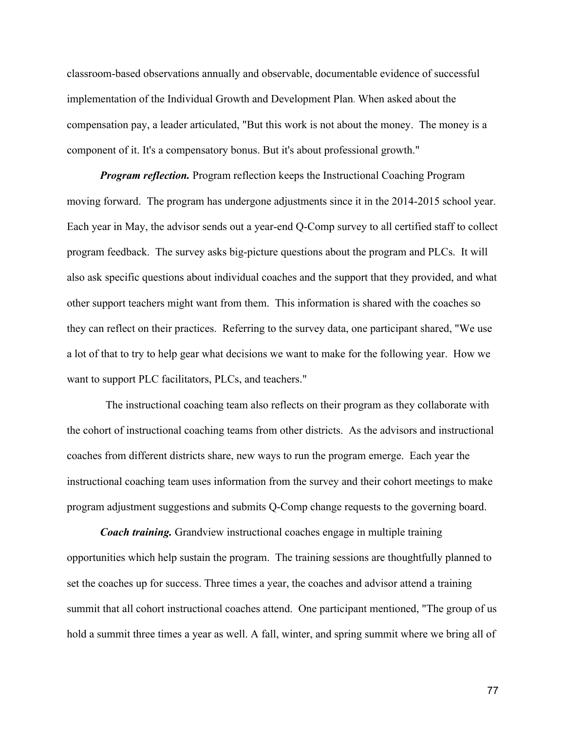classroom-based observations annually and observable, documentable evidence of successful implementation of the Individual Growth and Development Plan. When asked about the compensation pay, a leader articulated, "But this work is not about the money. The money is a component of it. It's a compensatory bonus. But it's about professional growth."

*Program reflection.* Program reflection keeps the Instructional Coaching Program moving forward. The program has undergone adjustments since it in the 2014-2015 school year. Each year in May, the advisor sends out a year-end Q-Comp survey to all certified staff to collect program feedback. The survey asks big-picture questions about the program and PLCs. It will also ask specific questions about individual coaches and the support that they provided, and what other support teachers might want from them. This information is shared with the coaches so they can reflect on their practices. Referring to the survey data, one participant shared, "We use a lot of that to try to help gear what decisions we want to make for the following year. How we want to support PLC facilitators, PLCs, and teachers."

 The instructional coaching team also reflects on their program as they collaborate with the cohort of instructional coaching teams from other districts. As the advisors and instructional coaches from different districts share, new ways to run the program emerge. Each year the instructional coaching team uses information from the survey and their cohort meetings to make program adjustment suggestions and submits Q-Comp change requests to the governing board.

*Coach training.* Grandview instructional coaches engage in multiple training opportunities which help sustain the program. The training sessions are thoughtfully planned to set the coaches up for success. Three times a year, the coaches and advisor attend a training summit that all cohort instructional coaches attend. One participant mentioned, "The group of us hold a summit three times a year as well. A fall, winter, and spring summit where we bring all of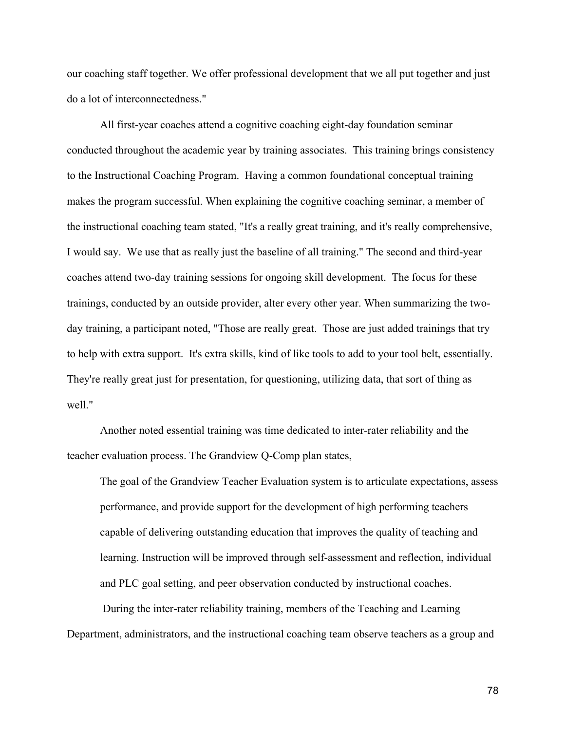our coaching staff together. We offer professional development that we all put together and just do a lot of interconnectedness."

All first-year coaches attend a cognitive coaching eight-day foundation seminar conducted throughout the academic year by training associates. This training brings consistency to the Instructional Coaching Program. Having a common foundational conceptual training makes the program successful. When explaining the cognitive coaching seminar, a member of the instructional coaching team stated, "It's a really great training, and it's really comprehensive, I would say. We use that as really just the baseline of all training." The second and third-year coaches attend two-day training sessions for ongoing skill development. The focus for these trainings, conducted by an outside provider, alter every other year. When summarizing the twoday training, a participant noted, "Those are really great. Those are just added trainings that try to help with extra support. It's extra skills, kind of like tools to add to your tool belt, essentially. They're really great just for presentation, for questioning, utilizing data, that sort of thing as well."

Another noted essential training was time dedicated to inter-rater reliability and the teacher evaluation process. The Grandview Q-Comp plan states,

The goal of the Grandview Teacher Evaluation system is to articulate expectations, assess performance, and provide support for the development of high performing teachers capable of delivering outstanding education that improves the quality of teaching and learning. Instruction will be improved through self-assessment and reflection, individual and PLC goal setting, and peer observation conducted by instructional coaches.

During the inter-rater reliability training, members of the Teaching and Learning Department, administrators, and the instructional coaching team observe teachers as a group and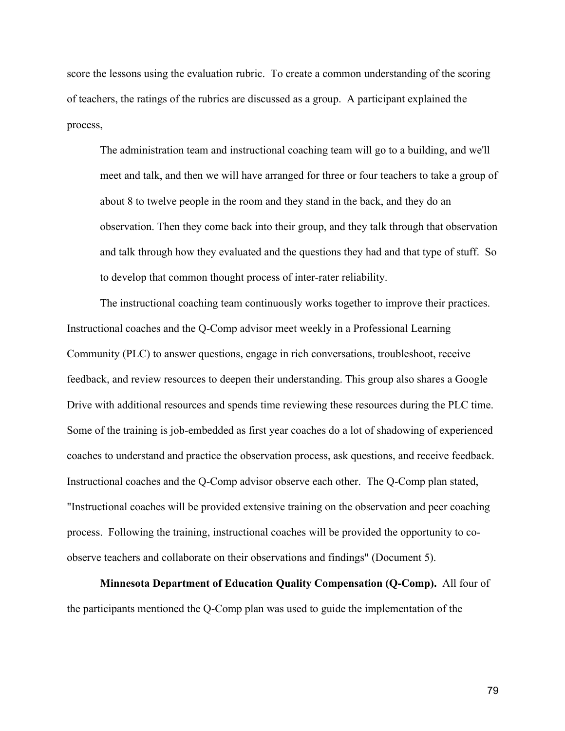score the lessons using the evaluation rubric. To create a common understanding of the scoring of teachers, the ratings of the rubrics are discussed as a group. A participant explained the process,

The administration team and instructional coaching team will go to a building, and we'll meet and talk, and then we will have arranged for three or four teachers to take a group of about 8 to twelve people in the room and they stand in the back, and they do an observation. Then they come back into their group, and they talk through that observation and talk through how they evaluated and the questions they had and that type of stuff. So to develop that common thought process of inter-rater reliability.

The instructional coaching team continuously works together to improve their practices. Instructional coaches and the Q-Comp advisor meet weekly in a Professional Learning Community (PLC) to answer questions, engage in rich conversations, troubleshoot, receive feedback, and review resources to deepen their understanding. This group also shares a Google Drive with additional resources and spends time reviewing these resources during the PLC time. Some of the training is job-embedded as first year coaches do a lot of shadowing of experienced coaches to understand and practice the observation process, ask questions, and receive feedback. Instructional coaches and the Q-Comp advisor observe each other. The Q-Comp plan stated, "Instructional coaches will be provided extensive training on the observation and peer coaching process. Following the training, instructional coaches will be provided the opportunity to coobserve teachers and collaborate on their observations and findings" (Document 5).

**Minnesota Department of Education Quality Compensation (Q-Comp).** All four of the participants mentioned the Q-Comp plan was used to guide the implementation of the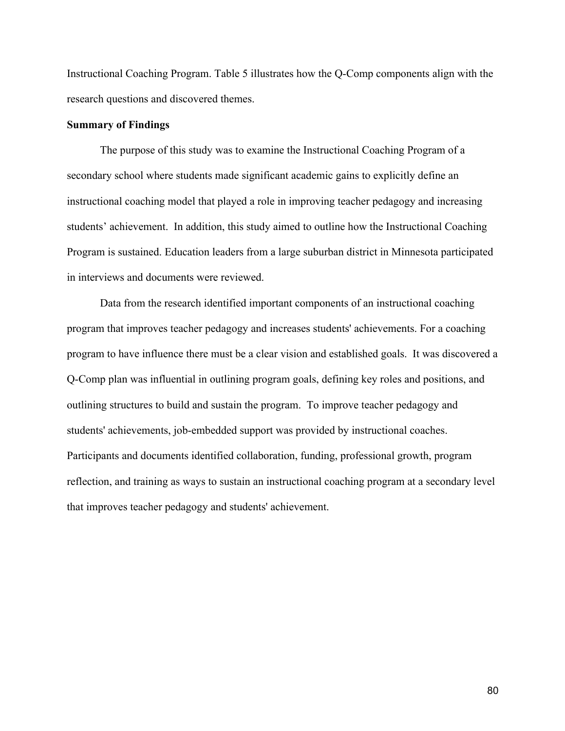Instructional Coaching Program. Table 5 illustrates how the Q-Comp components align with the research questions and discovered themes.

#### **Summary of Findings**

The purpose of this study was to examine the Instructional Coaching Program of a secondary school where students made significant academic gains to explicitly define an instructional coaching model that played a role in improving teacher pedagogy and increasing students' achievement. In addition, this study aimed to outline how the Instructional Coaching Program is sustained. Education leaders from a large suburban district in Minnesota participated in interviews and documents were reviewed.

Data from the research identified important components of an instructional coaching program that improves teacher pedagogy and increases students' achievements. For a coaching program to have influence there must be a clear vision and established goals. It was discovered a Q-Comp plan was influential in outlining program goals, defining key roles and positions, and outlining structures to build and sustain the program. To improve teacher pedagogy and students' achievements, job-embedded support was provided by instructional coaches. Participants and documents identified collaboration, funding, professional growth, program reflection, and training as ways to sustain an instructional coaching program at a secondary level that improves teacher pedagogy and students' achievement.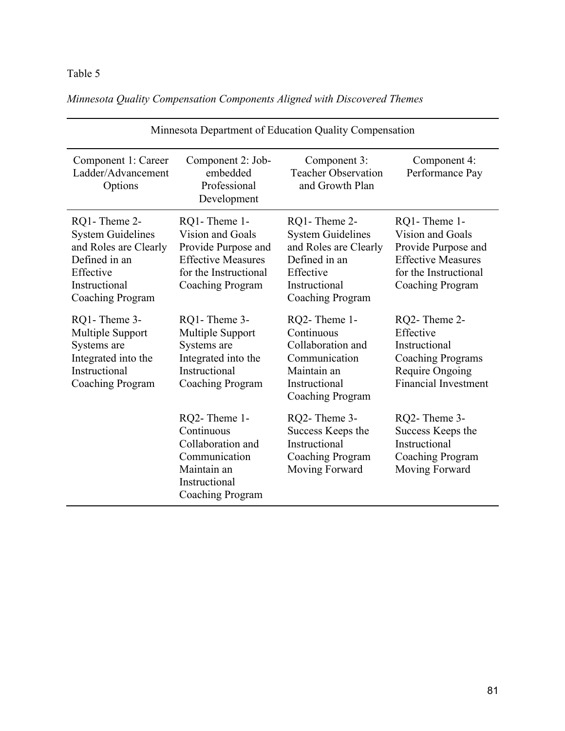# Table 5

*Minnesota Quality Compensation Components Aligned with Discovered Themes*

| Minnesota Department of Education Quality Compensation                                                                               |                                                                                                                                   |                                                                                                                                      |                                                                                                                                   |
|--------------------------------------------------------------------------------------------------------------------------------------|-----------------------------------------------------------------------------------------------------------------------------------|--------------------------------------------------------------------------------------------------------------------------------------|-----------------------------------------------------------------------------------------------------------------------------------|
| Component 1: Career<br>Ladder/Advancement<br>Options                                                                                 | Component 2: Job-<br>embedded<br>Professional<br>Development                                                                      | Component 3:<br><b>Teacher Observation</b><br>and Growth Plan                                                                        | Component 4:<br>Performance Pay                                                                                                   |
| RQ1-Theme 2-<br><b>System Guidelines</b><br>and Roles are Clearly<br>Defined in an<br>Effective<br>Instructional<br>Coaching Program | RQ1-Theme 1-<br>Vision and Goals<br>Provide Purpose and<br><b>Effective Measures</b><br>for the Instructional<br>Coaching Program | RQ1-Theme 2-<br><b>System Guidelines</b><br>and Roles are Clearly<br>Defined in an<br>Effective<br>Instructional<br>Coaching Program | RQ1-Theme 1-<br>Vision and Goals<br>Provide Purpose and<br><b>Effective Measures</b><br>for the Instructional<br>Coaching Program |
| RQ1-Theme 3-<br>Multiple Support<br>Systems are<br>Integrated into the<br>Instructional<br><b>Coaching Program</b>                   | RQ1-Theme 3-<br>Multiple Support<br>Systems are<br>Integrated into the<br>Instructional<br><b>Coaching Program</b>                | RQ2-Theme 1-<br>Continuous<br>Collaboration and<br>Communication<br>Maintain an<br>Instructional<br>Coaching Program                 | RQ2-Theme 2-<br>Effective<br>Instructional<br><b>Coaching Programs</b><br>Require Ongoing<br><b>Financial Investment</b>          |
|                                                                                                                                      | RQ2-Theme 1-<br>Continuous<br>Collaboration and<br>Communication<br>Maintain an<br>Instructional<br>Coaching Program              | RQ2-Theme 3-<br>Success Keeps the<br>Instructional<br>Coaching Program<br>Moving Forward                                             | RQ2-Theme 3-<br>Success Keeps the<br>Instructional<br>Coaching Program<br>Moving Forward                                          |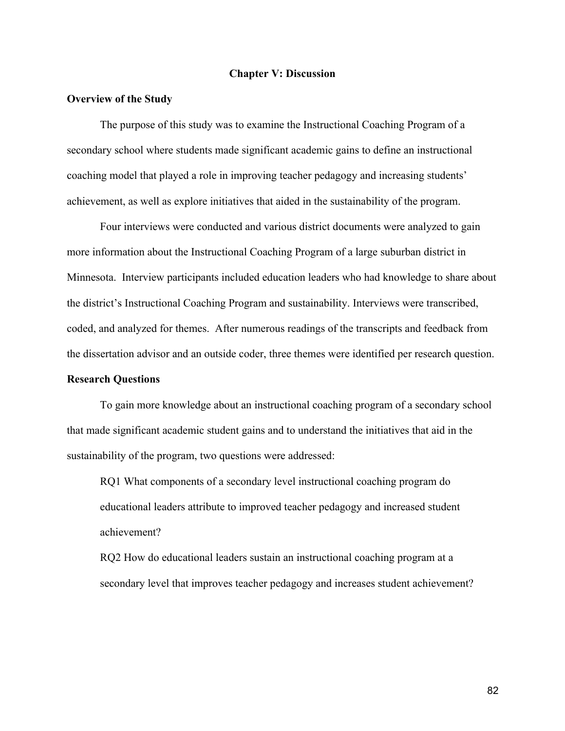#### **Chapter V: Discussion**

#### **Overview of the Study**

The purpose of this study was to examine the Instructional Coaching Program of a secondary school where students made significant academic gains to define an instructional coaching model that played a role in improving teacher pedagogy and increasing students' achievement, as well as explore initiatives that aided in the sustainability of the program.

Four interviews were conducted and various district documents were analyzed to gain more information about the Instructional Coaching Program of a large suburban district in Minnesota. Interview participants included education leaders who had knowledge to share about the district's Instructional Coaching Program and sustainability. Interviews were transcribed, coded, and analyzed for themes. After numerous readings of the transcripts and feedback from the dissertation advisor and an outside coder, three themes were identified per research question.

#### **Research Questions**

To gain more knowledge about an instructional coaching program of a secondary school that made significant academic student gains and to understand the initiatives that aid in the sustainability of the program, two questions were addressed:

RQ1 What components of a secondary level instructional coaching program do educational leaders attribute to improved teacher pedagogy and increased student achievement?

RQ2 How do educational leaders sustain an instructional coaching program at a secondary level that improves teacher pedagogy and increases student achievement?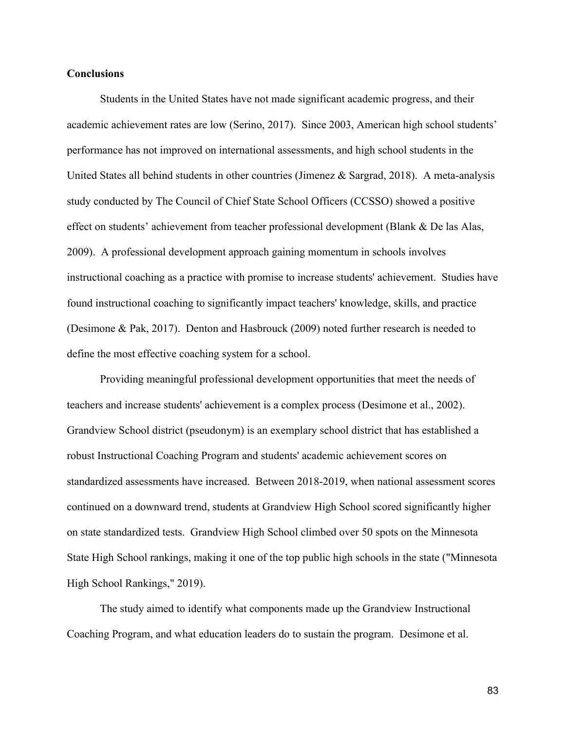#### **Conclusions**

Students in the United States have not made significant academic progress, and their academic achievement rates are low (Serino, 2017). Since 2003, American high school students' performance has not improved on international assessments, and high school students in the United States all behind students in other countries (Jimenez & Sargrad, 2018). A meta-analysis study conducted by The Council of Chief State School Officers (CCSSO) showed a positive effect on students' achievement from teacher professional development (Blank & De las Alas, 2009). A professional development approach gaining momentum in schools involves instructional coaching as a practice with promise to increase students' achievement. Studies have found instructional coaching to significantly impact teachers' knowledge, skills, and practice (Desimone & Pak, 2017). Denton and Hasbrouck (2009) noted further research is needed to define the most effective coaching system for a school.

Providing meaningful professional development opportunities that meet the needs of teachers and increase students' achievement is a complex process (Desimone et al., 2002). Grandview School district (pseudonym) is an exemplary school district that has established a robust Instructional Coaching Program and students' academic achievement scores on standardized assessments have increased. Between 2018-2019, when national assessment scores continued on a downward trend, students at Grandview High School scored significantly higher on state standardized tests. Grandview High School climbed over 50 spots on the Minnesota State High School rankings, making it one of the top public high schools in the state ("Minnesota High School Rankings," 2019).

The study aimed to identify what components made up the Grandview Instructional Coaching Program, and what education leaders do to sustain the program. Desimone et al.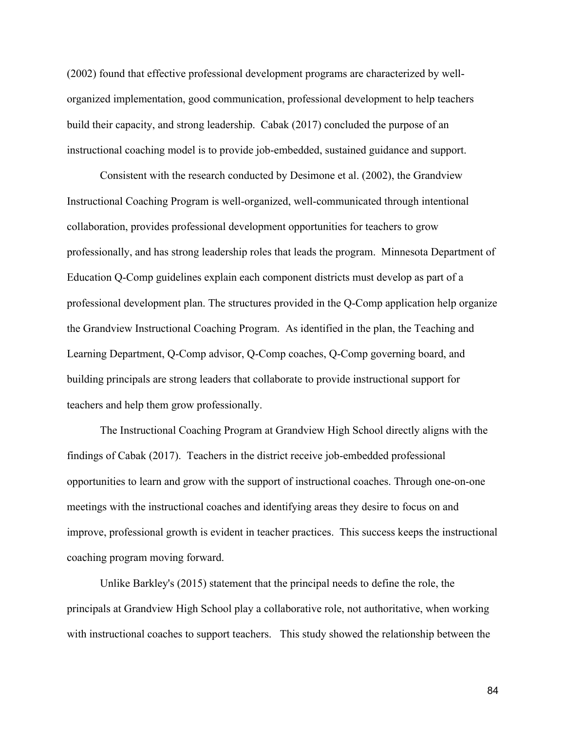(2002) found that effective professional development programs are characterized by wellorganized implementation, good communication, professional development to help teachers build their capacity, and strong leadership. Cabak (2017) concluded the purpose of an instructional coaching model is to provide job-embedded, sustained guidance and support.

Consistent with the research conducted by Desimone et al. (2002), the Grandview Instructional Coaching Program is well-organized, well-communicated through intentional collaboration, provides professional development opportunities for teachers to grow professionally, and has strong leadership roles that leads the program. Minnesota Department of Education Q-Comp guidelines explain each component districts must develop as part of a professional development plan. The structures provided in the Q-Comp application help organize the Grandview Instructional Coaching Program. As identified in the plan, the Teaching and Learning Department, Q-Comp advisor, Q-Comp coaches, Q-Comp governing board, and building principals are strong leaders that collaborate to provide instructional support for teachers and help them grow professionally.

The Instructional Coaching Program at Grandview High School directly aligns with the findings of Cabak (2017). Teachers in the district receive job-embedded professional opportunities to learn and grow with the support of instructional coaches. Through one-on-one meetings with the instructional coaches and identifying areas they desire to focus on and improve, professional growth is evident in teacher practices. This success keeps the instructional coaching program moving forward.

Unlike Barkley's (2015) statement that the principal needs to define the role, the principals at Grandview High School play a collaborative role, not authoritative, when working with instructional coaches to support teachers. This study showed the relationship between the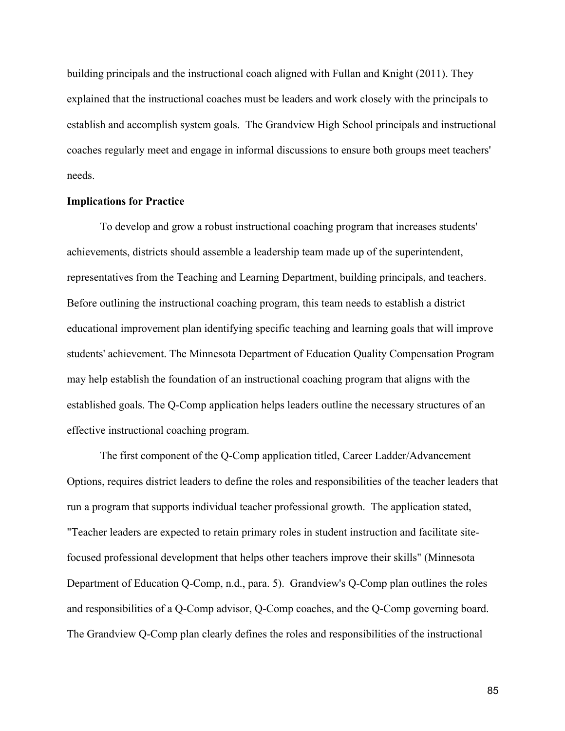building principals and the instructional coach aligned with Fullan and Knight (2011). They explained that the instructional coaches must be leaders and work closely with the principals to establish and accomplish system goals. The Grandview High School principals and instructional coaches regularly meet and engage in informal discussions to ensure both groups meet teachers' needs.

#### **Implications for Practice**

To develop and grow a robust instructional coaching program that increases students' achievements, districts should assemble a leadership team made up of the superintendent, representatives from the Teaching and Learning Department, building principals, and teachers. Before outlining the instructional coaching program, this team needs to establish a district educational improvement plan identifying specific teaching and learning goals that will improve students' achievement. The Minnesota Department of Education Quality Compensation Program may help establish the foundation of an instructional coaching program that aligns with the established goals. The Q-Comp application helps leaders outline the necessary structures of an effective instructional coaching program.

The first component of the Q-Comp application titled, Career Ladder/Advancement Options, requires district leaders to define the roles and responsibilities of the teacher leaders that run a program that supports individual teacher professional growth. The application stated, "Teacher leaders are expected to retain primary roles in student instruction and facilitate sitefocused professional development that helps other teachers improve their skills" (Minnesota Department of Education Q-Comp, n.d., para. 5). Grandview's Q-Comp plan outlines the roles and responsibilities of a Q-Comp advisor, Q-Comp coaches, and the Q-Comp governing board. The Grandview Q-Comp plan clearly defines the roles and responsibilities of the instructional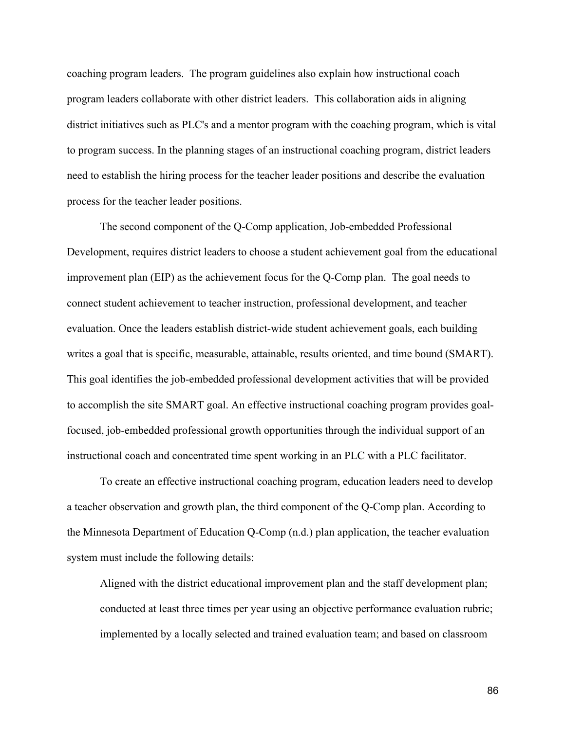coaching program leaders. The program guidelines also explain how instructional coach program leaders collaborate with other district leaders. This collaboration aids in aligning district initiatives such as PLC's and a mentor program with the coaching program, which is vital to program success. In the planning stages of an instructional coaching program, district leaders need to establish the hiring process for the teacher leader positions and describe the evaluation process for the teacher leader positions.

The second component of the Q-Comp application, Job-embedded Professional Development, requires district leaders to choose a student achievement goal from the educational improvement plan (EIP) as the achievement focus for the Q-Comp plan. The goal needs to connect student achievement to teacher instruction, professional development, and teacher evaluation. Once the leaders establish district-wide student achievement goals, each building writes a goal that is specific, measurable, attainable, results oriented, and time bound (SMART). This goal identifies the job-embedded professional development activities that will be provided to accomplish the site SMART goal. An effective instructional coaching program provides goalfocused, job-embedded professional growth opportunities through the individual support of an instructional coach and concentrated time spent working in an PLC with a PLC facilitator.

To create an effective instructional coaching program, education leaders need to develop a teacher observation and growth plan, the third component of the Q-Comp plan. According to the Minnesota Department of Education Q-Comp (n.d.) plan application, the teacher evaluation system must include the following details:

Aligned with the district educational improvement plan and the staff development plan; conducted at least three times per year using an objective performance evaluation rubric; implemented by a locally selected and trained evaluation team; and based on classroom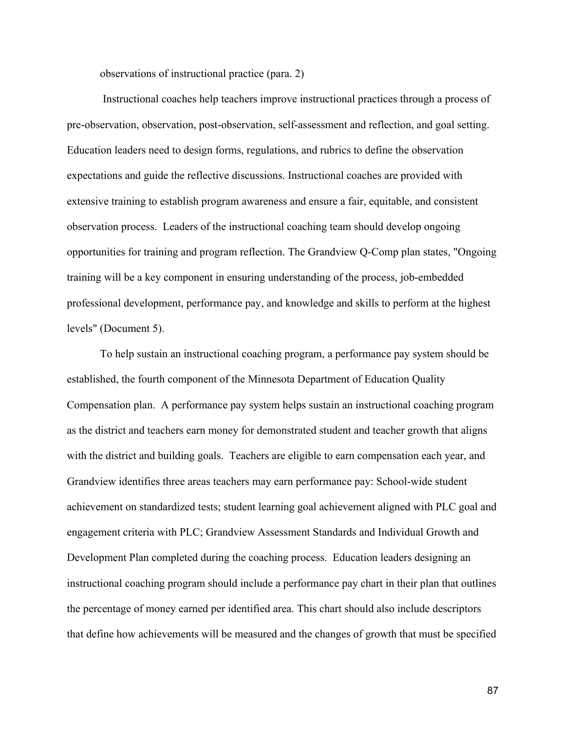observations of instructional practice (para. 2)

Instructional coaches help teachers improve instructional practices through a process of pre-observation, observation, post-observation, self-assessment and reflection, and goal setting. Education leaders need to design forms, regulations, and rubrics to define the observation expectations and guide the reflective discussions. Instructional coaches are provided with extensive training to establish program awareness and ensure a fair, equitable, and consistent observation process. Leaders of the instructional coaching team should develop ongoing opportunities for training and program reflection. The Grandview Q-Comp plan states, "Ongoing training will be a key component in ensuring understanding of the process, job-embedded professional development, performance pay, and knowledge and skills to perform at the highest levels" (Document 5).

To help sustain an instructional coaching program, a performance pay system should be established, the fourth component of the Minnesota Department of Education Quality Compensation plan. A performance pay system helps sustain an instructional coaching program as the district and teachers earn money for demonstrated student and teacher growth that aligns with the district and building goals. Teachers are eligible to earn compensation each year, and Grandview identifies three areas teachers may earn performance pay: School-wide student achievement on standardized tests; student learning goal achievement aligned with PLC goal and engagement criteria with PLC; Grandview Assessment Standards and Individual Growth and Development Plan completed during the coaching process. Education leaders designing an instructional coaching program should include a performance pay chart in their plan that outlines the percentage of money earned per identified area. This chart should also include descriptors that define how achievements will be measured and the changes of growth that must be specified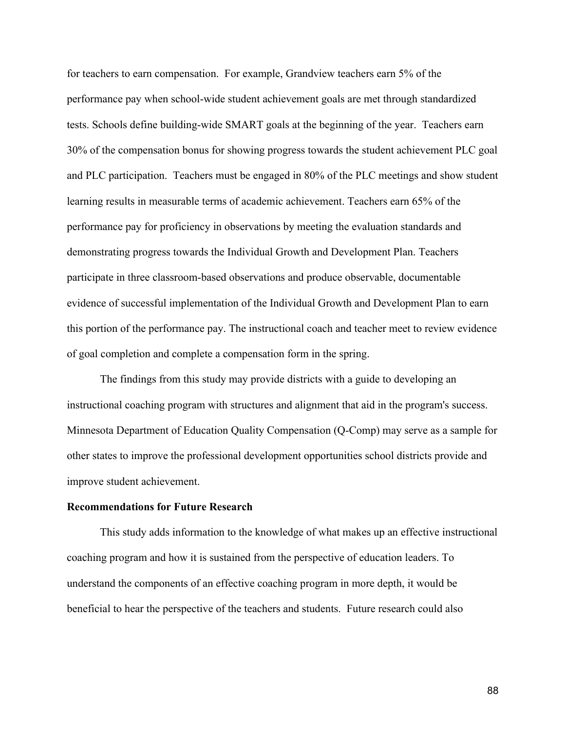for teachers to earn compensation. For example, Grandview teachers earn 5% of the performance pay when school-wide student achievement goals are met through standardized tests. Schools define building-wide SMART goals at the beginning of the year. Teachers earn 30% of the compensation bonus for showing progress towards the student achievement PLC goal and PLC participation. Teachers must be engaged in 80% of the PLC meetings and show student learning results in measurable terms of academic achievement. Teachers earn 65% of the performance pay for proficiency in observations by meeting the evaluation standards and demonstrating progress towards the Individual Growth and Development Plan. Teachers participate in three classroom-based observations and produce observable, documentable evidence of successful implementation of the Individual Growth and Development Plan to earn this portion of the performance pay. The instructional coach and teacher meet to review evidence of goal completion and complete a compensation form in the spring.

The findings from this study may provide districts with a guide to developing an instructional coaching program with structures and alignment that aid in the program's success. Minnesota Department of Education Quality Compensation (Q-Comp) may serve as a sample for other states to improve the professional development opportunities school districts provide and improve student achievement.

#### **Recommendations for Future Research**

This study adds information to the knowledge of what makes up an effective instructional coaching program and how it is sustained from the perspective of education leaders. To understand the components of an effective coaching program in more depth, it would be beneficial to hear the perspective of the teachers and students. Future research could also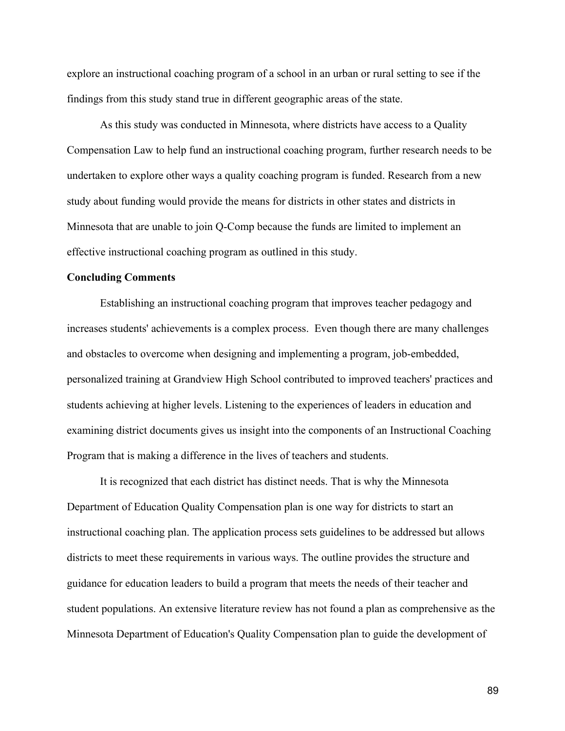explore an instructional coaching program of a school in an urban or rural setting to see if the findings from this study stand true in different geographic areas of the state.

As this study was conducted in Minnesota, where districts have access to a Quality Compensation Law to help fund an instructional coaching program, further research needs to be undertaken to explore other ways a quality coaching program is funded. Research from a new study about funding would provide the means for districts in other states and districts in Minnesota that are unable to join Q-Comp because the funds are limited to implement an effective instructional coaching program as outlined in this study.

#### **Concluding Comments**

Establishing an instructional coaching program that improves teacher pedagogy and increases students' achievements is a complex process. Even though there are many challenges and obstacles to overcome when designing and implementing a program, job-embedded, personalized training at Grandview High School contributed to improved teachers' practices and students achieving at higher levels. Listening to the experiences of leaders in education and examining district documents gives us insight into the components of an Instructional Coaching Program that is making a difference in the lives of teachers and students.

It is recognized that each district has distinct needs. That is why the Minnesota Department of Education Quality Compensation plan is one way for districts to start an instructional coaching plan. The application process sets guidelines to be addressed but allows districts to meet these requirements in various ways. The outline provides the structure and guidance for education leaders to build a program that meets the needs of their teacher and student populations. An extensive literature review has not found a plan as comprehensive as the Minnesota Department of Education's Quality Compensation plan to guide the development of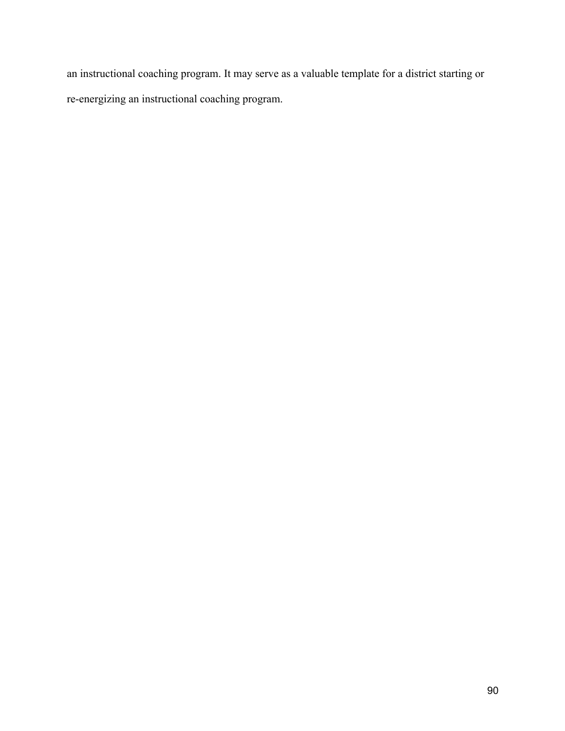an instructional coaching program. It may serve as a valuable template for a district starting or re-energizing an instructional coaching program.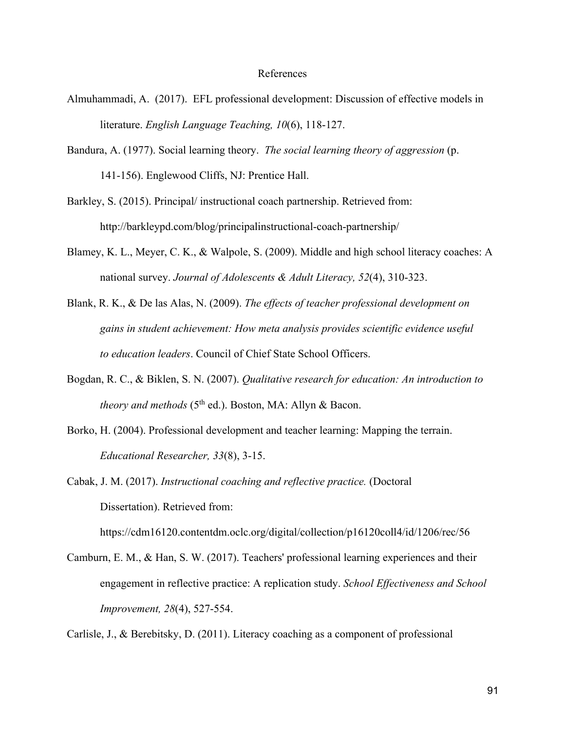#### References

- Almuhammadi, A. (2017). EFL professional development: Discussion of effective models in literature. *English Language Teaching, 10*(6), 118-127.
- Bandura, A. (1977). Social learning theory. *The social learning theory of aggression* (p. 141-156). Englewood Cliffs, NJ: Prentice Hall.
- Barkley, S. (2015). Principal/ instructional coach partnership. Retrieved from: http://barkleypd.com/blog/principalinstructional-coach-partnership/
- Blamey, K. L., Meyer, C. K., & Walpole, S. (2009). Middle and high school literacy coaches: A national survey. *Journal of Adolescents & Adult Literacy, 52*(4), 310-323.
- Blank, R. K., & De las Alas, N. (2009). *The effects of teacher professional development on gains in student achievement: How meta analysis provides scientific evidence useful to education leaders*. Council of Chief State School Officers.
- Bogdan, R. C., & Biklen, S. N. (2007). *Qualitative research for education: An introduction to theory and methods* (5<sup>th</sup> ed.). Boston, MA: Allyn & Bacon.
- Borko, H. (2004). Professional development and teacher learning: Mapping the terrain. *Educational Researcher, 33*(8), 3-15.
- Cabak, J. M. (2017). *Instructional coaching and reflective practice.* (Doctoral Dissertation). Retrieved from:

https://cdm16120.contentdm.oclc.org/digital/collection/p16120coll4/id/1206/rec/56

Camburn, E. M., & Han, S. W. (2017). Teachers' professional learning experiences and their engagement in reflective practice: A replication study. *School Effectiveness and School Improvement, 28*(4), 527-554.

Carlisle, J., & Berebitsky, D. (2011). Literacy coaching as a component of professional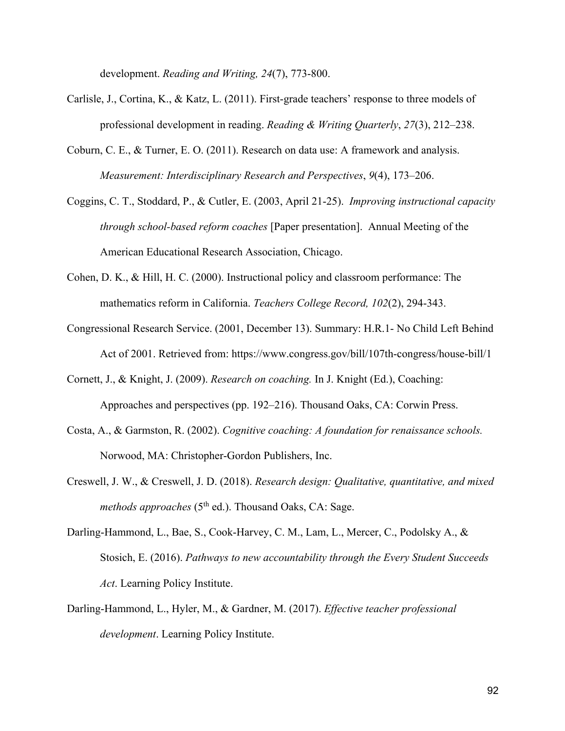development. *Reading and Writing, 24*(7), 773-800.

- Carlisle, J., Cortina, K., & Katz, L. (2011). First-grade teachers' response to three models of professional development in reading. *Reading & Writing Quarterly*, *27*(3), 212–238.
- Coburn, C. E., & Turner, E. O. (2011). Research on data use: A framework and analysis. *Measurement: Interdisciplinary Research and Perspectives*, *9*(4), 173–206.
- Coggins, C. T., Stoddard, P., & Cutler, E. (2003, April 21-25). *Improving instructional capacity through school-based reform coaches* [Paper presentation].Annual Meeting of the American Educational Research Association, Chicago.
- Cohen, D. K., & Hill, H. C. (2000). Instructional policy and classroom performance: The mathematics reform in California. *Teachers College Record, 102*(2), 294-343.
- Congressional Research Service. (2001, December 13). Summary: H.R.1- No Child Left Behind Act of 2001. Retrieved from: https://www.congress.gov/bill/107th-congress/house-bill/1
- Cornett, J., & Knight, J. (2009). *Research on coaching.* In J. Knight (Ed.), Coaching: Approaches and perspectives (pp. 192–216). Thousand Oaks, CA: Corwin Press.
- Costa, A., & Garmston, R. (2002). *Cognitive coaching: A foundation for renaissance schools.*  Norwood, MA: Christopher-Gordon Publishers, Inc.
- Creswell, J. W., & Creswell, J. D. (2018). *Research design: Qualitative, quantitative, and mixed methods approaches* (5<sup>th</sup> ed.). Thousand Oaks, CA: Sage.
- Darling-Hammond, L., Bae, S., Cook-Harvey, C. M., Lam, L., Mercer, C., Podolsky A., & Stosich, E. (2016). *Pathways to new accountability through the Every Student Succeeds Act*. Learning Policy Institute.
- Darling-Hammond, L., Hyler, M., & Gardner, M. (2017). *Effective teacher professional development*. Learning Policy Institute.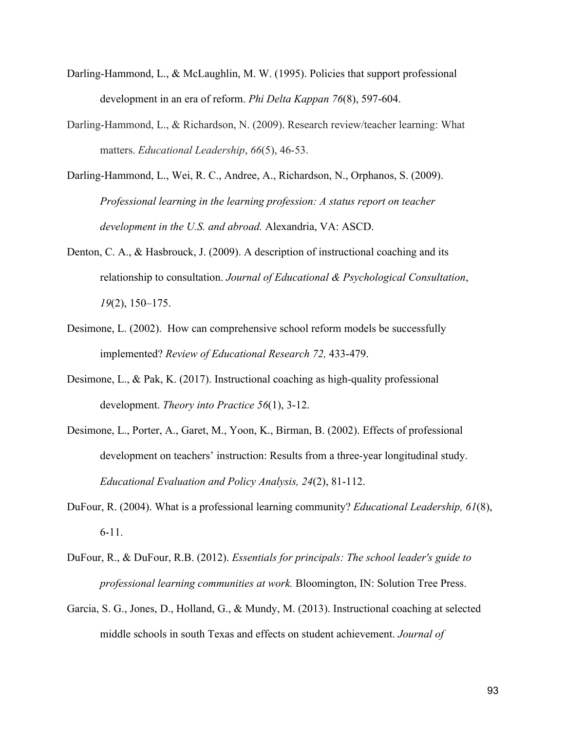- Darling-Hammond, L., & McLaughlin, M. W. (1995). Policies that support professional development in an era of reform. *Phi Delta Kappan 76*(8), 597-604.
- Darling-Hammond, L., & Richardson, N. (2009). Research review/teacher learning: What matters. *Educational Leadership*, *66*(5), 46-53.
- Darling-Hammond, L., Wei, R. C., Andree, A., Richardson, N., Orphanos, S. (2009). *Professional learning in the learning profession: A status report on teacher development in the U.S. and abroad.* Alexandria, VA: ASCD.
- Denton, C. A., & Hasbrouck, J. (2009). A description of instructional coaching and its relationship to consultation. *Journal of Educational & Psychological Consultation*, *19*(2), 150–175.
- Desimone, L. (2002). How can comprehensive school reform models be successfully implemented? *Review of Educational Research 72,* 433-479.
- Desimone, L., & Pak, K. (2017). Instructional coaching as high-quality professional development. *Theory into Practice 56*(1), 3-12.
- Desimone, L., Porter, A., Garet, M., Yoon, K., Birman, B. (2002). Effects of professional development on teachers' instruction: Results from a three-year longitudinal study. *Educational Evaluation and Policy Analysis, 24*(2), 81-112.
- DuFour, R. (2004). What is a professional learning community? *Educational Leadership, 61*(8), 6-11.
- DuFour, R., & DuFour, R.B. (2012). *Essentials for principals: The school leader's guide to professional learning communities at work.* Bloomington, IN: Solution Tree Press.
- Garcia, S. G., Jones, D., Holland, G., & Mundy, M. (2013). Instructional coaching at selected middle schools in south Texas and effects on student achievement. *Journal of*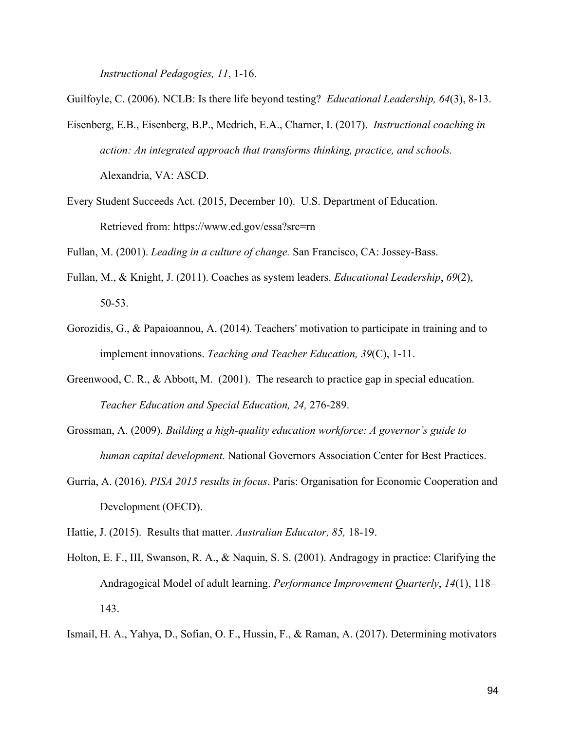*Instructional Pedagogies, 11*, 1-16.

Guilfoyle, C. (2006). NCLB: Is there life beyond testing? *Educational Leadership, 64*(3), 8-13.

- Eisenberg, E.B., Eisenberg, B.P., Medrich, E.A., Charner, I. (2017). *Instructional coaching in action: An integrated approach that transforms thinking, practice, and schools.*  Alexandria, VA: ASCD.
- Every Student Succeeds Act. (2015, December 10). U.S. Department of Education. Retrieved from: https://www.ed.gov/essa?src=rn

Fullan, M. (2001). *Leading in a culture of change.* San Francisco, CA: Jossey-Bass.

- Fullan, M., & Knight, J. (2011). Coaches as system leaders. *Educational Leadership*, *69*(2), 50-53.
- Gorozidis, G., & Papaioannou, A. (2014). Teachers' motivation to participate in training and to implement innovations. *Teaching and Teacher Education, 39*(C), 1-11.
- Greenwood, C. R., & Abbott, M. (2001). The research to practice gap in special education. *Teacher Education and Special Education, 24,* 276-289.
- Grossman, A. (2009). *Building a high-quality education workforce: A governor's guide to human capital development.* National Governors Association Center for Best Practices.
- Gurría, A. (2016). *PISA 2015 results in focus*. Paris: Organisation for Economic Cooperation and Development (OECD).
- Hattie, J. (2015). Results that matter. *Australian Educator, 85,* 18-19.
- Holton, E. F., III, Swanson, R. A., & Naquin, S. S. (2001). Andragogy in practice: Clarifying the Andragogical Model of adult learning. *Performance Improvement Quarterly*, *14*(1), 118– 143.
- Ismail, H. A., Yahya, D., Sofian, O. F., Hussin, F., & Raman, A. (2017). Determining motivators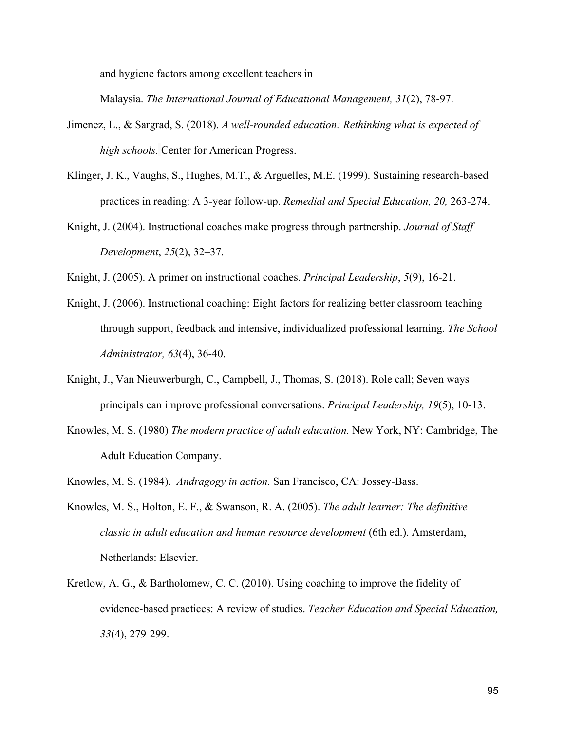and hygiene factors among excellent teachers in

Malaysia. *The International Journal of Educational Management, 31*(2), 78-97.

- Jimenez, L., & Sargrad, S. (2018). *A well-rounded education: Rethinking what is expected of high schools.* Center for American Progress.
- Klinger, J. K., Vaughs, S., Hughes, M.T., & Arguelles, M.E. (1999). Sustaining research-based practices in reading: A 3-year follow-up. *Remedial and Special Education, 20,* 263-274.
- Knight, J. (2004). Instructional coaches make progress through partnership. *Journal of Staff Development*, *25*(2), 32–37.
- Knight, J. (2005). A primer on instructional coaches. *Principal Leadership*, *5*(9), 16-21.
- Knight, J. (2006). Instructional coaching: Eight factors for realizing better classroom teaching through support, feedback and intensive, individualized professional learning. *The School Administrator, 63*(4), 36-40.
- Knight, J., Van Nieuwerburgh, C., Campbell, J., Thomas, S. (2018). Role call; Seven ways principals can improve professional conversations. *Principal Leadership, 19*(5), 10-13.
- Knowles, M. S. (1980) *The modern practice of adult education.* New York, NY: Cambridge, The Adult Education Company.
- Knowles, M. S. (1984). *Andragogy in action.* San Francisco, CA: Jossey-Bass.
- Knowles, M. S., Holton, E. F., & Swanson, R. A. (2005). *The adult learner: The definitive classic in adult education and human resource development* (6th ed.). Amsterdam, Netherlands: Elsevier.
- Kretlow, A. G., & Bartholomew, C. C. (2010). Using coaching to improve the fidelity of evidence-based practices: A review of studies. *Teacher Education and Special Education, 33*(4), 279-299.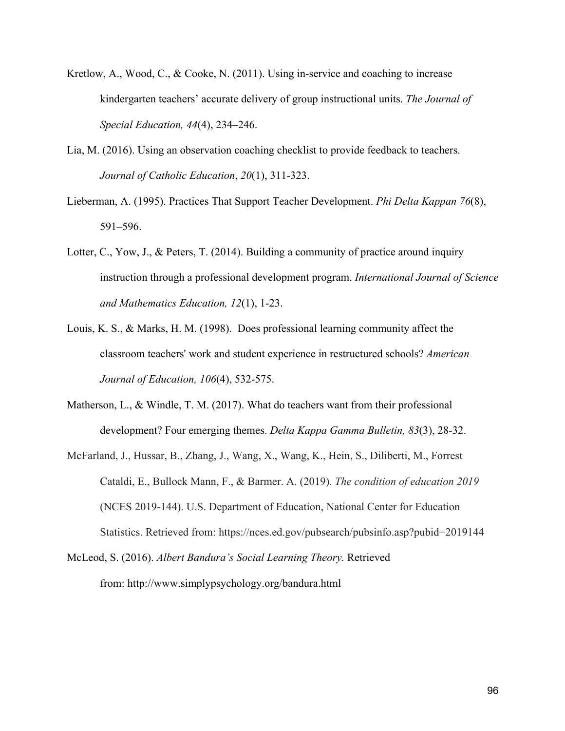- Kretlow, A., Wood, C., & Cooke, N. (2011). Using in-service and coaching to increase kindergarten teachers' accurate delivery of group instructional units. *The Journal of Special Education, 44*(4), 234–246.
- Lia, M. (2016). Using an observation coaching checklist to provide feedback to teachers. *Journal of Catholic Education*, *20*(1), 311-323.
- Lieberman, A. (1995). Practices That Support Teacher Development. *Phi Delta Kappan 76*(8), 591–596.
- Lotter, C., Yow, J., & Peters, T. (2014). Building a community of practice around inquiry instruction through a professional development program. *International Journal of Science and Mathematics Education, 12*(1), 1-23.
- Louis, K. S., & Marks, H. M. (1998). Does professional learning community affect the classroom teachers' work and student experience in restructured schools? *American Journal of Education, 106*(4), 532-575.
- Matherson, L., & Windle, T. M. (2017). What do teachers want from their professional development? Four emerging themes. *Delta Kappa Gamma Bulletin, 83*(3), 28-32.
- McFarland, J., Hussar, B., Zhang, J., Wang, X., Wang, K., Hein, S., Diliberti, M., Forrest Cataldi, E., Bullock Mann, F., & Barmer. A. (2019). *The condition of education 2019* (NCES 2019-144). U.S. Department of Education, National Center for Education Statistics. Retrieved from: https://nces.ed.gov/pubsearch/pubsinfo.asp?pubid=2019144
- McLeod, S. (2016). *Albert Bandura's Social Learning Theory.* Retrieved from: http://www.simplypsychology.org/bandura.html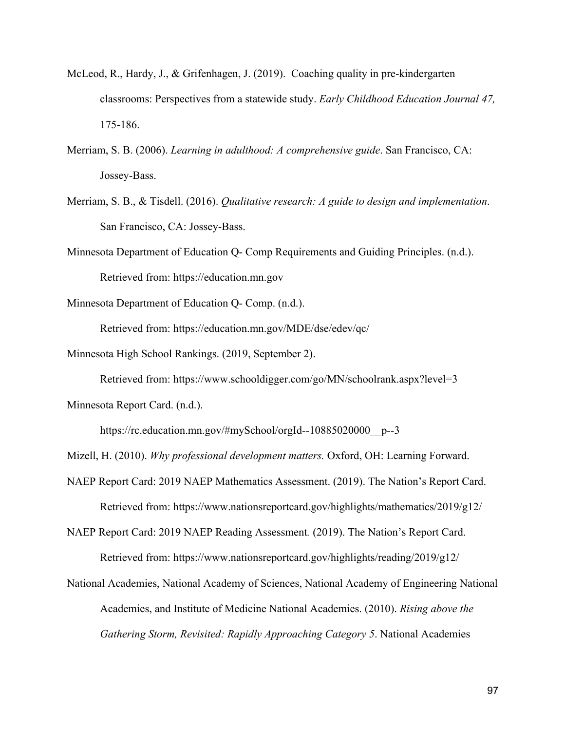- McLeod, R., Hardy, J., & Grifenhagen, J. (2019). Coaching quality in pre-kindergarten classrooms: Perspectives from a statewide study. *Early Childhood Education Journal 47,*  175-186.
- Merriam, S. B. (2006). *Learning in adulthood: A comprehensive guide*. San Francisco, CA: Jossey-Bass.
- Merriam, S. B., & Tisdell. (2016). *Qualitative research: A guide to design and implementation*. San Francisco, CA: Jossey-Bass.
- Minnesota Department of Education Q- Comp Requirements and Guiding Principles. (n.d.). Retrieved from: https://education.mn.gov

Minnesota Department of Education Q- Comp. (n.d.).

Retrieved from: https://education.mn.gov/MDE/dse/edev/qc/

Minnesota High School Rankings. (2019, September 2).

Retrieved from: https://www.schooldigger.com/go/MN/schoolrank.aspx?level=3

Minnesota Report Card. (n.d.).

https://rc.education.mn.gov/#mySchool/orgId--10885020000\_p--3

Mizell, H. (2010). *Why professional development matters.* Oxford, OH: Learning Forward.

NAEP Report Card: 2019 NAEP Mathematics Assessment. (2019). The Nation's Report Card. Retrieved from: https://www.nationsreportcard.gov/highlights/mathematics/2019/g12/

NAEP Report Card: 2019 NAEP Reading Assessment*.* (2019). The Nation's Report Card. Retrieved from: https://www.nationsreportcard.gov/highlights/reading/2019/g12/

National Academies, National Academy of Sciences, National Academy of Engineering National Academies, and Institute of Medicine National Academies. (2010). *Rising above the Gathering Storm, Revisited: Rapidly Approaching Category 5*. National Academies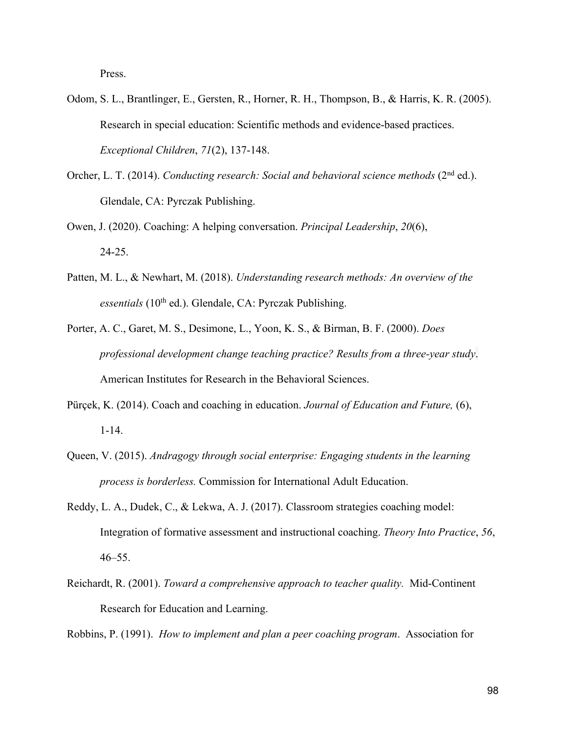Press.

- Odom, S. L., Brantlinger, E., Gersten, R., Horner, R. H., Thompson, B., & Harris, K. R. (2005). Research in special education: Scientific methods and evidence-based practices. *Exceptional Children*, *71*(2), 137-148.
- Orcher, L. T. (2014). *Conducting research: Social and behavioral science methods* (2<sup>nd</sup> ed.). Glendale, CA: Pyrczak Publishing.
- Owen, J. (2020). Coaching: A helping conversation. *Principal Leadership*, *20*(6), 24-25.
- Patten, M. L., & Newhart, M. (2018). *Understanding research methods: An overview of the*  essentials (10<sup>th</sup> ed.). Glendale, CA: Pyrczak Publishing.
- Porter, A. C., Garet, M. S., Desimone, L., Yoon, K. S., & Birman, B. F. (2000). *Does professional development change teaching practice? Results from a three-year study*. American Institutes for Research in the Behavioral Sciences.
- Pürçek, K. (2014). Coach and coaching in education. *Journal of Education and Future,* (6), 1-14.
- Queen, V. (2015). *Andragogy through social enterprise: Engaging students in the learning process is borderless.* Commission for International Adult Education.
- Reddy, L. A., Dudek, C., & Lekwa, A. J. (2017). Classroom strategies coaching model: Integration of formative assessment and instructional coaching. *Theory Into Practice*, *56*,  $46 - 55$ .
- Reichardt, R. (2001). *Toward a comprehensive approach to teacher quality.* Mid-Continent Research for Education and Learning.

Robbins, P. (1991). *How to implement and plan a peer coaching program*. Association for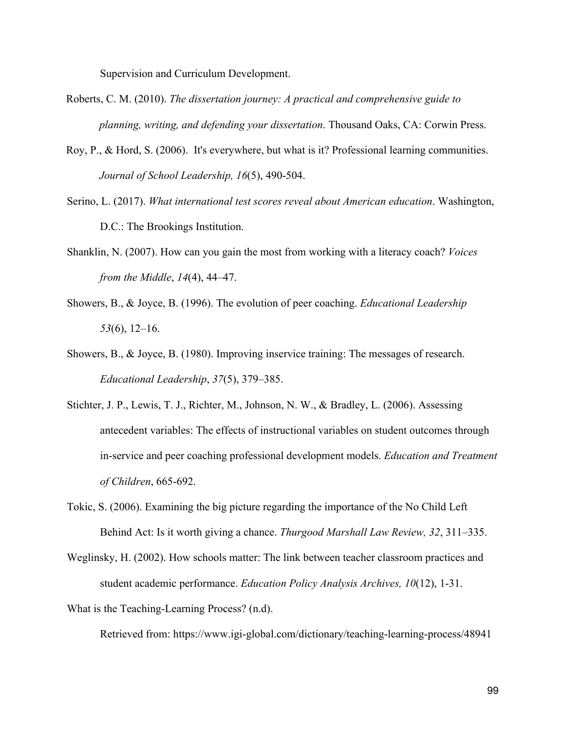Supervision and Curriculum Development.

- Roberts, C. M. (2010). *The dissertation journey: A practical and comprehensive guide to planning, writing, and defending your dissertation*. Thousand Oaks, CA: Corwin Press.
- Roy, P., & Hord, S. (2006). It's everywhere, but what is it? Professional learning communities. *Journal of School Leadership, 16*(5), 490-504.
- Serino, L. (2017). *What international test scores reveal about American education*. Washington, D.C.: The Brookings Institution.
- Shanklin, N. (2007). How can you gain the most from working with a literacy coach? *Voices from the Middle*, *14*(4), 44–47.
- Showers, B., & Joyce, B. (1996). The evolution of peer coaching. *Educational Leadership 53*(6), 12–16.
- Showers, B., & Joyce, B. (1980). Improving inservice training: The messages of research. *Educational Leadership*, *37*(5), 379–385.
- Stichter, J. P., Lewis, T. J., Richter, M., Johnson, N. W., & Bradley, L. (2006). Assessing antecedent variables: The effects of instructional variables on student outcomes through in-service and peer coaching professional development models. *Education and Treatment of Children*, 665-692.
- Tokic, S. (2006). Examining the big picture regarding the importance of the No Child Left Behind Act: Is it worth giving a chance. *Thurgood Marshall Law Review, 32*, 311–335.
- Weglinsky, H. (2002). How schools matter: The link between teacher classroom practices and student academic performance. *Education Policy Analysis Archives, 10*(12), 1-31.

What is the Teaching-Learning Process? (n.d).

Retrieved from: https://www.igi-global.com/dictionary/teaching-learning-process/48941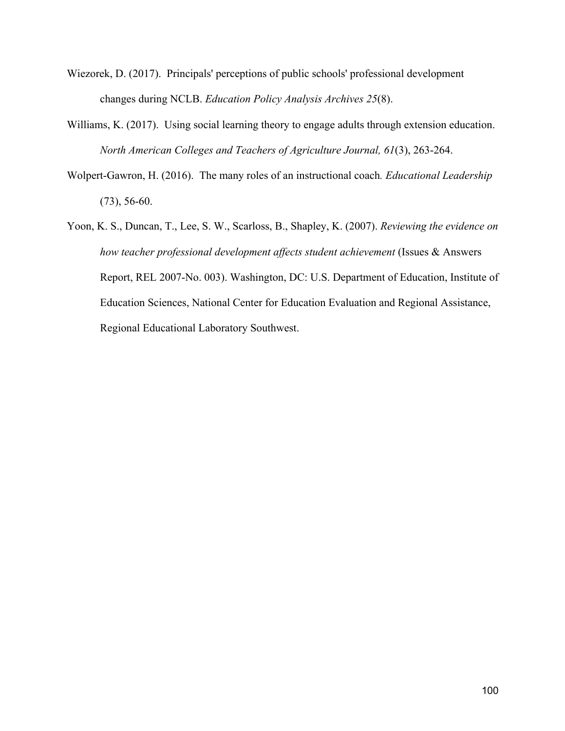- Wiezorek, D. (2017). Principals' perceptions of public schools' professional development changes during NCLB. *Education Policy Analysis Archives 25*(8).
- Williams, K. (2017). Using social learning theory to engage adults through extension education. *North American Colleges and Teachers of Agriculture Journal, 61*(3), 263-264.
- Wolpert-Gawron, H. (2016). The many roles of an instructional coach*. Educational Leadership*  (73), 56-60.
- Yoon, K. S., Duncan, T., Lee, S. W., Scarloss, B., Shapley, K. (2007). *Reviewing the evidence on how teacher professional development affects student achievement* (Issues & Answers Report, REL 2007-No. 003). Washington, DC: U.S. Department of Education, Institute of Education Sciences, National Center for Education Evaluation and Regional Assistance, Regional Educational Laboratory Southwest.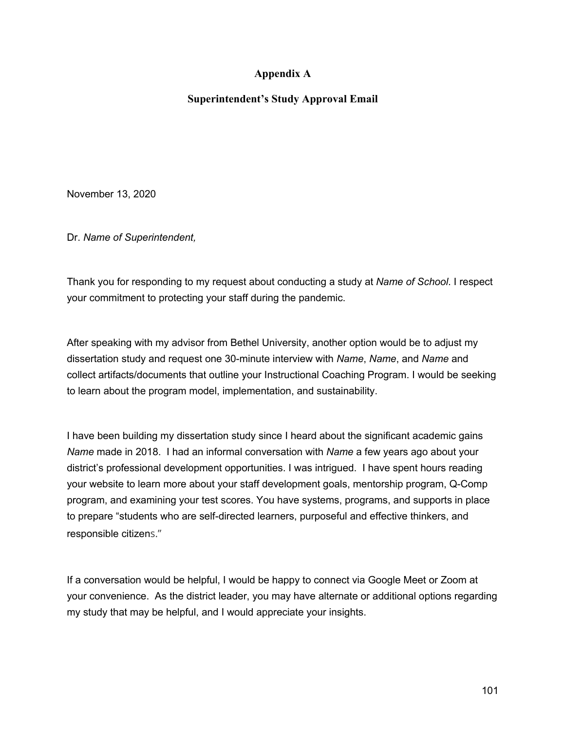### **Appendix A**

### **Superintendent's Study Approval Email**

November 13, 2020

Dr. *Name of Superintendent,*

Thank you for responding to my request about conducting a study at *Name of School*. I respect your commitment to protecting your staff during the pandemic.

After speaking with my advisor from Bethel University, another option would be to adjust my dissertation study and request one 30-minute interview with *Name*, *Name*, and *Name* and collect artifacts/documents that outline your Instructional Coaching Program. I would be seeking to learn about the program model, implementation, and sustainability.

I have been building my dissertation study since I heard about the significant academic gains *Name* made in 2018. I had an informal conversation with *Name* a few years ago about your district's professional development opportunities. I was intrigued. I have spent hours reading your website to learn more about your staff development goals, mentorship program, Q-Comp program, and examining your test scores. You have systems, programs, and supports in place to prepare "students who are self-directed learners, purposeful and effective thinkers, and responsible citizens."

If a conversation would be helpful, I would be happy to connect via Google Meet or Zoom at your convenience. As the district leader, you may have alternate or additional options regarding my study that may be helpful, and I would appreciate your insights.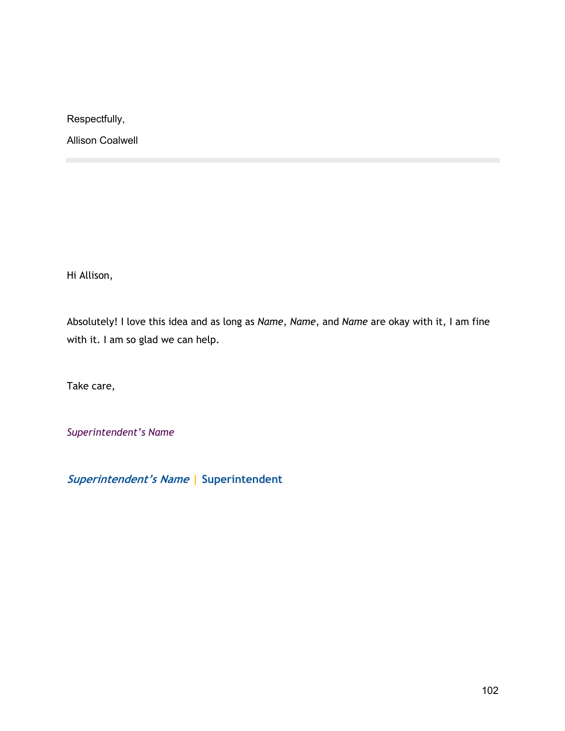Respectfully,

Allison Coalwell

Hi Allison,

Absolutely! I love this idea and as long as *Name*, *Name*, and *Name* are okay with it, I am fine with it. I am so glad we can help.

Take care,

*Superintendent's Name*

**Superintendent's Name | Superintendent**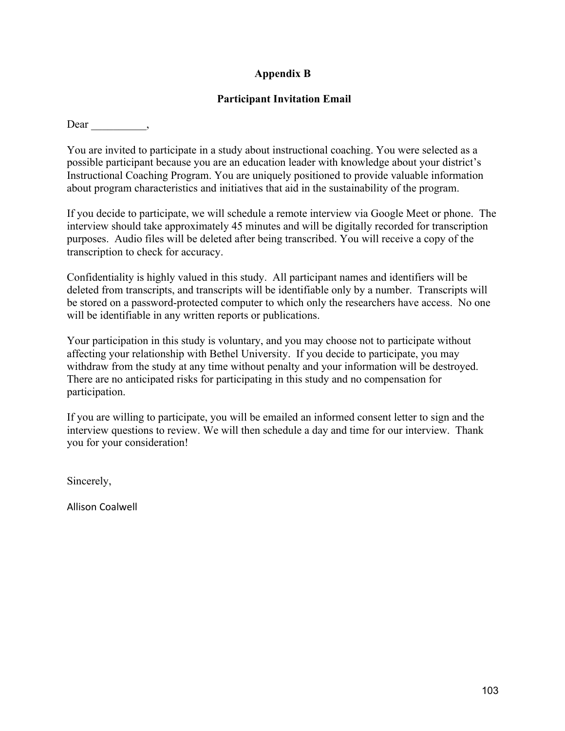## **Appendix B**

### **Participant Invitation Email**

Dear ,

You are invited to participate in a study about instructional coaching. You were selected as a possible participant because you are an education leader with knowledge about your district's Instructional Coaching Program. You are uniquely positioned to provide valuable information about program characteristics and initiatives that aid in the sustainability of the program.

If you decide to participate, we will schedule a remote interview via Google Meet or phone. The interview should take approximately 45 minutes and will be digitally recorded for transcription purposes. Audio files will be deleted after being transcribed. You will receive a copy of the transcription to check for accuracy.

Confidentiality is highly valued in this study. All participant names and identifiers will be deleted from transcripts, and transcripts will be identifiable only by a number. Transcripts will be stored on a password-protected computer to which only the researchers have access. No one will be identifiable in any written reports or publications.

Your participation in this study is voluntary, and you may choose not to participate without affecting your relationship with Bethel University. If you decide to participate, you may withdraw from the study at any time without penalty and your information will be destroyed. There are no anticipated risks for participating in this study and no compensation for participation.

If you are willing to participate, you will be emailed an informed consent letter to sign and the interview questions to review. We will then schedule a day and time for our interview. Thank you for your consideration!

Sincerely,

Allison Coalwell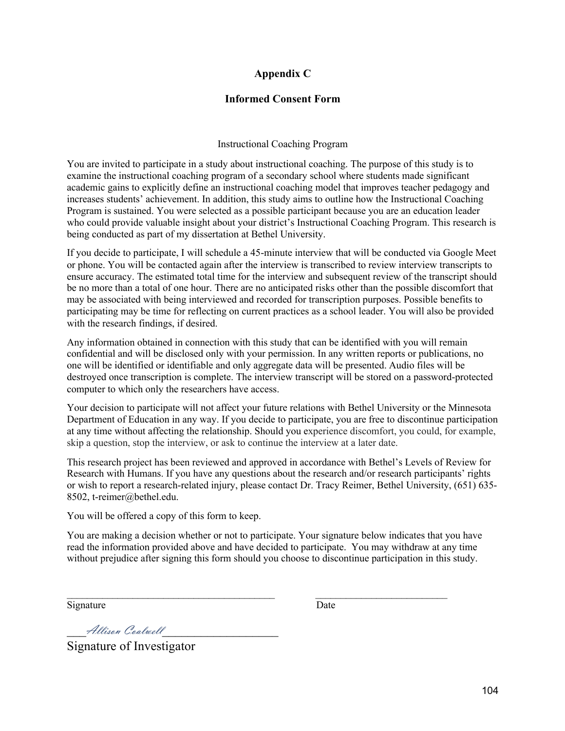### **Appendix C**

### **Informed Consent Form**

#### Instructional Coaching Program

You are invited to participate in a study about instructional coaching. The purpose of this study is to examine the instructional coaching program of a secondary school where students made significant academic gains to explicitly define an instructional coaching model that improves teacher pedagogy and increases students' achievement. In addition, this study aims to outline how the Instructional Coaching Program is sustained. You were selected as a possible participant because you are an education leader who could provide valuable insight about your district's Instructional Coaching Program. This research is being conducted as part of my dissertation at Bethel University.

If you decide to participate, I will schedule a 45-minute interview that will be conducted via Google Meet or phone. You will be contacted again after the interview is transcribed to review interview transcripts to ensure accuracy. The estimated total time for the interview and subsequent review of the transcript should be no more than a total of one hour. There are no anticipated risks other than the possible discomfort that may be associated with being interviewed and recorded for transcription purposes. Possible benefits to participating may be time for reflecting on current practices as a school leader. You will also be provided with the research findings, if desired.

Any information obtained in connection with this study that can be identified with you will remain confidential and will be disclosed only with your permission. In any written reports or publications, no one will be identified or identifiable and only aggregate data will be presented. Audio files will be destroyed once transcription is complete. The interview transcript will be stored on a password-protected computer to which only the researchers have access.

Your decision to participate will not affect your future relations with Bethel University or the Minnesota Department of Education in any way. If you decide to participate, you are free to discontinue participation at any time without affecting the relationship. Should you experience discomfort, you could, for example, skip a question, stop the interview, or ask to continue the interview at a later date.

This research project has been reviewed and approved in accordance with Bethel's Levels of Review for Research with Humans. If you have any questions about the research and/or research participants' rights or wish to report a research-related injury, please contact Dr. Tracy Reimer, Bethel University, (651) 635- 8502, t-reimer@bethel.edu.

You will be offered a copy of this form to keep.

You are making a decision whether or not to participate. Your signature below indicates that you have read the information provided above and have decided to participate. You may withdraw at any time without prejudice after signing this form should you choose to discontinue participation in this study.

 $\mathcal{L}_\text{max} = \mathcal{L}_\text{max} = \mathcal{L}_\text{max} = \mathcal{L}_\text{max} = \mathcal{L}_\text{max} = \mathcal{L}_\text{max} = \mathcal{L}_\text{max} = \mathcal{L}_\text{max} = \mathcal{L}_\text{max} = \mathcal{L}_\text{max} = \mathcal{L}_\text{max} = \mathcal{L}_\text{max} = \mathcal{L}_\text{max} = \mathcal{L}_\text{max} = \mathcal{L}_\text{max} = \mathcal{L}_\text{max} = \mathcal{L}_\text{max} = \mathcal{L}_\text{max} = \mathcal{$ 

Signature Date

\_\_\_Allison Coalwell\_\_\_\_\_\_\_\_\_\_\_\_\_\_\_\_\_\_

Signature of Investigator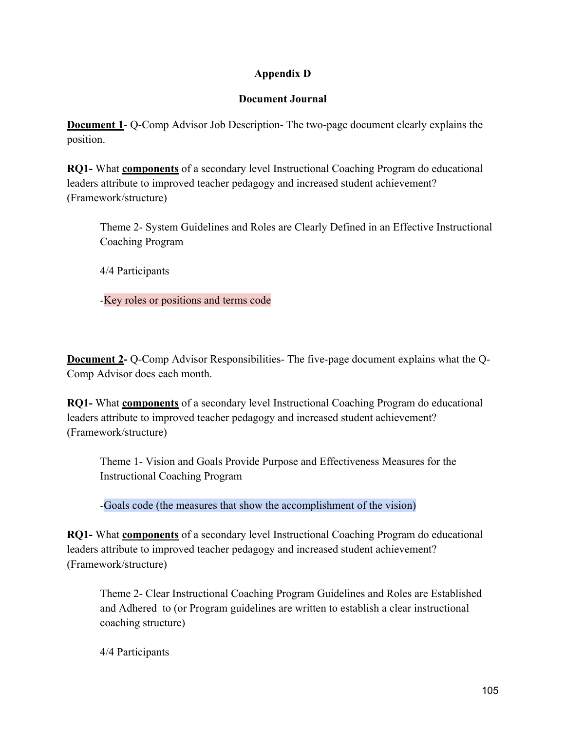# **Appendix D**

### **Document Journal**

**Document 1**- Q-Comp Advisor Job Description- The two-page document clearly explains the position.

**RQ1-** What **components** of a secondary level Instructional Coaching Program do educational leaders attribute to improved teacher pedagogy and increased student achievement? (Framework/structure)

Theme 2- System Guidelines and Roles are Clearly Defined in an Effective Instructional Coaching Program

4/4 Participants

-Key roles or positions and terms code

**Document 2-** Q-Comp Advisor Responsibilities- The five-page document explains what the Q-Comp Advisor does each month.

**RQ1-** What **components** of a secondary level Instructional Coaching Program do educational leaders attribute to improved teacher pedagogy and increased student achievement? (Framework/structure)

Theme 1- Vision and Goals Provide Purpose and Effectiveness Measures for the Instructional Coaching Program

-Goals code (the measures that show the accomplishment of the vision)

**RQ1-** What **components** of a secondary level Instructional Coaching Program do educational leaders attribute to improved teacher pedagogy and increased student achievement? (Framework/structure)

Theme 2- Clear Instructional Coaching Program Guidelines and Roles are Established and Adhered to (or Program guidelines are written to establish a clear instructional coaching structure)

4/4 Participants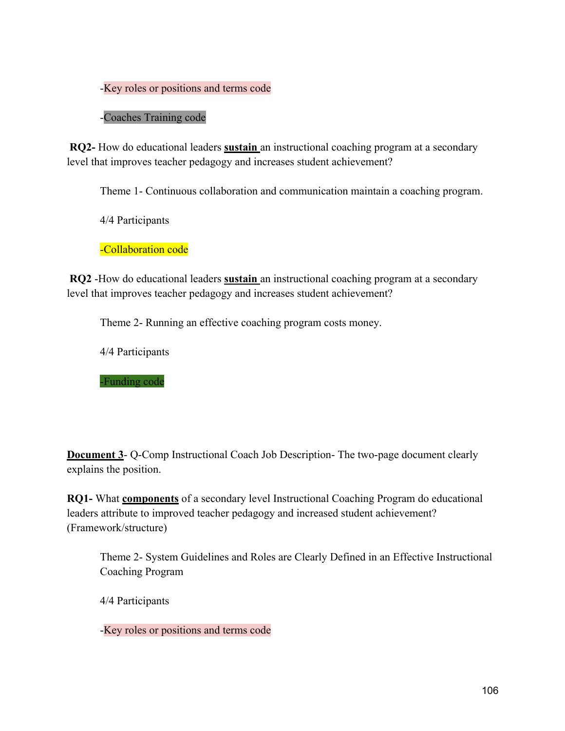### -Key roles or positions and terms code

### -Coaches Training code

**RQ2-** How do educational leaders **sustain** an instructional coaching program at a secondary level that improves teacher pedagogy and increases student achievement?

Theme 1- Continuous collaboration and communication maintain a coaching program.

4/4 Participants

-Collaboration code

**RQ2** -How do educational leaders **sustain** an instructional coaching program at a secondary level that improves teacher pedagogy and increases student achievement?

Theme 2- Running an effective coaching program costs money.

4/4 Participants

-Funding code

**Document 3-** Q-Comp Instructional Coach Job Description- The two-page document clearly explains the position.

**RQ1-** What **components** of a secondary level Instructional Coaching Program do educational leaders attribute to improved teacher pedagogy and increased student achievement? (Framework/structure)

Theme 2- System Guidelines and Roles are Clearly Defined in an Effective Instructional Coaching Program

4/4 Participants

-Key roles or positions and terms code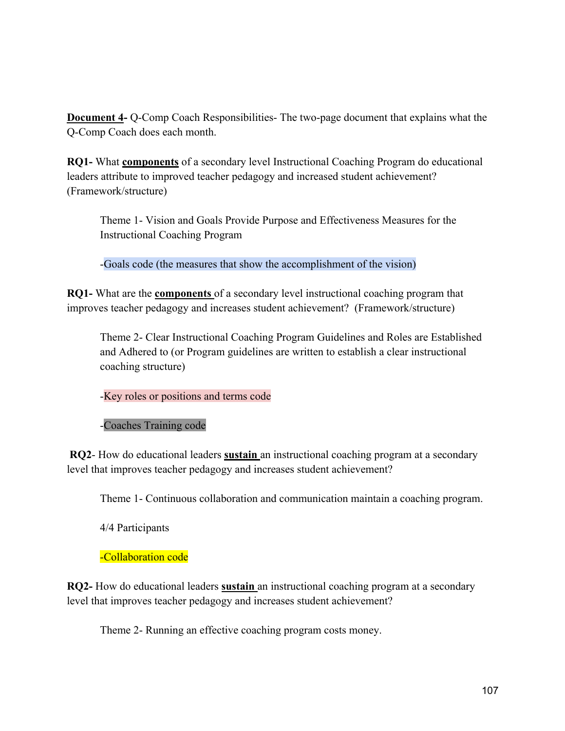**Document 4-** Q-Comp Coach Responsibilities- The two-page document that explains what the Q-Comp Coach does each month.

**RQ1-** What **components** of a secondary level Instructional Coaching Program do educational leaders attribute to improved teacher pedagogy and increased student achievement? (Framework/structure)

Theme 1- Vision and Goals Provide Purpose and Effectiveness Measures for the Instructional Coaching Program

-Goals code (the measures that show the accomplishment of the vision)

**RQ1-** What are the **components** of a secondary level instructional coaching program that improves teacher pedagogy and increases student achievement? (Framework/structure)

Theme 2- Clear Instructional Coaching Program Guidelines and Roles are Established and Adhered to (or Program guidelines are written to establish a clear instructional coaching structure)

-Key roles or positions and terms code

-Coaches Training code

**RQ2**- How do educational leaders **sustain** an instructional coaching program at a secondary level that improves teacher pedagogy and increases student achievement?

Theme 1- Continuous collaboration and communication maintain a coaching program.

4/4 Participants

### -Collaboration code

**RQ2-** How do educational leaders **sustain** an instructional coaching program at a secondary level that improves teacher pedagogy and increases student achievement?

Theme 2- Running an effective coaching program costs money.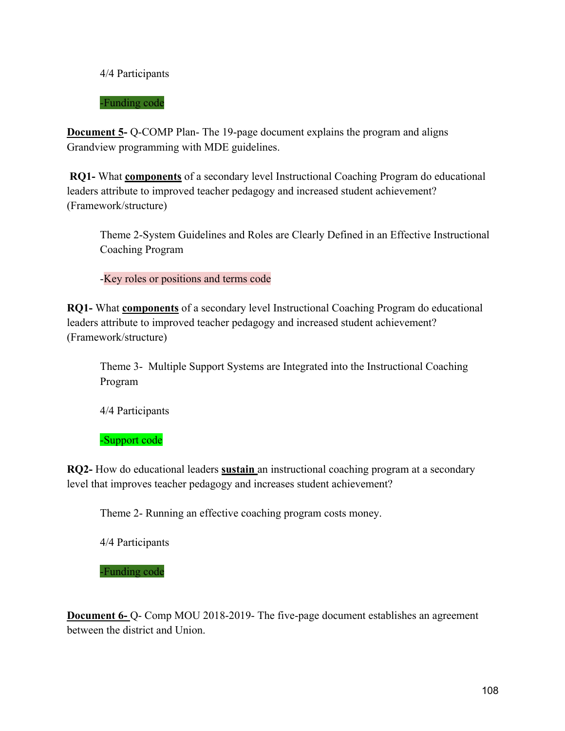4/4 Participants

-Funding code

**Document 5-** Q-COMP Plan- The 19-page document explains the program and aligns Grandview programming with MDE guidelines.

**RQ1-** What **components** of a secondary level Instructional Coaching Program do educational leaders attribute to improved teacher pedagogy and increased student achievement? (Framework/structure)

Theme 2-System Guidelines and Roles are Clearly Defined in an Effective Instructional Coaching Program

-Key roles or positions and terms code

**RQ1-** What **components** of a secondary level Instructional Coaching Program do educational leaders attribute to improved teacher pedagogy and increased student achievement? (Framework/structure)

Theme 3- Multiple Support Systems are Integrated into the Instructional Coaching Program

4/4 Participants

-Support code

**RQ2-** How do educational leaders **sustain** an instructional coaching program at a secondary level that improves teacher pedagogy and increases student achievement?

Theme 2- Running an effective coaching program costs money.

4/4 Participants

-Funding code

**Document 6-** Q- Comp MOU 2018-2019- The five-page document establishes an agreement between the district and Union.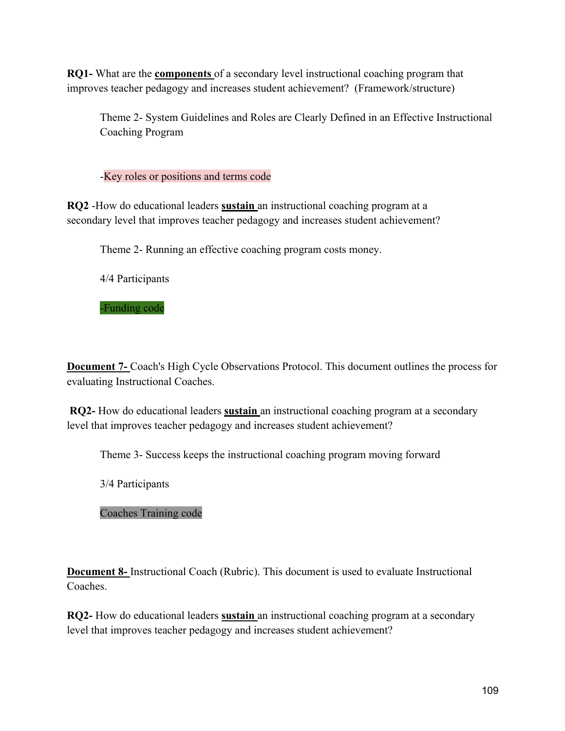**RQ1-** What are the **components** of a secondary level instructional coaching program that improves teacher pedagogy and increases student achievement? (Framework/structure)

Theme 2- System Guidelines and Roles are Clearly Defined in an Effective Instructional Coaching Program

-Key roles or positions and terms code

**RQ2** -How do educational leaders **sustain** an instructional coaching program at a secondary level that improves teacher pedagogy and increases student achievement?

Theme 2- Running an effective coaching program costs money.

4/4 Participants

-Funding code

**Document 7-** Coach's High Cycle Observations Protocol. This document outlines the process for evaluating Instructional Coaches.

**RQ2-** How do educational leaders **sustain** an instructional coaching program at a secondary level that improves teacher pedagogy and increases student achievement?

Theme 3- Success keeps the instructional coaching program moving forward

3/4 Participants

## Coaches Training code

**Document 8-** Instructional Coach (Rubric). This document is used to evaluate Instructional Coaches.

**RQ2-** How do educational leaders **sustain** an instructional coaching program at a secondary level that improves teacher pedagogy and increases student achievement?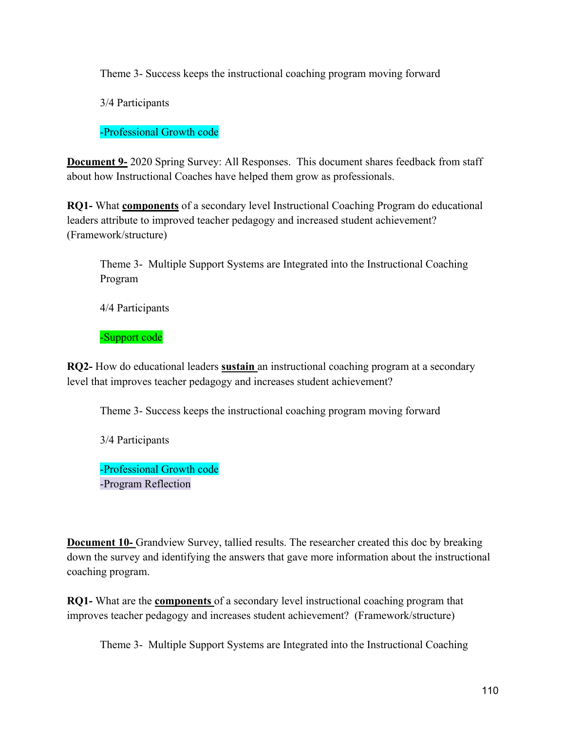Theme 3- Success keeps the instructional coaching program moving forward

3/4 Participants

-Professional Growth code

**Document 9-** 2020 Spring Survey: All Responses. This document shares feedback from staff about how Instructional Coaches have helped them grow as professionals.

**RQ1-** What **components** of a secondary level Instructional Coaching Program do educational leaders attribute to improved teacher pedagogy and increased student achievement? (Framework/structure)

Theme 3- Multiple Support Systems are Integrated into the Instructional Coaching Program

4/4 Participants

-Support code

**RQ2-** How do educational leaders **sustain** an instructional coaching program at a secondary level that improves teacher pedagogy and increases student achievement?

Theme 3- Success keeps the instructional coaching program moving forward

3/4 Participants

-Professional Growth code -Program Reflection

**Document 10-** Grandview Survey, tallied results. The researcher created this doc by breaking down the survey and identifying the answers that gave more information about the instructional coaching program.

**RQ1-** What are the **components** of a secondary level instructional coaching program that improves teacher pedagogy and increases student achievement? (Framework/structure)

Theme 3- Multiple Support Systems are Integrated into the Instructional Coaching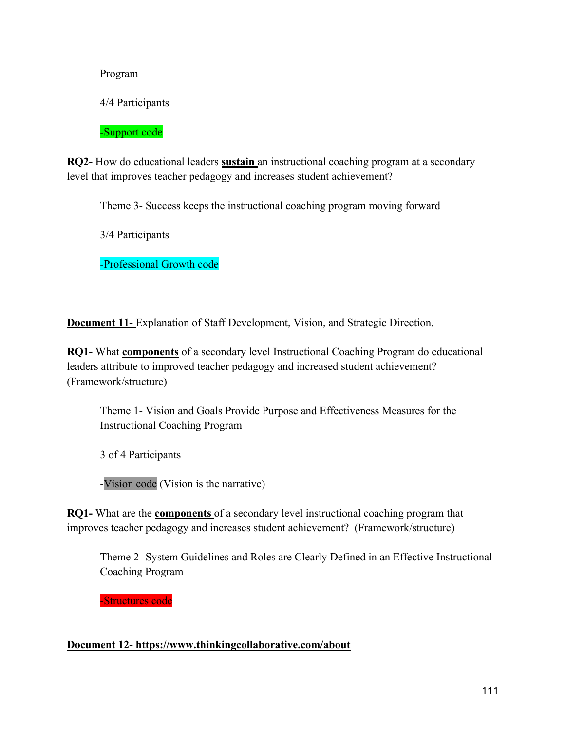Program

4/4 Participants

-Support code

**RQ2-** How do educational leaders **sustain** an instructional coaching program at a secondary level that improves teacher pedagogy and increases student achievement?

Theme 3- Success keeps the instructional coaching program moving forward

3/4 Participants

-Professional Growth code

**Document 11-** Explanation of Staff Development, Vision, and Strategic Direction.

**RQ1-** What **components** of a secondary level Instructional Coaching Program do educational leaders attribute to improved teacher pedagogy and increased student achievement? (Framework/structure)

Theme 1- Vision and Goals Provide Purpose and Effectiveness Measures for the Instructional Coaching Program

3 of 4 Participants

-Vision code (Vision is the narrative)

**RQ1-** What are the **components** of a secondary level instructional coaching program that improves teacher pedagogy and increases student achievement? (Framework/structure)

Theme 2- System Guidelines and Roles are Clearly Defined in an Effective Instructional Coaching Program

-Structures code

## **Document 12- https://www.thinkingcollaborative.com/about**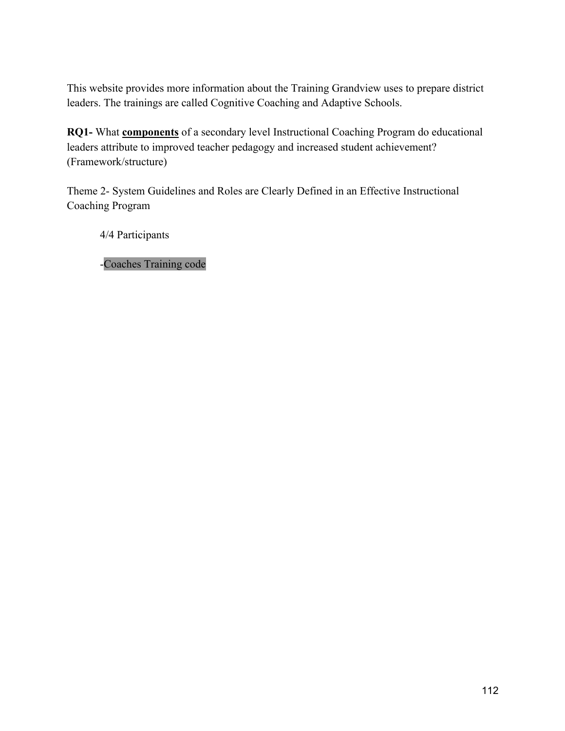This website provides more information about the Training Grandview uses to prepare district leaders. The trainings are called Cognitive Coaching and Adaptive Schools.

**RQ1-** What **components** of a secondary level Instructional Coaching Program do educational leaders attribute to improved teacher pedagogy and increased student achievement? (Framework/structure)

Theme 2- System Guidelines and Roles are Clearly Defined in an Effective Instructional Coaching Program

4/4 Participants

-Coaches Training code